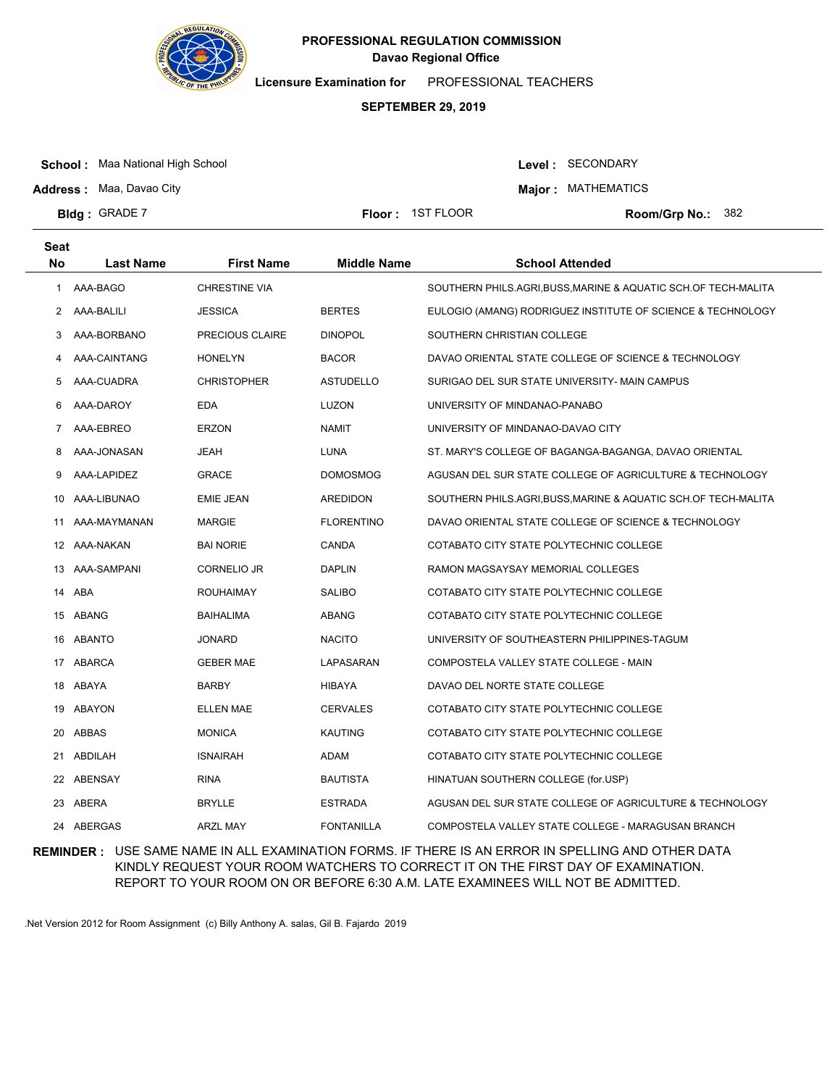

**Licensure Examination for**  PROFESSIONAL TEACHERS

### **SEPTEMBER 29, 2019**

**School :** Maa National High School

Level : SECONDARY

**Major : MATHEMATICS** 

**Address :** Maa, Davao City **Bldg: GRADE 7** 

**Floor : 1ST FLOOR** 

Room/Grp No.: 382

| <b>Seat</b><br><b>No</b> | <b>Last Name</b> | <b>First Name</b>    | <b>Middle Name</b> | <b>School Attended</b>                                         |
|--------------------------|------------------|----------------------|--------------------|----------------------------------------------------------------|
| 1                        | AAA-BAGO         | <b>CHRESTINE VIA</b> |                    | SOUTHERN PHILS.AGRI, BUSS, MARINE & AQUATIC SCH.OF TECH-MALITA |
| 2                        | AAA-BALILI       | <b>JESSICA</b>       | <b>BERTES</b>      | EULOGIO (AMANG) RODRIGUEZ INSTITUTE OF SCIENCE & TECHNOLOGY    |
| 3                        | AAA-BORBANO      | PRECIOUS CLAIRE      | <b>DINOPOL</b>     | SOUTHERN CHRISTIAN COLLEGE                                     |
| 4                        | AAA-CAINTANG     | <b>HONELYN</b>       | <b>BACOR</b>       | DAVAO ORIENTAL STATE COLLEGE OF SCIENCE & TECHNOLOGY           |
| 5                        | AAA-CUADRA       | <b>CHRISTOPHER</b>   | <b>ASTUDELLO</b>   | SURIGAO DEL SUR STATE UNIVERSITY- MAIN CAMPUS                  |
| 6                        | AAA-DAROY        | EDA                  | LUZON              | UNIVERSITY OF MINDANAO-PANABO                                  |
| 7                        | AAA-EBREO        | <b>ERZON</b>         | <b>NAMIT</b>       | UNIVERSITY OF MINDANAO-DAVAO CITY                              |
| 8                        | AAA-JONASAN      | JEAH                 | LUNA               | ST. MARY'S COLLEGE OF BAGANGA-BAGANGA, DAVAO ORIENTAL          |
| 9                        | AAA-LAPIDEZ      | <b>GRACE</b>         | <b>DOMOSMOG</b>    | AGUSAN DEL SUR STATE COLLEGE OF AGRICULTURE & TECHNOLOGY       |
| 10                       | AAA-LIBUNAO      | <b>EMIE JEAN</b>     | AREDIDON           | SOUTHERN PHILS.AGRI,BUSS,MARINE & AQUATIC SCH.OF TECH-MALITA   |
| 11                       | AAA-MAYMANAN     | MARGIE               | <b>FLORENTINO</b>  | DAVAO ORIENTAL STATE COLLEGE OF SCIENCE & TECHNOLOGY           |
|                          | 12 AAA-NAKAN     | <b>BAI NORIE</b>     | CANDA              | COTABATO CITY STATE POLYTECHNIC COLLEGE                        |
| 13                       | AAA-SAMPANI      | CORNELIO JR          | DAPLIN             | RAMON MAGSAYSAY MEMORIAL COLLEGES                              |
| 14                       | ABA              | <b>ROUHAIMAY</b>     | <b>SALIBO</b>      | COTABATO CITY STATE POLYTECHNIC COLLEGE                        |
| 15                       | ABANG            | <b>BAIHALIMA</b>     | ABANG              | COTABATO CITY STATE POLYTECHNIC COLLEGE                        |
| 16                       | <b>ABANTO</b>    | <b>JONARD</b>        | <b>NACITO</b>      | UNIVERSITY OF SOUTHEASTERN PHILIPPINES-TAGUM                   |
| 17                       | ABARCA           | <b>GEBER MAE</b>     | LAPASARAN          | COMPOSTELA VALLEY STATE COLLEGE - MAIN                         |
| 18                       | ABAYA            | <b>BARBY</b>         | <b>HIBAYA</b>      | DAVAO DEL NORTE STATE COLLEGE                                  |
| 19                       | ABAYON           | <b>ELLEN MAE</b>     | <b>CERVALES</b>    | COTABATO CITY STATE POLYTECHNIC COLLEGE                        |
| 20                       | ABBAS            | <b>MONICA</b>        | <b>KAUTING</b>     | COTABATO CITY STATE POLYTECHNIC COLLEGE                        |
| 21                       | ABDILAH          | <b>ISNAIRAH</b>      | ADAM               | COTABATO CITY STATE POLYTECHNIC COLLEGE                        |
| 22                       | ABENSAY          | <b>RINA</b>          | BAUTISTA           | HINATUAN SOUTHERN COLLEGE (for.USP)                            |
| 23                       | ABERA            | <b>BRYLLE</b>        | ESTRADA            | AGUSAN DEL SUR STATE COLLEGE OF AGRICULTURE & TECHNOLOGY       |
| 24                       | ABERGAS          | <b>ARZL MAY</b>      | <b>FONTANILLA</b>  | COMPOSTELA VALLEY STATE COLLEGE - MARAGUSAN BRANCH             |

**REMINDER :** USE SAME NAME IN ALL EXAMINATION FORMS. IF THERE IS AN ERROR IN SPELLING AND OTHER DATA KINDLY REQUEST YOUR ROOM WATCHERS TO CORRECT IT ON THE FIRST DAY OF EXAMINATION. REPORT TO YOUR ROOM ON OR BEFORE 6:30 A.M. LATE EXAMINEES WILL NOT BE ADMITTED.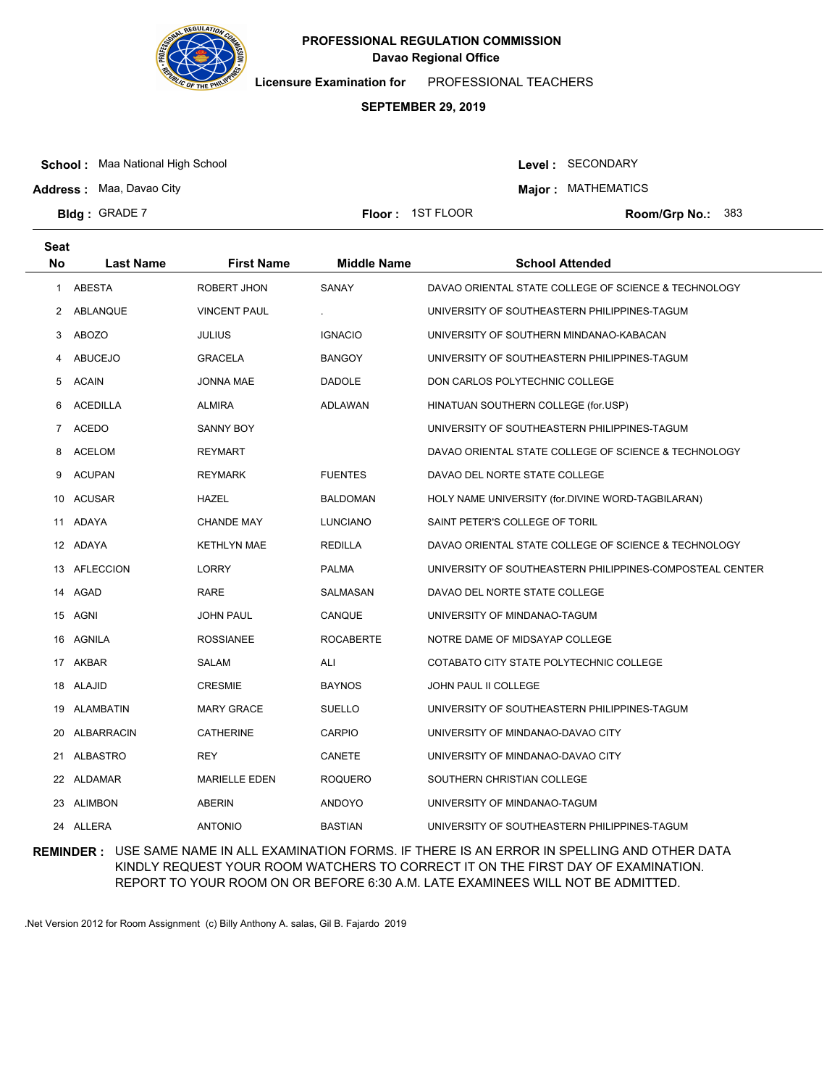

**Licensure Examination for**  PROFESSIONAL TEACHERS

# **SEPTEMBER 29, 2019**

**School :** Maa National High School

Level : SECONDARY

**Major : MATHEMATICS** 

**Address :** Maa, Davao City **Bldg: GRADE 7** 

**Floor : 1ST FLOOR** 

Room/Grp No.: 383

| <b>Seat</b>    |                  |                      |                    |                                                          |
|----------------|------------------|----------------------|--------------------|----------------------------------------------------------|
| <b>No</b>      | <b>Last Name</b> | <b>First Name</b>    | <b>Middle Name</b> | <b>School Attended</b>                                   |
| 1              | ABESTA           | ROBERT JHON          | SANAY              | DAVAO ORIENTAL STATE COLLEGE OF SCIENCE & TECHNOLOGY     |
| $\mathbf{2}$   | ABLANQUE         | <b>VINCENT PAUL</b>  |                    | UNIVERSITY OF SOUTHEASTERN PHILIPPINES-TAGUM             |
| 3              | <b>ABOZO</b>     | <b>JULIUS</b>        | <b>IGNACIO</b>     | UNIVERSITY OF SOUTHERN MINDANAO-KABACAN                  |
| 4              | ABUCEJO          | <b>GRACELA</b>       | <b>BANGOY</b>      | UNIVERSITY OF SOUTHEASTERN PHILIPPINES-TAGUM             |
| 5              | <b>ACAIN</b>     | JONNA MAE            | <b>DADOLE</b>      | DON CARLOS POLYTECHNIC COLLEGE                           |
| 6              | <b>ACEDILLA</b>  | <b>ALMIRA</b>        | ADLAWAN            | HINATUAN SOUTHERN COLLEGE (for.USP)                      |
| $\overline{7}$ | <b>ACEDO</b>     | SANNY BOY            |                    | UNIVERSITY OF SOUTHEASTERN PHILIPPINES-TAGUM             |
| 8              | <b>ACELOM</b>    | <b>REYMART</b>       |                    | DAVAO ORIENTAL STATE COLLEGE OF SCIENCE & TECHNOLOGY     |
| 9              | <b>ACUPAN</b>    | <b>REYMARK</b>       | <b>FUENTES</b>     | DAVAO DEL NORTE STATE COLLEGE                            |
| 10             | ACUSAR           | HAZEL                | <b>BALDOMAN</b>    | HOLY NAME UNIVERSITY (for.DIVINE WORD-TAGBILARAN)        |
| 11             | ADAYA            | <b>CHANDE MAY</b>    | <b>LUNCIANO</b>    | SAINT PETER'S COLLEGE OF TORIL                           |
| 12             | ADAYA            | <b>KETHLYN MAE</b>   | <b>REDILLA</b>     | DAVAO ORIENTAL STATE COLLEGE OF SCIENCE & TECHNOLOGY     |
| 13             | <b>AFLECCION</b> | <b>LORRY</b>         | <b>PALMA</b>       | UNIVERSITY OF SOUTHEASTERN PHILIPPINES-COMPOSTEAL CENTER |
| 14             | AGAD             | <b>RARE</b>          | SALMASAN           | DAVAO DEL NORTE STATE COLLEGE                            |
| 15             | AGNI             | <b>JOHN PAUL</b>     | CANQUE             | UNIVERSITY OF MINDANAO-TAGUM                             |
| 16             | AGNILA           | <b>ROSSIANEE</b>     | <b>ROCABERTE</b>   | NOTRE DAME OF MIDSAYAP COLLEGE                           |
| 17             | AKBAR            | SALAM                | ALI                | COTABATO CITY STATE POLYTECHNIC COLLEGE                  |
| 18             | ALAJID           | <b>CRESMIE</b>       | <b>BAYNOS</b>      | JOHN PAUL II COLLEGE                                     |
|                | 19 ALAMBATIN     | <b>MARY GRACE</b>    | <b>SUELLO</b>      | UNIVERSITY OF SOUTHEASTERN PHILIPPINES-TAGUM             |
| 20             | ALBARRACIN       | <b>CATHERINE</b>     | <b>CARPIO</b>      | UNIVERSITY OF MINDANAO-DAVAO CITY                        |
| 21             | <b>ALBASTRO</b>  | REY                  | CANETE             | UNIVERSITY OF MINDANAO-DAVAO CITY                        |
|                | 22 ALDAMAR       | <b>MARIELLE EDEN</b> | <b>ROQUERO</b>     | SOUTHERN CHRISTIAN COLLEGE                               |
| 23             | ALIMBON          | ABERIN               | <b>ANDOYO</b>      | UNIVERSITY OF MINDANAO-TAGUM                             |
| 24             | ALLERA           | <b>ANTONIO</b>       | <b>BASTIAN</b>     | UNIVERSITY OF SOUTHEASTERN PHILIPPINES-TAGUM             |

**REMINDER :** USE SAME NAME IN ALL EXAMINATION FORMS. IF THERE IS AN ERROR IN SPELLING AND OTHER DATA KINDLY REQUEST YOUR ROOM WATCHERS TO CORRECT IT ON THE FIRST DAY OF EXAMINATION. REPORT TO YOUR ROOM ON OR BEFORE 6:30 A.M. LATE EXAMINEES WILL NOT BE ADMITTED.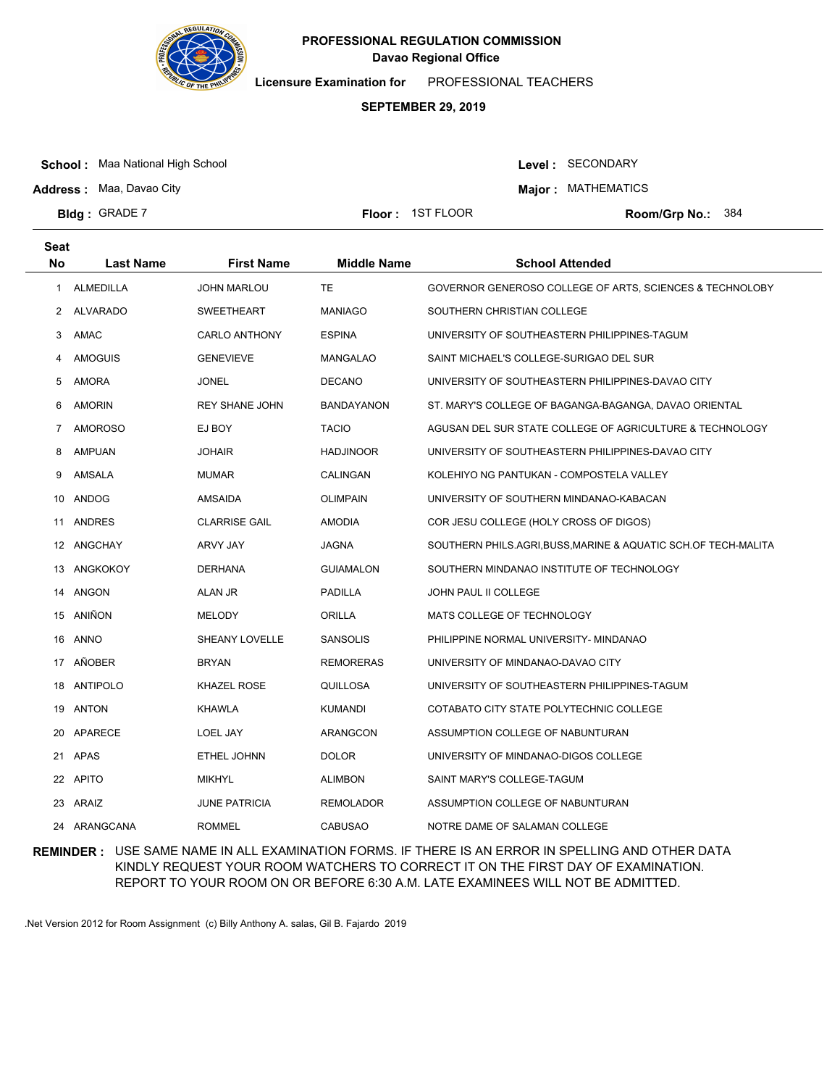

**Licensure Examination for**  PROFESSIONAL TEACHERS

# **SEPTEMBER 29, 2019**

**School :** Maa National High School

Level : SECONDARY

**Major : MATHEMATICS** 

**Address :** Maa, Davao City **Bldg: GRADE 7** 

**Floor : 1ST FLOOR** 

Room/Grp No.: 384

| <b>Seat</b> |                  |                       |                    |                                                              |
|-------------|------------------|-----------------------|--------------------|--------------------------------------------------------------|
| <b>No</b>   | <b>Last Name</b> | <b>First Name</b>     | <b>Middle Name</b> | <b>School Attended</b>                                       |
| 1           | <b>ALMEDILLA</b> | <b>JOHN MARLOU</b>    | TE                 | GOVERNOR GENEROSO COLLEGE OF ARTS, SCIENCES & TECHNOLOBY     |
| 2           | <b>ALVARADO</b>  | <b>SWEETHEART</b>     | <b>MANIAGO</b>     | SOUTHERN CHRISTIAN COLLEGE                                   |
| 3           | AMAC             | <b>CARLO ANTHONY</b>  | <b>ESPINA</b>      | UNIVERSITY OF SOUTHEASTERN PHILIPPINES-TAGUM                 |
| 4           | <b>AMOGUIS</b>   | <b>GENEVIEVE</b>      | <b>MANGALAO</b>    | SAINT MICHAEL'S COLLEGE-SURIGAO DEL SUR                      |
| 5           | <b>AMORA</b>     | <b>JONEL</b>          | <b>DECANO</b>      | UNIVERSITY OF SOUTHEASTERN PHILIPPINES-DAVAO CITY            |
| 6           | <b>AMORIN</b>    | <b>REY SHANE JOHN</b> | <b>BANDAYANON</b>  | ST. MARY'S COLLEGE OF BAGANGA-BAGANGA, DAVAO ORIENTAL        |
| 7           | <b>AMOROSO</b>   | EJ BOY                | <b>TACIO</b>       | AGUSAN DEL SUR STATE COLLEGE OF AGRICULTURE & TECHNOLOGY     |
| 8           | <b>AMPUAN</b>    | <b>JOHAIR</b>         | <b>HADJINOOR</b>   | UNIVERSITY OF SOUTHEASTERN PHILIPPINES-DAVAO CITY            |
| 9           | AMSALA           | <b>MUMAR</b>          | CALINGAN           | KOLEHIYO NG PANTUKAN - COMPOSTELA VALLEY                     |
| 10          | ANDOG            | AMSAIDA               | <b>OLIMPAIN</b>    | UNIVERSITY OF SOUTHERN MINDANAO-KABACAN                      |
| 11          | ANDRES           | <b>CLARRISE GAIL</b>  | <b>AMODIA</b>      | COR JESU COLLEGE (HOLY CROSS OF DIGOS)                       |
|             | 12 ANGCHAY       | ARVY JAY              | JAGNA              | SOUTHERN PHILS.AGRI,BUSS,MARINE & AQUATIC SCH.OF TECH-MALITA |
|             | 13 ANGKOKOY      | <b>DERHANA</b>        | <b>GUIAMALON</b>   | SOUTHERN MINDANAO INSTITUTE OF TECHNOLOGY                    |
| 14          | ANGON            | ALAN JR               | <b>PADILLA</b>     | JOHN PAUL II COLLEGE                                         |
|             | 15 ANIÑON        | <b>MELODY</b>         | ORILLA             | MATS COLLEGE OF TECHNOLOGY                                   |
| 16          | ANNO             | SHEANY LOVELLE        | <b>SANSOLIS</b>    | PHILIPPINE NORMAL UNIVERSITY- MINDANAO                       |
|             | 17 ANOBER        | <b>BRYAN</b>          | <b>REMORERAS</b>   | UNIVERSITY OF MINDANAO-DAVAO CITY                            |
| 18          | <b>ANTIPOLO</b>  | <b>KHAZEL ROSE</b>    | QUILLOSA           | UNIVERSITY OF SOUTHEASTERN PHILIPPINES-TAGUM                 |
| 19          | ANTON            | <b>KHAWLA</b>         | KUMANDI            | COTABATO CITY STATE POLYTECHNIC COLLEGE                      |
| 20          | APARECE          | <b>LOEL JAY</b>       | ARANGCON           | ASSUMPTION COLLEGE OF NABUNTURAN                             |
| 21          | APAS             | ETHEL JOHNN           | <b>DOLOR</b>       | UNIVERSITY OF MINDANAO-DIGOS COLLEGE                         |
|             | 22 APITO         | <b>MIKHYL</b>         | <b>ALIMBON</b>     | SAINT MARY'S COLLEGE-TAGUM                                   |
| 23          | ARAIZ            | <b>JUNE PATRICIA</b>  | <b>REMOLADOR</b>   | ASSUMPTION COLLEGE OF NABUNTURAN                             |
|             | 24 ARANGCANA     | <b>ROMMEL</b>         | <b>CABUSAO</b>     | NOTRE DAME OF SALAMAN COLLEGE                                |

**REMINDER :** USE SAME NAME IN ALL EXAMINATION FORMS. IF THERE IS AN ERROR IN SPELLING AND OTHER DATA KINDLY REQUEST YOUR ROOM WATCHERS TO CORRECT IT ON THE FIRST DAY OF EXAMINATION. REPORT TO YOUR ROOM ON OR BEFORE 6:30 A.M. LATE EXAMINEES WILL NOT BE ADMITTED.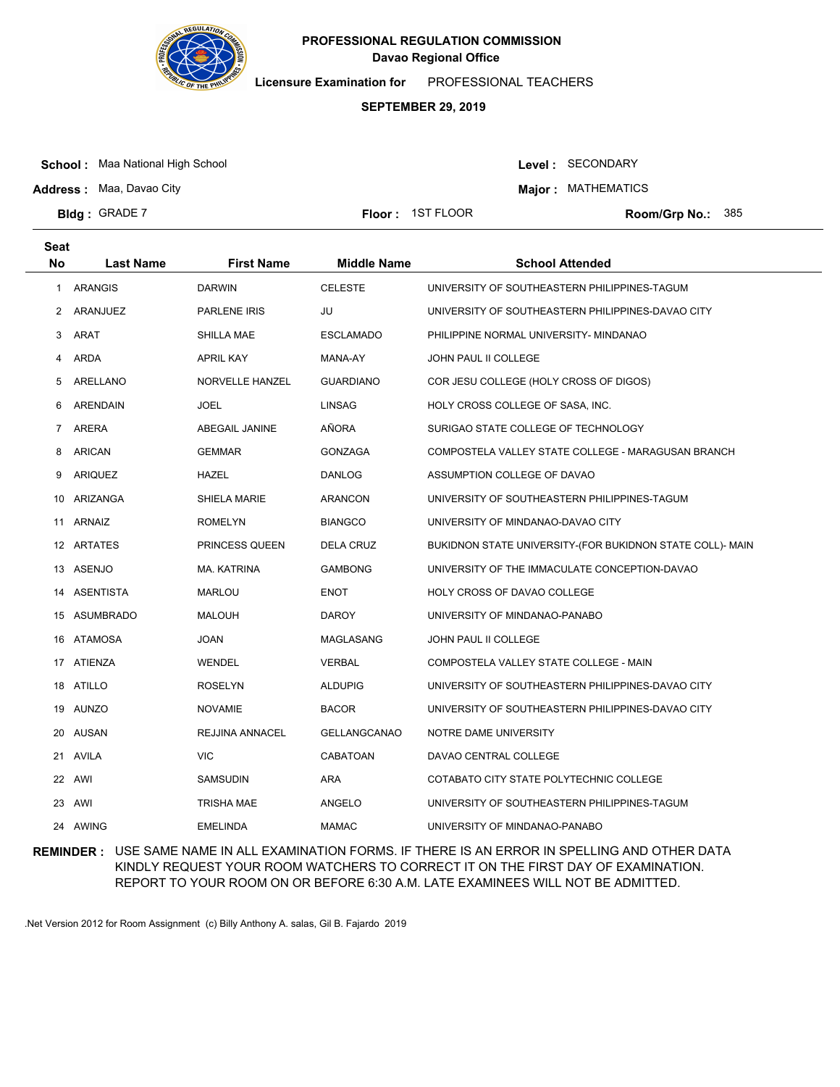

**Licensure Examination for**  PROFESSIONAL TEACHERS

# **SEPTEMBER 29, 2019**

**School :** Maa National High School

Level : SECONDARY

**Major : MATHEMATICS** 

**Address :** Maa, Davao City **Bldg: GRADE 7** 

**Floor : 1ST FLOOR** 

Room/Grp No.: 385

| <b>Seat</b>    |                  |                     |                     |                                                           |
|----------------|------------------|---------------------|---------------------|-----------------------------------------------------------|
| <b>No</b>      | <b>Last Name</b> | <b>First Name</b>   | <b>Middle Name</b>  | <b>School Attended</b>                                    |
| $\mathbf{1}$   | <b>ARANGIS</b>   | <b>DARWIN</b>       | <b>CELESTE</b>      | UNIVERSITY OF SOUTHEASTERN PHILIPPINES-TAGUM              |
| $\mathbf{2}$   | ARANJUEZ         | <b>PARLENE IRIS</b> | JU                  | UNIVERSITY OF SOUTHEASTERN PHILIPPINES-DAVAO CITY         |
| 3              | <b>ARAT</b>      | SHILLA MAE          | <b>ESCLAMADO</b>    | PHILIPPINE NORMAL UNIVERSITY- MINDANAO                    |
| 4              | <b>ARDA</b>      | <b>APRIL KAY</b>    | MANA-AY             | <b>JOHN PAUL II COLLEGE</b>                               |
| 5              | ARELLANO         | NORVELLE HANZEL     | <b>GUARDIANO</b>    | COR JESU COLLEGE (HOLY CROSS OF DIGOS)                    |
| 6              | <b>ARENDAIN</b>  | JOEL                | <b>LINSAG</b>       | HOLY CROSS COLLEGE OF SASA, INC.                          |
| $\overline{7}$ | ARERA            | ABEGAIL JANINE      | AÑORA               | SURIGAO STATE COLLEGE OF TECHNOLOGY                       |
| 8              | <b>ARICAN</b>    | <b>GEMMAR</b>       | <b>GONZAGA</b>      | COMPOSTELA VALLEY STATE COLLEGE - MARAGUSAN BRANCH        |
| 9              | <b>ARIQUEZ</b>   | HAZEL               | <b>DANLOG</b>       | ASSUMPTION COLLEGE OF DAVAO                               |
| 10             | ARIZANGA         | SHIELA MARIE        | <b>ARANCON</b>      | UNIVERSITY OF SOUTHEASTERN PHILIPPINES-TAGUM              |
| 11             | ARNAIZ           | <b>ROMELYN</b>      | <b>BIANGCO</b>      | UNIVERSITY OF MINDANAO-DAVAO CITY                         |
|                | 12 ARTATES       | PRINCESS QUEEN      | <b>DELA CRUZ</b>    | BUKIDNON STATE UNIVERSITY-(FOR BUKIDNON STATE COLL)- MAIN |
| 13             | ASENJO           | MA. KATRINA         | <b>GAMBONG</b>      | UNIVERSITY OF THE IMMACULATE CONCEPTION-DAVAO             |
| 14             | ASENTISTA        | MARLOU              | <b>ENOT</b>         | HOLY CROSS OF DAVAO COLLEGE                               |
| 15             | ASUMBRADO        | <b>MALOUH</b>       | <b>DAROY</b>        | UNIVERSITY OF MINDANAO-PANABO                             |
| 16             | ATAMOSA          | JOAN                | MAGLASANG           | JOHN PAUL II COLLEGE                                      |
|                | 17 ATIENZA       | WENDEL              | <b>VERBAL</b>       | COMPOSTELA VALLEY STATE COLLEGE - MAIN                    |
|                | 18 ATILLO        | <b>ROSELYN</b>      | <b>ALDUPIG</b>      | UNIVERSITY OF SOUTHEASTERN PHILIPPINES-DAVAO CITY         |
|                | 19 AUNZO         | NOVAMIE             | <b>BACOR</b>        | UNIVERSITY OF SOUTHEASTERN PHILIPPINES-DAVAO CITY         |
| 20             | AUSAN            | REJJINA ANNACEL     | <b>GELLANGCANAO</b> | NOTRE DAME UNIVERSITY                                     |
| 21             | AVILA            | <b>VIC</b>          | CABATOAN            | DAVAO CENTRAL COLLEGE                                     |
| 22             | AWI              | <b>SAMSUDIN</b>     | ARA                 | COTABATO CITY STATE POLYTECHNIC COLLEGE                   |
| 23             | AWI              | <b>TRISHA MAE</b>   | ANGELO              | UNIVERSITY OF SOUTHEASTERN PHILIPPINES-TAGUM              |
| 24             | AWING            | <b>EMELINDA</b>     | <b>MAMAC</b>        | UNIVERSITY OF MINDANAO-PANABO                             |

**REMINDER :** USE SAME NAME IN ALL EXAMINATION FORMS. IF THERE IS AN ERROR IN SPELLING AND OTHER DATA KINDLY REQUEST YOUR ROOM WATCHERS TO CORRECT IT ON THE FIRST DAY OF EXAMINATION. REPORT TO YOUR ROOM ON OR BEFORE 6:30 A.M. LATE EXAMINEES WILL NOT BE ADMITTED.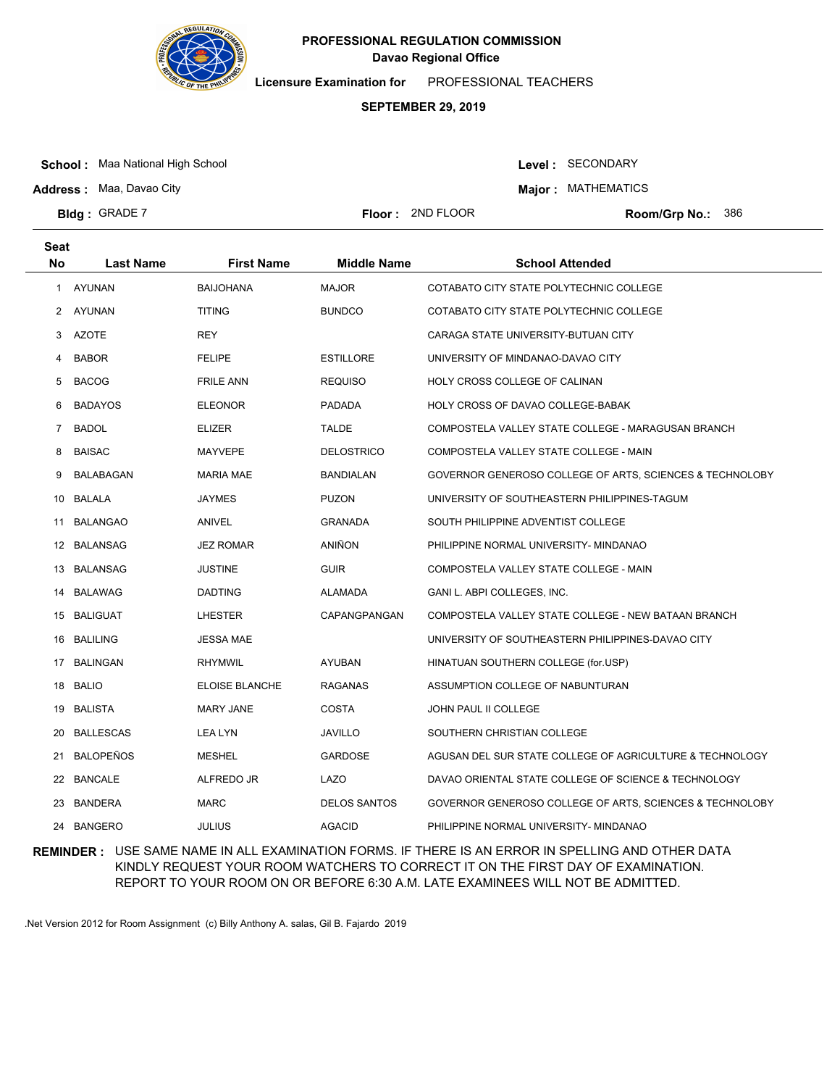

**Licensure Examination for**  PROFESSIONAL TEACHERS

# **SEPTEMBER 29, 2019**

**School :** Maa National High School

Level : SECONDARY

**Major : MATHEMATICS** 

**Address :** Maa, Davao City **Bldg: GRADE 7** 

**Floor :** 2ND FLOOR

Room/Grp No.: 386

| <b>Seat</b>  |                  |                   |                     |                                                          |
|--------------|------------------|-------------------|---------------------|----------------------------------------------------------|
| No           | <b>Last Name</b> | <b>First Name</b> | <b>Middle Name</b>  | <b>School Attended</b>                                   |
| $\mathbf{1}$ | AYUNAN           | <b>BAIJOHANA</b>  | <b>MAJOR</b>        | COTABATO CITY STATE POLYTECHNIC COLLEGE                  |
| 2            | AYUNAN           | <b>TITING</b>     | <b>BUNDCO</b>       | COTABATO CITY STATE POLYTECHNIC COLLEGE                  |
| 3            | <b>AZOTE</b>     | <b>REY</b>        |                     | CARAGA STATE UNIVERSITY-BUTUAN CITY                      |
| 4            | <b>BABOR</b>     | <b>FELIPE</b>     | <b>ESTILLORE</b>    | UNIVERSITY OF MINDANAO-DAVAO CITY                        |
| 5            | <b>BACOG</b>     | <b>FRILE ANN</b>  | <b>REQUISO</b>      | HOLY CROSS COLLEGE OF CALINAN                            |
| 6            | <b>BADAYOS</b>   | <b>ELEONOR</b>    | PADADA              | HOLY CROSS OF DAVAO COLLEGE-BABAK                        |
| 7            | <b>BADOL</b>     | <b>ELIZER</b>     | <b>TALDE</b>        | COMPOSTELA VALLEY STATE COLLEGE - MARAGUSAN BRANCH       |
| 8            | <b>BAISAC</b>    | <b>MAYVEPE</b>    | <b>DELOSTRICO</b>   | COMPOSTELA VALLEY STATE COLLEGE - MAIN                   |
| 9            | BALABAGAN        | <b>MARIA MAE</b>  | BANDIALAN           | GOVERNOR GENEROSO COLLEGE OF ARTS, SCIENCES & TECHNOLOBY |
| 10           | BALALA           | <b>JAYMES</b>     | <b>PUZON</b>        | UNIVERSITY OF SOUTHEASTERN PHILIPPINES-TAGUM             |
| 11           | BALANGAO         | ANIVEL            | <b>GRANADA</b>      | SOUTH PHILIPPINE ADVENTIST COLLEGE                       |
| 12           | <b>BALANSAG</b>  | <b>JEZ ROMAR</b>  | ANIÑON              | PHILIPPINE NORMAL UNIVERSITY- MINDANAO                   |
| 13.          | <b>BALANSAG</b>  | <b>JUSTINE</b>    | <b>GUIR</b>         | COMPOSTELA VALLEY STATE COLLEGE - MAIN                   |
| 14           | <b>BALAWAG</b>   | <b>DADTING</b>    | ALAMADA             | GANI L. ABPI COLLEGES, INC.                              |
|              | 15 BALIGUAT      | LHESTER           | CAPANGPANGAN        | COMPOSTELA VALLEY STATE COLLEGE - NEW BATAAN BRANCH      |
| 16.          | <b>BALILING</b>  | <b>JESSA MAE</b>  |                     | UNIVERSITY OF SOUTHEASTERN PHILIPPINES-DAVAO CITY        |
|              | 17 BALINGAN      | <b>RHYMWIL</b>    | <b>AYUBAN</b>       | HINATUAN SOUTHERN COLLEGE (for.USP)                      |
| 18           | <b>BALIO</b>     | ELOISE BLANCHE    | RAGANAS             | ASSUMPTION COLLEGE OF NABUNTURAN                         |
| 19           | BALISTA          | <b>MARY JANE</b>  | COSTA               | JOHN PAUL II COLLEGE                                     |
| 20           | <b>BALLESCAS</b> | <b>LEA LYN</b>    | JAVILLO             | SOUTHERN CHRISTIAN COLLEGE                               |
| 21           | <b>BALOPEÑOS</b> | <b>MESHEL</b>     | <b>GARDOSE</b>      | AGUSAN DEL SUR STATE COLLEGE OF AGRICULTURE & TECHNOLOGY |
| 22           | <b>BANCALE</b>   | ALFREDO JR        | LAZO                | DAVAO ORIENTAL STATE COLLEGE OF SCIENCE & TECHNOLOGY     |
| 23           | BANDERA          | <b>MARC</b>       | <b>DELOS SANTOS</b> | GOVERNOR GENEROSO COLLEGE OF ARTS, SCIENCES & TECHNOLOBY |
| 24           | <b>BANGERO</b>   | <b>JULIUS</b>     | <b>AGACID</b>       | PHILIPPINE NORMAL UNIVERSITY- MINDANAO                   |

**REMINDER :** USE SAME NAME IN ALL EXAMINATION FORMS. IF THERE IS AN ERROR IN SPELLING AND OTHER DATA KINDLY REQUEST YOUR ROOM WATCHERS TO CORRECT IT ON THE FIRST DAY OF EXAMINATION. REPORT TO YOUR ROOM ON OR BEFORE 6:30 A.M. LATE EXAMINEES WILL NOT BE ADMITTED.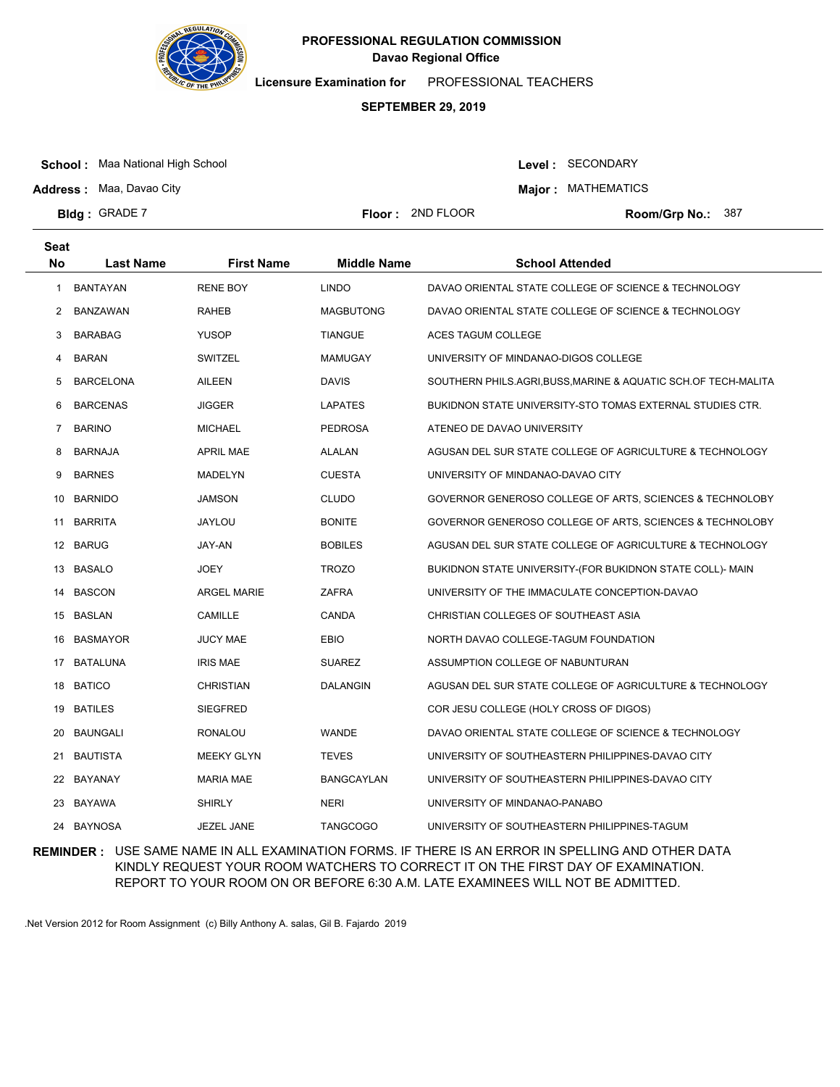

**Licensure Examination for**  PROFESSIONAL TEACHERS

# **SEPTEMBER 29, 2019**

**Floor :** 2ND FLOOR

**School :** Maa National High School

Level : SECONDARY

**Address :** Maa, Davao City

**Major : MATHEMATICS** 

Room/Grp No.: 387

| <b>Seat</b> |                  |                    |                    |                                                              |
|-------------|------------------|--------------------|--------------------|--------------------------------------------------------------|
| <b>No</b>   | <b>Last Name</b> | <b>First Name</b>  | <b>Middle Name</b> | <b>School Attended</b>                                       |
| -1          | <b>BANTAYAN</b>  | <b>RENE BOY</b>    | <b>LINDO</b>       | DAVAO ORIENTAL STATE COLLEGE OF SCIENCE & TECHNOLOGY         |
| 2           | BANZAWAN         | <b>RAHEB</b>       | <b>MAGBUTONG</b>   | DAVAO ORIENTAL STATE COLLEGE OF SCIENCE & TECHNOLOGY         |
| 3           | <b>BARABAG</b>   | <b>YUSOP</b>       | <b>TIANGUE</b>     | ACES TAGUM COLLEGE                                           |
| 4           | <b>BARAN</b>     | <b>SWITZEL</b>     | <b>MAMUGAY</b>     | UNIVERSITY OF MINDANAO-DIGOS COLLEGE                         |
| 5           | <b>BARCELONA</b> | AILEEN             | <b>DAVIS</b>       | SOUTHERN PHILS.AGRI,BUSS,MARINE & AQUATIC SCH.OF TECH-MALITA |
| 6           | <b>BARCENAS</b>  | <b>JIGGER</b>      | <b>LAPATES</b>     | BUKIDNON STATE UNIVERSITY-STO TOMAS EXTERNAL STUDIES CTR.    |
| 7           | <b>BARINO</b>    | <b>MICHAEL</b>     | <b>PEDROSA</b>     | ATENEO DE DAVAO UNIVERSITY                                   |
| 8           | <b>BARNAJA</b>   | <b>APRIL MAE</b>   | ALALAN             | AGUSAN DEL SUR STATE COLLEGE OF AGRICULTURE & TECHNOLOGY     |
| 9           | <b>BARNES</b>    | <b>MADELYN</b>     | <b>CUESTA</b>      | UNIVERSITY OF MINDANAO-DAVAO CITY                            |
| 10          | <b>BARNIDO</b>   | <b>JAMSON</b>      | <b>CLUDO</b>       | GOVERNOR GENEROSO COLLEGE OF ARTS, SCIENCES & TECHNOLOBY     |
| 11          | <b>BARRITA</b>   | JAYLOU             | <b>BONITE</b>      | GOVERNOR GENEROSO COLLEGE OF ARTS, SCIENCES & TECHNOLOBY     |
| 12          | <b>BARUG</b>     | JAY-AN             | <b>BOBILES</b>     | AGUSAN DEL SUR STATE COLLEGE OF AGRICULTURE & TECHNOLOGY     |
| 13          | <b>BASALO</b>    | <b>JOEY</b>        | <b>TROZO</b>       | BUKIDNON STATE UNIVERSITY-(FOR BUKIDNON STATE COLL)- MAIN    |
| 14          | <b>BASCON</b>    | <b>ARGEL MARIE</b> | ZAFRA              | UNIVERSITY OF THE IMMACULATE CONCEPTION-DAVAO                |
| 15          | BASLAN           | CAMILLE            | <b>CANDA</b>       | CHRISTIAN COLLEGES OF SOUTHEAST ASIA                         |
| 16          | <b>BASMAYOR</b>  | <b>JUCY MAE</b>    | <b>EBIO</b>        | NORTH DAVAO COLLEGE-TAGUM FOUNDATION                         |
| 17          | <b>BATALUNA</b>  | <b>IRIS MAE</b>    | <b>SUAREZ</b>      | ASSUMPTION COLLEGE OF NABUNTURAN                             |
| 18          | BATICO           | <b>CHRISTIAN</b>   | <b>DALANGIN</b>    | AGUSAN DEL SUR STATE COLLEGE OF AGRICULTURE & TECHNOLOGY     |
|             | 19 BATILES       | <b>SIEGFRED</b>    |                    | COR JESU COLLEGE (HOLY CROSS OF DIGOS)                       |
| 20          | <b>BAUNGALI</b>  | <b>RONALOU</b>     | <b>WANDE</b>       | DAVAO ORIENTAL STATE COLLEGE OF SCIENCE & TECHNOLOGY         |
| 21          | <b>BAUTISTA</b>  | MEEKY GLYN         | <b>TEVES</b>       | UNIVERSITY OF SOUTHEASTERN PHILIPPINES-DAVAO CITY            |
|             | 22 BAYANAY       | <b>MARIA MAE</b>   | <b>BANGCAYLAN</b>  | UNIVERSITY OF SOUTHEASTERN PHILIPPINES-DAVAO CITY            |
| 23          | BAYAWA           | <b>SHIRLY</b>      | <b>NERI</b>        | UNIVERSITY OF MINDANAO-PANABO                                |
| 24          | <b>BAYNOSA</b>   | JEZEL JANE         | <b>TANGCOGO</b>    | UNIVERSITY OF SOUTHEASTERN PHILIPPINES-TAGUM                 |

**REMINDER :** USE SAME NAME IN ALL EXAMINATION FORMS. IF THERE IS AN ERROR IN SPELLING AND OTHER DATA KINDLY REQUEST YOUR ROOM WATCHERS TO CORRECT IT ON THE FIRST DAY OF EXAMINATION. REPORT TO YOUR ROOM ON OR BEFORE 6:30 A.M. LATE EXAMINEES WILL NOT BE ADMITTED.

.Net Version 2012 for Room Assignment (c) Billy Anthony A. salas, Gil B. Fajardo 2019

**Bldg: GRADE 7**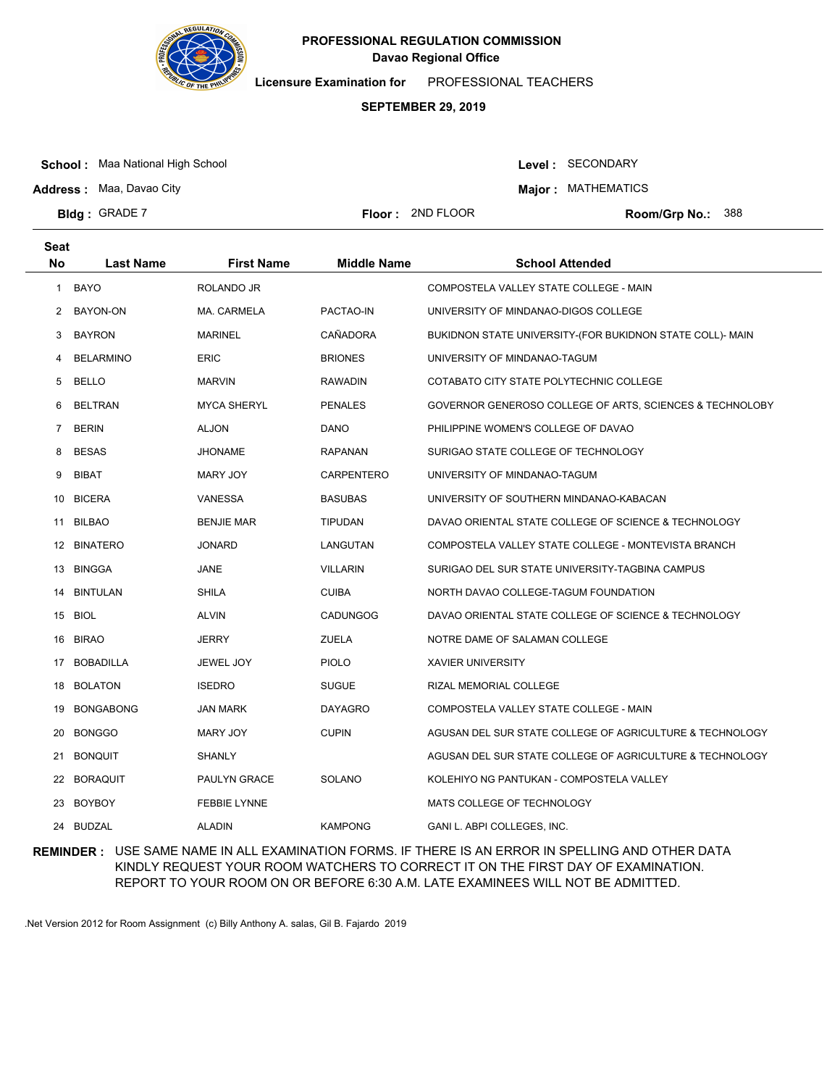

**Licensure Examination for**  PROFESSIONAL TEACHERS

# **SEPTEMBER 29, 2019**

**School :** Maa National High School

**Address :** Maa, Davao City

**Bldg: GRADE 7** 

**Seat**

Level : SECONDARY

**Major : MATHEMATICS** 

**Floor :** 2ND FLOOR

Room/Grp No.: 388

| υσαι<br>No | <b>Last Name</b> | <b>First Name</b>   | <b>Middle Name</b> | <b>School Attended</b>                                    |
|------------|------------------|---------------------|--------------------|-----------------------------------------------------------|
| 1          | BAYO             | ROLANDO JR          |                    | COMPOSTELA VALLEY STATE COLLEGE - MAIN                    |
| 2          | BAYON-ON         | MA. CARMELA         | PACTAO-IN          | UNIVERSITY OF MINDANAO-DIGOS COLLEGE                      |
| 3          | <b>BAYRON</b>    | <b>MARINEL</b>      | CAÑADORA           | BUKIDNON STATE UNIVERSITY-(FOR BUKIDNON STATE COLL)- MAIN |
| 4          | <b>BELARMINO</b> | <b>ERIC</b>         | <b>BRIONES</b>     | UNIVERSITY OF MINDANAO-TAGUM                              |
| 5          | <b>BELLO</b>     | <b>MARVIN</b>       | RAWADIN            | COTABATO CITY STATE POLYTECHNIC COLLEGE                   |
| 6          | <b>BELTRAN</b>   | <b>MYCA SHERYL</b>  | <b>PENALES</b>     | GOVERNOR GENEROSO COLLEGE OF ARTS, SCIENCES & TECHNOLOBY  |
| 7          | <b>BERIN</b>     | ALJON               | DANO               | PHILIPPINE WOMEN'S COLLEGE OF DAVAO                       |
| 8          | <b>BESAS</b>     | <b>JHONAME</b>      | <b>RAPANAN</b>     | SURIGAO STATE COLLEGE OF TECHNOLOGY                       |
| 9          | BIBAT            | MARY JOY            | <b>CARPENTERO</b>  | UNIVERSITY OF MINDANAO-TAGUM                              |
| 10         | <b>BICERA</b>    | <b>VANESSA</b>      | <b>BASUBAS</b>     | UNIVERSITY OF SOUTHERN MINDANAO-KABACAN                   |
| 11         | <b>BILBAO</b>    | <b>BENJIE MAR</b>   | <b>TIPUDAN</b>     | DAVAO ORIENTAL STATE COLLEGE OF SCIENCE & TECHNOLOGY      |
| 12         | <b>BINATERO</b>  | <b>JONARD</b>       | LANGUTAN           | COMPOSTELA VALLEY STATE COLLEGE - MONTEVISTA BRANCH       |
| 13         | <b>BINGGA</b>    | JANE                | VILLARIN           | SURIGAO DEL SUR STATE UNIVERSITY-TAGBINA CAMPUS           |
| 14         | <b>BINTULAN</b>  | <b>SHILA</b>        | <b>CUIBA</b>       | NORTH DAVAO COLLEGE-TAGUM FOUNDATION                      |
| 15         | BIOL             | <b>ALVIN</b>        | <b>CADUNGOG</b>    | DAVAO ORIENTAL STATE COLLEGE OF SCIENCE & TECHNOLOGY      |
| 16         | <b>BIRAO</b>     | <b>JERRY</b>        | <b>ZUELA</b>       | NOTRE DAME OF SALAMAN COLLEGE                             |
| 17         | <b>BOBADILLA</b> | JEWEL JOY           | <b>PIOLO</b>       | <b>XAVIER UNIVERSITY</b>                                  |
| 18         | <b>BOLATON</b>   | <b>ISEDRO</b>       | <b>SUGUE</b>       | RIZAL MEMORIAL COLLEGE                                    |
| 19         | <b>BONGABONG</b> | JAN MARK            | <b>DAYAGRO</b>     | COMPOSTELA VALLEY STATE COLLEGE - MAIN                    |
| 20         | <b>BONGGO</b>    | MARY JOY            | <b>CUPIN</b>       | AGUSAN DEL SUR STATE COLLEGE OF AGRICULTURE & TECHNOLOGY  |
| 21         | <b>BONQUIT</b>   | <b>SHANLY</b>       |                    | AGUSAN DEL SUR STATE COLLEGE OF AGRICULTURE & TECHNOLOGY  |
| 22         | <b>BORAQUIT</b>  | PAULYN GRACE        | SOLANO             | KOLEHIYO NG PANTUKAN - COMPOSTELA VALLEY                  |
| 23         | BOYBOY           | <b>FEBBIE LYNNE</b> |                    | MATS COLLEGE OF TECHNOLOGY                                |
|            | 24 BUDZAL        | <b>ALADIN</b>       | <b>KAMPONG</b>     | GANI L. ABPI COLLEGES, INC.                               |

**REMINDER :** USE SAME NAME IN ALL EXAMINATION FORMS. IF THERE IS AN ERROR IN SPELLING AND OTHER DATA KINDLY REQUEST YOUR ROOM WATCHERS TO CORRECT IT ON THE FIRST DAY OF EXAMINATION. REPORT TO YOUR ROOM ON OR BEFORE 6:30 A.M. LATE EXAMINEES WILL NOT BE ADMITTED.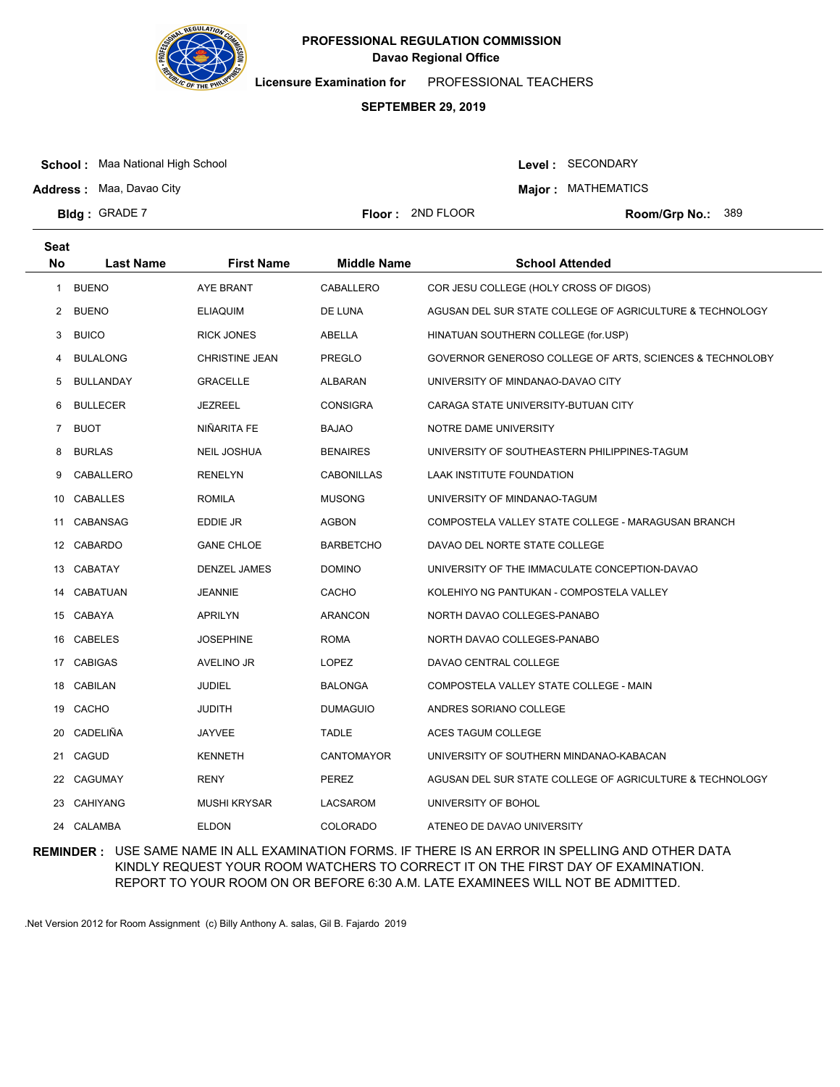

**Licensure Examination for**  PROFESSIONAL TEACHERS

### **SEPTEMBER 29, 2019**

**School :** Maa National High School

**Address :** Maa, Davao City

**Bldg: GRADE 7** 

Level : SECONDARY

**Major : MATHEMATICS** 

**Floor :** 2ND FLOOR

Room/Grp No.: 389

| <b>Seat</b> |                  |                     |                    |                                                          |
|-------------|------------------|---------------------|--------------------|----------------------------------------------------------|
| <b>No</b>   | <b>Last Name</b> | <b>First Name</b>   | <b>Middle Name</b> | <b>School Attended</b>                                   |
| 1           | <b>BUENO</b>     | <b>AYE BRANT</b>    | CABALLERO          | COR JESU COLLEGE (HOLY CROSS OF DIGOS)                   |
| 2           | <b>BUENO</b>     | <b>ELIAQUIM</b>     | DE LUNA            | AGUSAN DEL SUR STATE COLLEGE OF AGRICULTURE & TECHNOLOGY |
| 3           | <b>BUICO</b>     | <b>RICK JONES</b>   | ABELLA             | HINATUAN SOUTHERN COLLEGE (for.USP)                      |
| 4           | <b>BULALONG</b>  | CHRISTINE JEAN      | PREGLO             | GOVERNOR GENEROSO COLLEGE OF ARTS, SCIENCES & TECHNOLOBY |
| 5           | <b>BULLANDAY</b> | GRACELLE            | ALBARAN            | UNIVERSITY OF MINDANAO-DAVAO CITY                        |
| 6           | <b>BULLECER</b>  | <b>JEZREEL</b>      | <b>CONSIGRA</b>    | CARAGA STATE UNIVERSITY-BUTUAN CITY                      |
| 7           | <b>BUOT</b>      | NIÑARITA FE         | <b>BAJAO</b>       | NOTRE DAME UNIVERSITY                                    |
| 8           | <b>BURLAS</b>    | <b>NEIL JOSHUA</b>  | <b>BENAIRES</b>    | UNIVERSITY OF SOUTHEASTERN PHILIPPINES-TAGUM             |
| 9           | CABALLERO        | <b>RENELYN</b>      | <b>CABONILLAS</b>  | LAAK INSTITUTE FOUNDATION                                |
| 10          | <b>CABALLES</b>  | <b>ROMILA</b>       | <b>MUSONG</b>      | UNIVERSITY OF MINDANAO-TAGUM                             |
| 11          | <b>CABANSAG</b>  | EDDIE JR            | <b>AGBON</b>       | COMPOSTELA VALLEY STATE COLLEGE - MARAGUSAN BRANCH       |
|             | 12 CABARDO       | <b>GANE CHLOE</b>   | <b>BARBETCHO</b>   | DAVAO DEL NORTE STATE COLLEGE                            |
|             | 13 CABATAY       | <b>DENZEL JAMES</b> | <b>DOMINO</b>      | UNIVERSITY OF THE IMMACULATE CONCEPTION-DAVAO            |
| 14          | CABATUAN         | <b>JEANNIE</b>      | CACHO              | KOLEHIYO NG PANTUKAN - COMPOSTELA VALLEY                 |
|             | 15 CABAYA        | APRILYN             | ARANCON            | NORTH DAVAO COLLEGES-PANABO                              |
| 16          | <b>CABELES</b>   | <b>JOSEPHINE</b>    | <b>ROMA</b>        | NORTH DAVAO COLLEGES-PANABO                              |
|             | 17 CABIGAS       | AVELINO JR          | <b>LOPEZ</b>       | DAVAO CENTRAL COLLEGE                                    |
| 18          | <b>CABILAN</b>   | <b>JUDIEL</b>       | <b>BALONGA</b>     | COMPOSTELA VALLEY STATE COLLEGE - MAIN                   |
|             | 19 CACHO         | <b>JUDITH</b>       | <b>DUMAGUIO</b>    | ANDRES SORIANO COLLEGE                                   |
| 20          | CADELIÑA         | <b>JAYVEE</b>       | TADLE              | ACES TAGUM COLLEGE                                       |
| 21          | CAGUD            | <b>KENNETH</b>      | CANTOMAYOR         | UNIVERSITY OF SOUTHERN MINDANAO-KABACAN                  |
| 22          | CAGUMAY          | <b>RENY</b>         | <b>PEREZ</b>       | AGUSAN DEL SUR STATE COLLEGE OF AGRICULTURE & TECHNOLOGY |
| 23          | CAHIYANG         | <b>MUSHI KRYSAR</b> | LACSAROM           | UNIVERSITY OF BOHOL                                      |
|             | 24 CALAMBA       | <b>ELDON</b>        | <b>COLORADO</b>    | ATENEO DE DAVAO UNIVERSITY                               |

**REMINDER :** USE SAME NAME IN ALL EXAMINATION FORMS. IF THERE IS AN ERROR IN SPELLING AND OTHER DATA KINDLY REQUEST YOUR ROOM WATCHERS TO CORRECT IT ON THE FIRST DAY OF EXAMINATION. REPORT TO YOUR ROOM ON OR BEFORE 6:30 A.M. LATE EXAMINEES WILL NOT BE ADMITTED.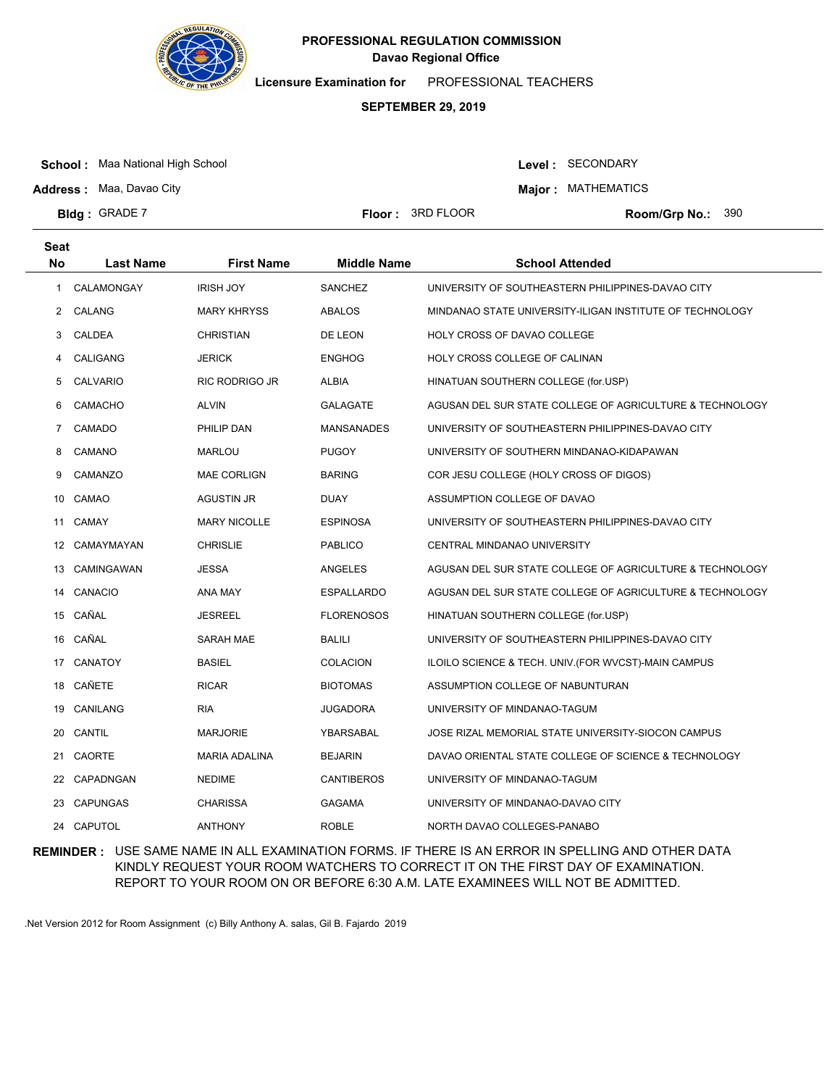

**Licensure Examination for**  PROFESSIONAL TEACHERS

# **SEPTEMBER 29, 2019**

**School :** Maa National High School

Level : SECONDARY

**Major : MATHEMATICS** 

**Address :** Maa, Davao City **Bldg: GRADE 7** 

**Floor : 3RD FLOOR** 

Room/Grp No.: 390

| <b>Seat</b>           |                  |                      |                    |                                                          |
|-----------------------|------------------|----------------------|--------------------|----------------------------------------------------------|
| <b>No</b>             | <b>Last Name</b> | <b>First Name</b>    | <b>Middle Name</b> | <b>School Attended</b>                                   |
| 1                     | CALAMONGAY       | <b>IRISH JOY</b>     | <b>SANCHEZ</b>     | UNIVERSITY OF SOUTHEASTERN PHILIPPINES-DAVAO CITY        |
| $\mathbf{2}^{\prime}$ | CALANG           | <b>MARY KHRYSS</b>   | <b>ABALOS</b>      | MINDANAO STATE UNIVERSITY-ILIGAN INSTITUTE OF TECHNOLOGY |
| 3                     | CALDEA           | <b>CHRISTIAN</b>     | DE LEON            | HOLY CROSS OF DAVAO COLLEGE                              |
| 4                     | CALIGANG         | <b>JERICK</b>        | <b>ENGHOG</b>      | HOLY CROSS COLLEGE OF CALINAN                            |
| 5                     | CALVARIO         | RIC RODRIGO JR       | <b>ALBIA</b>       | HINATUAN SOUTHERN COLLEGE (for.USP)                      |
| 6                     | <b>CAMACHO</b>   | <b>ALVIN</b>         | <b>GALAGATE</b>    | AGUSAN DEL SUR STATE COLLEGE OF AGRICULTURE & TECHNOLOGY |
| 7                     | CAMADO           | PHILIP DAN           | <b>MANSANADES</b>  | UNIVERSITY OF SOUTHEASTERN PHILIPPINES-DAVAO CITY        |
| 8                     | CAMANO           | MARLOU               | <b>PUGOY</b>       | UNIVERSITY OF SOUTHERN MINDANAO-KIDAPAWAN                |
| 9                     | CAMANZO          | <b>MAE CORLIGN</b>   | <b>BARING</b>      | COR JESU COLLEGE (HOLY CROSS OF DIGOS)                   |
| 10                    | CAMAO            | AGUSTIN JR           | DUAY               | ASSUMPTION COLLEGE OF DAVAO                              |
| 11                    | CAMAY            | <b>MARY NICOLLE</b>  | <b>ESPINOSA</b>    | UNIVERSITY OF SOUTHEASTERN PHILIPPINES-DAVAO CITY        |
| 12                    | CAMAYMAYAN       | <b>CHRISLIE</b>      | <b>PABLICO</b>     | CENTRAL MINDANAO UNIVERSITY                              |
| 13                    | CAMINGAWAN       | <b>JESSA</b>         | <b>ANGELES</b>     | AGUSAN DEL SUR STATE COLLEGE OF AGRICULTURE & TECHNOLOGY |
| 14                    | CANACIO          | ANA MAY              | <b>ESPALLARDO</b>  | AGUSAN DEL SUR STATE COLLEGE OF AGRICULTURE & TECHNOLOGY |
| 15                    | CAÑAL            | <b>JESREEL</b>       | <b>FLORENOSOS</b>  | HINATUAN SOUTHERN COLLEGE (for.USP)                      |
|                       | 16 CAÑAL         | SARAH MAE            | <b>BALILI</b>      | UNIVERSITY OF SOUTHEASTERN PHILIPPINES-DAVAO CITY        |
| 17                    | CANATOY          | <b>BASIEL</b>        | <b>COLACION</b>    | ILOILO SCIENCE & TECH. UNIV. (FOR WVCST)-MAIN CAMPUS     |
| 18                    | CAÑETE           | <b>RICAR</b>         | <b>BIOTOMAS</b>    | ASSUMPTION COLLEGE OF NABUNTURAN                         |
| 19                    | CANILANG         | <b>RIA</b>           | JUGADORA           | UNIVERSITY OF MINDANAO-TAGUM                             |
| 20                    | CANTIL           | <b>MARJORIE</b>      | YBARSABAL          | JOSE RIZAL MEMORIAL STATE UNIVERSITY-SIOCON CAMPUS       |
| 21                    | <b>CAORTE</b>    | <b>MARIA ADALINA</b> | <b>BEJARIN</b>     | DAVAO ORIENTAL STATE COLLEGE OF SCIENCE & TECHNOLOGY     |
| 22                    | CAPADNGAN        | <b>NEDIME</b>        | <b>CANTIBEROS</b>  | UNIVERSITY OF MINDANAO-TAGUM                             |
| 23                    | <b>CAPUNGAS</b>  | <b>CHARISSA</b>      | <b>GAGAMA</b>      | UNIVERSITY OF MINDANAO-DAVAO CITY                        |
|                       | 24 CAPUTOL       | <b>ANTHONY</b>       | <b>ROBLE</b>       | NORTH DAVAO COLLEGES-PANABO                              |

**REMINDER :** USE SAME NAME IN ALL EXAMINATION FORMS. IF THERE IS AN ERROR IN SPELLING AND OTHER DATA KINDLY REQUEST YOUR ROOM WATCHERS TO CORRECT IT ON THE FIRST DAY OF EXAMINATION. REPORT TO YOUR ROOM ON OR BEFORE 6:30 A.M. LATE EXAMINEES WILL NOT BE ADMITTED.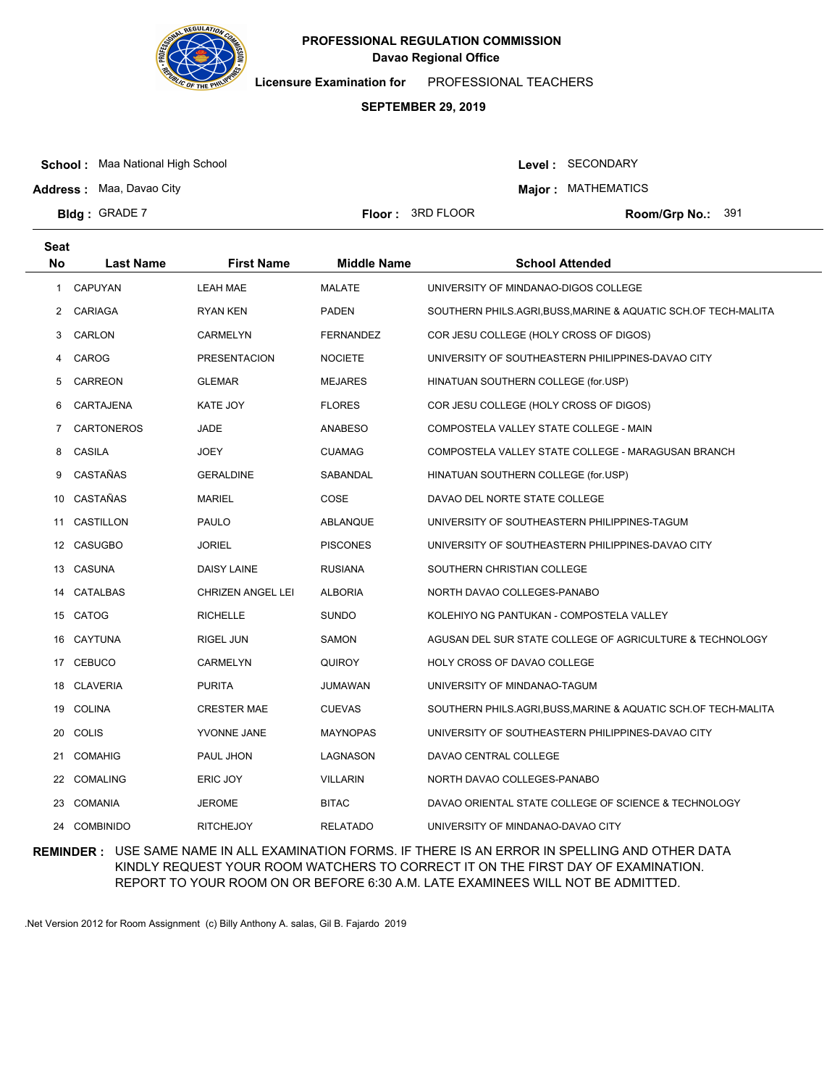

**Licensure Examination for**  PROFESSIONAL TEACHERS

### **SEPTEMBER 29, 2019**

**School :** Maa National High School

**Address :** Maa, Davao City

Level : SECONDARY

**Major : MATHEMATICS** 

**Floor : 3RD FLOOR** 

Room/Grp No.: 391

| <b>Seat</b> |                   |                          |                    |                                                                |
|-------------|-------------------|--------------------------|--------------------|----------------------------------------------------------------|
| <b>No</b>   | Last Name         | <b>First Name</b>        | <b>Middle Name</b> | <b>School Attended</b>                                         |
| 1           | <b>CAPUYAN</b>    | LEAH MAE                 | <b>MALATE</b>      | UNIVERSITY OF MINDANAO-DIGOS COLLEGE                           |
| 2           | CARIAGA           | <b>RYAN KEN</b>          | <b>PADEN</b>       | SOUTHERN PHILS.AGRI, BUSS, MARINE & AQUATIC SCH.OF TECH-MALITA |
| 3           | CARLON            | <b>CARMELYN</b>          | <b>FERNANDEZ</b>   | COR JESU COLLEGE (HOLY CROSS OF DIGOS)                         |
| 4           | CAROG             | <b>PRESENTACION</b>      | <b>NOCIETE</b>     | UNIVERSITY OF SOUTHEASTERN PHILIPPINES-DAVAO CITY              |
| 5           | CARREON           | <b>GLEMAR</b>            | <b>MEJARES</b>     | HINATUAN SOUTHERN COLLEGE (for.USP)                            |
| 6           | CARTAJENA         | <b>KATE JOY</b>          | <b>FLORES</b>      | COR JESU COLLEGE (HOLY CROSS OF DIGOS)                         |
| 7           | <b>CARTONEROS</b> | JADE                     | <b>ANABESO</b>     | COMPOSTELA VALLEY STATE COLLEGE - MAIN                         |
| 8           | CASILA            | <b>JOEY</b>              | <b>CUAMAG</b>      | COMPOSTELA VALLEY STATE COLLEGE - MARAGUSAN BRANCH             |
| 9           | CASTAÑAS          | <b>GERALDINE</b>         | SABANDAL           | HINATUAN SOUTHERN COLLEGE (for.USP)                            |
| 10          | CASTAÑAS          | <b>MARIEL</b>            | COSE               | DAVAO DEL NORTE STATE COLLEGE                                  |
| 11          | CASTILLON         | <b>PAULO</b>             | ABLANQUE           | UNIVERSITY OF SOUTHEASTERN PHILIPPINES-TAGUM                   |
|             | 12 CASUGBO        | <b>JORIEL</b>            | <b>PISCONES</b>    | UNIVERSITY OF SOUTHEASTERN PHILIPPINES-DAVAO CITY              |
| 13          | CASUNA            | <b>DAISY LAINE</b>       | <b>RUSIANA</b>     | SOUTHERN CHRISTIAN COLLEGE                                     |
| 14          | CATALBAS          | <b>CHRIZEN ANGEL LEI</b> | <b>ALBORIA</b>     | NORTH DAVAO COLLEGES-PANABO                                    |
|             | 15 CATOG          | <b>RICHELLE</b>          | <b>SUNDO</b>       | KOLEHIYO NG PANTUKAN - COMPOSTELA VALLEY                       |
| 16          | CAYTUNA           | <b>RIGEL JUN</b>         | SAMON              | AGUSAN DEL SUR STATE COLLEGE OF AGRICULTURE & TECHNOLOGY       |
|             | 17 CEBUCO         | <b>CARMELYN</b>          | <b>QUIROY</b>      | HOLY CROSS OF DAVAO COLLEGE                                    |
|             | 18 CLAVERIA       | <b>PURITA</b>            | JUMAWAN            | UNIVERSITY OF MINDANAO-TAGUM                                   |
|             | 19 COLINA         | <b>CRESTER MAE</b>       | <b>CUEVAS</b>      | SOUTHERN PHILS.AGRI, BUSS, MARINE & AQUATIC SCH.OF TECH-MALITA |
| 20          | COLIS             | YVONNE JANE              | <b>MAYNOPAS</b>    | UNIVERSITY OF SOUTHEASTERN PHILIPPINES-DAVAO CITY              |
| 21          | COMAHIG           | PAUL JHON                | LAGNASON           | DAVAO CENTRAL COLLEGE                                          |
| 22          | <b>COMALING</b>   | ERIC JOY                 | <b>VILLARIN</b>    | NORTH DAVAO COLLEGES-PANABO                                    |
| 23          | <b>COMANIA</b>    | <b>JEROME</b>            | <b>BITAC</b>       | DAVAO ORIENTAL STATE COLLEGE OF SCIENCE & TECHNOLOGY           |
| 24          | <b>COMBINIDO</b>  | <b>RITCHEJOY</b>         | <b>RELATADO</b>    | UNIVERSITY OF MINDANAO-DAVAO CITY                              |

**REMINDER :** USE SAME NAME IN ALL EXAMINATION FORMS. IF THERE IS AN ERROR IN SPELLING AND OTHER DATA KINDLY REQUEST YOUR ROOM WATCHERS TO CORRECT IT ON THE FIRST DAY OF EXAMINATION. REPORT TO YOUR ROOM ON OR BEFORE 6:30 A.M. LATE EXAMINEES WILL NOT BE ADMITTED.

.Net Version 2012 for Room Assignment (c) Billy Anthony A. salas, Gil B. Fajardo 2019

**Bldg: GRADE 7**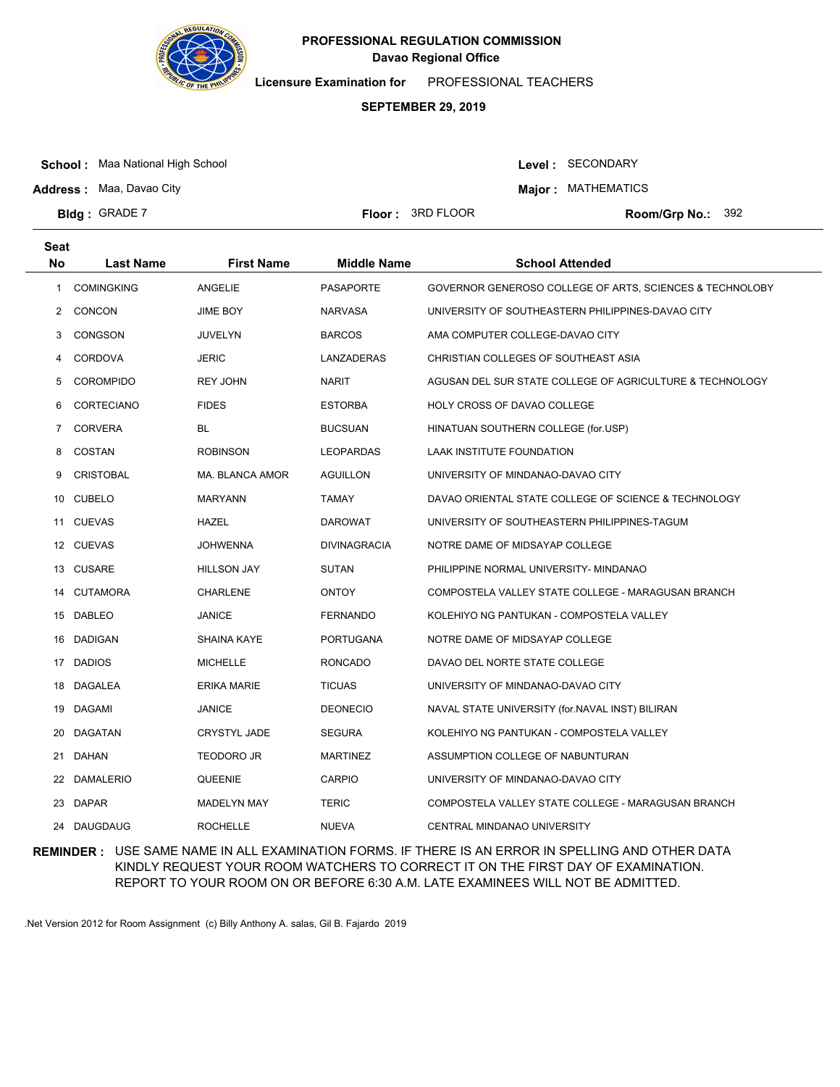

**Licensure Examination for**  PROFESSIONAL TEACHERS

### **SEPTEMBER 29, 2019**

**School :** Maa National High School

**Address :** Maa, Davao City

**Bldg: GRADE 7** 

Level : SECONDARY

**Major : MATHEMATICS** 

**Floor : 3RD FLOOR** 

Room/Grp No.: 392

| <b>Seat</b> |                   |                     |                     |                                                          |
|-------------|-------------------|---------------------|---------------------|----------------------------------------------------------|
| <b>No</b>   | <b>Last Name</b>  | <b>First Name</b>   | <b>Middle Name</b>  | <b>School Attended</b>                                   |
| 1           | <b>COMINGKING</b> | ANGELIE             | <b>PASAPORTE</b>    | GOVERNOR GENEROSO COLLEGE OF ARTS, SCIENCES & TECHNOLOBY |
| 2           | <b>CONCON</b>     | JIME BOY            | <b>NARVASA</b>      | UNIVERSITY OF SOUTHEASTERN PHILIPPINES-DAVAO CITY        |
| 3           | <b>CONGSON</b>    | JUVELYN             | <b>BARCOS</b>       | AMA COMPUTER COLLEGE-DAVAO CITY                          |
| 4           | <b>CORDOVA</b>    | JERIC               | LANZADERAS          | CHRISTIAN COLLEGES OF SOUTHEAST ASIA                     |
| 5           | <b>COROMPIDO</b>  | <b>REY JOHN</b>     | <b>NARIT</b>        | AGUSAN DEL SUR STATE COLLEGE OF AGRICULTURE & TECHNOLOGY |
| 6           | <b>CORTECIANO</b> | <b>FIDES</b>        | <b>ESTORBA</b>      | HOLY CROSS OF DAVAO COLLEGE                              |
| 7           | <b>CORVERA</b>    | BL                  | <b>BUCSUAN</b>      | HINATUAN SOUTHERN COLLEGE (for.USP)                      |
| 8           | COSTAN            | <b>ROBINSON</b>     | <b>LEOPARDAS</b>    | LAAK INSTITUTE FOUNDATION                                |
| 9           | <b>CRISTOBAL</b>  | MA. BLANCA AMOR     | <b>AGUILLON</b>     | UNIVERSITY OF MINDANAO-DAVAO CITY                        |
| 10          | <b>CUBELO</b>     | <b>MARYANN</b>      | <b>TAMAY</b>        | DAVAO ORIENTAL STATE COLLEGE OF SCIENCE & TECHNOLOGY     |
| 11          | <b>CUEVAS</b>     | HAZEL               | <b>DAROWAT</b>      | UNIVERSITY OF SOUTHEASTERN PHILIPPINES-TAGUM             |
| 12          | CUEVAS            | <b>JOHWENNA</b>     | <b>DIVINAGRACIA</b> | NOTRE DAME OF MIDSAYAP COLLEGE                           |
| 13          | <b>CUSARE</b>     | <b>HILLSON JAY</b>  | <b>SUTAN</b>        | PHILIPPINE NORMAL UNIVERSITY- MINDANAO                   |
| 14          | <b>CUTAMORA</b>   | <b>CHARLENE</b>     | <b>ONTOY</b>        | COMPOSTELA VALLEY STATE COLLEGE - MARAGUSAN BRANCH       |
| 15          | DABLEO            | JANICE              | FERNANDO            | KOLEHIYO NG PANTUKAN - COMPOSTELA VALLEY                 |
| 16          | <b>DADIGAN</b>    | <b>SHAINA KAYE</b>  | <b>PORTUGANA</b>    | NOTRE DAME OF MIDSAYAP COLLEGE                           |
| 17          | <b>DADIOS</b>     | MICHELLE            | RONCADO             | DAVAO DEL NORTE STATE COLLEGE                            |
| 18          | DAGALEA           | ERIKA MARIE         | <b>TICUAS</b>       | UNIVERSITY OF MINDANAO-DAVAO CITY                        |
|             | 19 DAGAMI         | JANICE              | <b>DEONECIO</b>     | NAVAL STATE UNIVERSITY (for.NAVAL INST) BILIRAN          |
| 20          | <b>DAGATAN</b>    | <b>CRYSTYL JADE</b> | <b>SEGURA</b>       | KOLEHIYO NG PANTUKAN - COMPOSTELA VALLEY                 |
| 21          | DAHAN             | <b>TEODORO JR</b>   | <b>MARTINEZ</b>     | ASSUMPTION COLLEGE OF NABUNTURAN                         |
| 22          | <b>DAMALERIO</b>  | QUEENIE             | <b>CARPIO</b>       | UNIVERSITY OF MINDANAO-DAVAO CITY                        |
| 23          | DAPAR             | <b>MADELYN MAY</b>  | <b>TERIC</b>        | COMPOSTELA VALLEY STATE COLLEGE - MARAGUSAN BRANCH       |
| 24          | <b>DAUGDAUG</b>   | <b>ROCHELLE</b>     | <b>NUEVA</b>        | CENTRAL MINDANAO UNIVERSITY                              |

**REMINDER :** USE SAME NAME IN ALL EXAMINATION FORMS. IF THERE IS AN ERROR IN SPELLING AND OTHER DATA KINDLY REQUEST YOUR ROOM WATCHERS TO CORRECT IT ON THE FIRST DAY OF EXAMINATION. REPORT TO YOUR ROOM ON OR BEFORE 6:30 A.M. LATE EXAMINEES WILL NOT BE ADMITTED.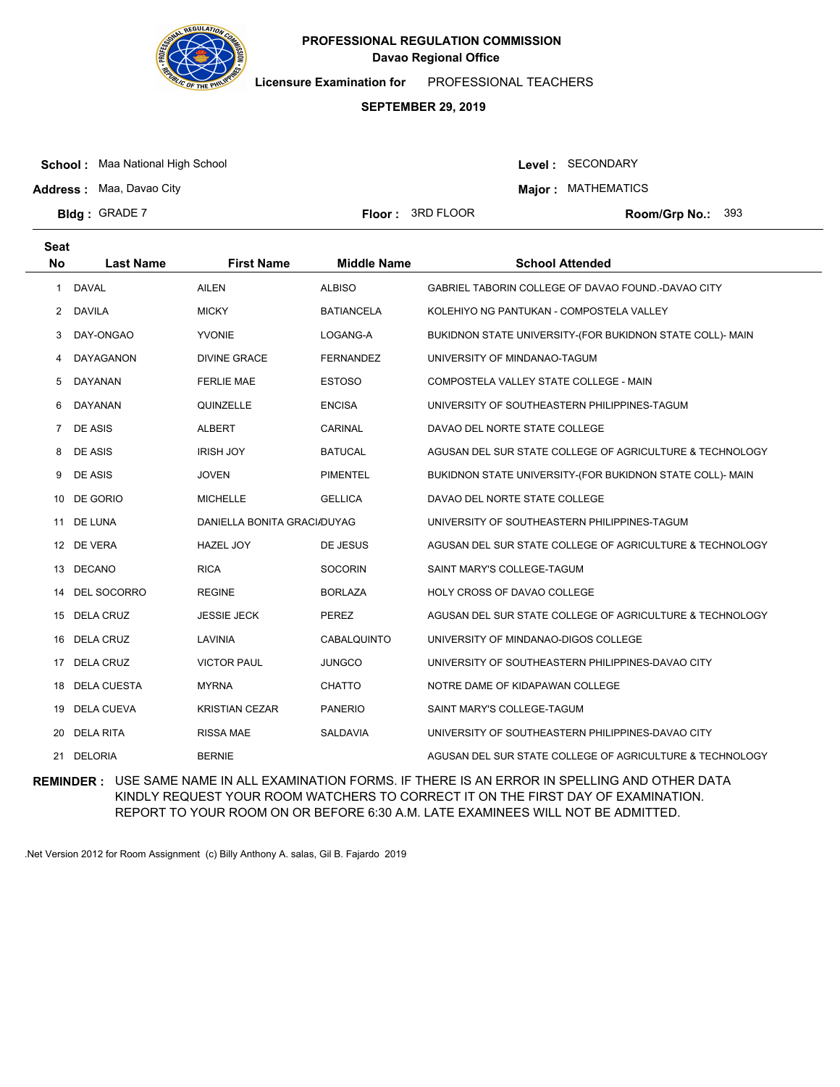

**Licensure Examination for**  PROFESSIONAL TEACHERS

# **SEPTEMBER 29, 2019**

**School :** Maa National High School

Level : SECONDARY

**Major : MATHEMATICS** 

**Address :** Maa, Davao City **Bldg: GRADE 7** 

**Floor : 3RD FLOOR** 

Room/Grp No.: 393

| <b>Seat</b><br><b>No</b> | <b>Last Name</b>   | <b>First Name</b>           | <b>Middle Name</b> | <b>School Attended</b>                                    |
|--------------------------|--------------------|-----------------------------|--------------------|-----------------------------------------------------------|
|                          |                    |                             |                    |                                                           |
| 1                        | <b>DAVAL</b>       | <b>AILEN</b>                | <b>ALBISO</b>      | GABRIEL TABORIN COLLEGE OF DAVAO FOUND.-DAVAO CITY        |
| 2                        | <b>DAVILA</b>      | <b>MICKY</b>                | <b>BATIANCELA</b>  | KOLEHIYO NG PANTUKAN - COMPOSTELA VALLEY                  |
| 3                        | DAY-ONGAO          | <b>YVONIE</b>               | LOGANG-A           | BUKIDNON STATE UNIVERSITY-(FOR BUKIDNON STATE COLL)- MAIN |
| 4                        | DAYAGANON          | <b>DIVINE GRACE</b>         | <b>FERNANDEZ</b>   | UNIVERSITY OF MINDANAO-TAGUM                              |
| 5                        | DAYANAN            | <b>FERLIE MAE</b>           | <b>ESTOSO</b>      | COMPOSTELA VALLEY STATE COLLEGE - MAIN                    |
| 6                        | DAYANAN            | QUINZELLE                   | <b>ENCISA</b>      | UNIVERSITY OF SOUTHEASTERN PHILIPPINES-TAGUM              |
| 7                        | DE ASIS            | <b>ALBERT</b>               | CARINAL            | DAVAO DEL NORTE STATE COLLEGE                             |
| 8                        | DE ASIS            | <b>IRISH JOY</b>            | <b>BATUCAL</b>     | AGUSAN DEL SUR STATE COLLEGE OF AGRICULTURE & TECHNOLOGY  |
| 9                        | DE ASIS            | <b>JOVEN</b>                | <b>PIMENTEL</b>    | BUKIDNON STATE UNIVERSITY-(FOR BUKIDNON STATE COLL)- MAIN |
| 10                       | DE GORIO           | <b>MICHELLE</b>             | <b>GELLICA</b>     | DAVAO DEL NORTE STATE COLLEGE                             |
|                          | 11 DE LUNA         | DANIELLA BONITA GRACI/DUYAG |                    | UNIVERSITY OF SOUTHEASTERN PHILIPPINES-TAGUM              |
|                          | 12 DE VERA         | <b>HAZEL JOY</b>            | DE JESUS           | AGUSAN DEL SUR STATE COLLEGE OF AGRICULTURE & TECHNOLOGY  |
| 13                       | DECANO             | <b>RICA</b>                 | <b>SOCORIN</b>     | SAINT MARY'S COLLEGE-TAGUM                                |
| 14                       | DEL SOCORRO        | <b>REGINE</b>               | <b>BORLAZA</b>     | HOLY CROSS OF DAVAO COLLEGE                               |
| 15                       | <b>DELA CRUZ</b>   | <b>JESSIE JECK</b>          | PEREZ              | AGUSAN DEL SUR STATE COLLEGE OF AGRICULTURE & TECHNOLOGY  |
| 16                       | <b>DELA CRUZ</b>   | LAVINIA                     | CABALQUINTO        | UNIVERSITY OF MINDANAO-DIGOS COLLEGE                      |
| 17                       | <b>DELA CRUZ</b>   | <b>VICTOR PAUL</b>          | <b>JUNGCO</b>      | UNIVERSITY OF SOUTHEASTERN PHILIPPINES-DAVAO CITY         |
| 18                       | <b>DELA CUESTA</b> | <b>MYRNA</b>                | <b>CHATTO</b>      | NOTRE DAME OF KIDAPAWAN COLLEGE                           |
| 19                       | <b>DELA CUEVA</b>  | <b>KRISTIAN CEZAR</b>       | <b>PANERIO</b>     | SAINT MARY'S COLLEGE-TAGUM                                |
| 20                       | <b>DELA RITA</b>   | <b>RISSA MAE</b>            | SALDAVIA           | UNIVERSITY OF SOUTHEASTERN PHILIPPINES-DAVAO CITY         |
| 21                       | <b>DELORIA</b>     | <b>BERNIE</b>               |                    | AGUSAN DEL SUR STATE COLLEGE OF AGRICULTURE & TECHNOLOGY  |

**REMINDER :** USE SAME NAME IN ALL EXAMINATION FORMS. IF THERE IS AN ERROR IN SPELLING AND OTHER DATA KINDLY REQUEST YOUR ROOM WATCHERS TO CORRECT IT ON THE FIRST DAY OF EXAMINATION. REPORT TO YOUR ROOM ON OR BEFORE 6:30 A.M. LATE EXAMINEES WILL NOT BE ADMITTED.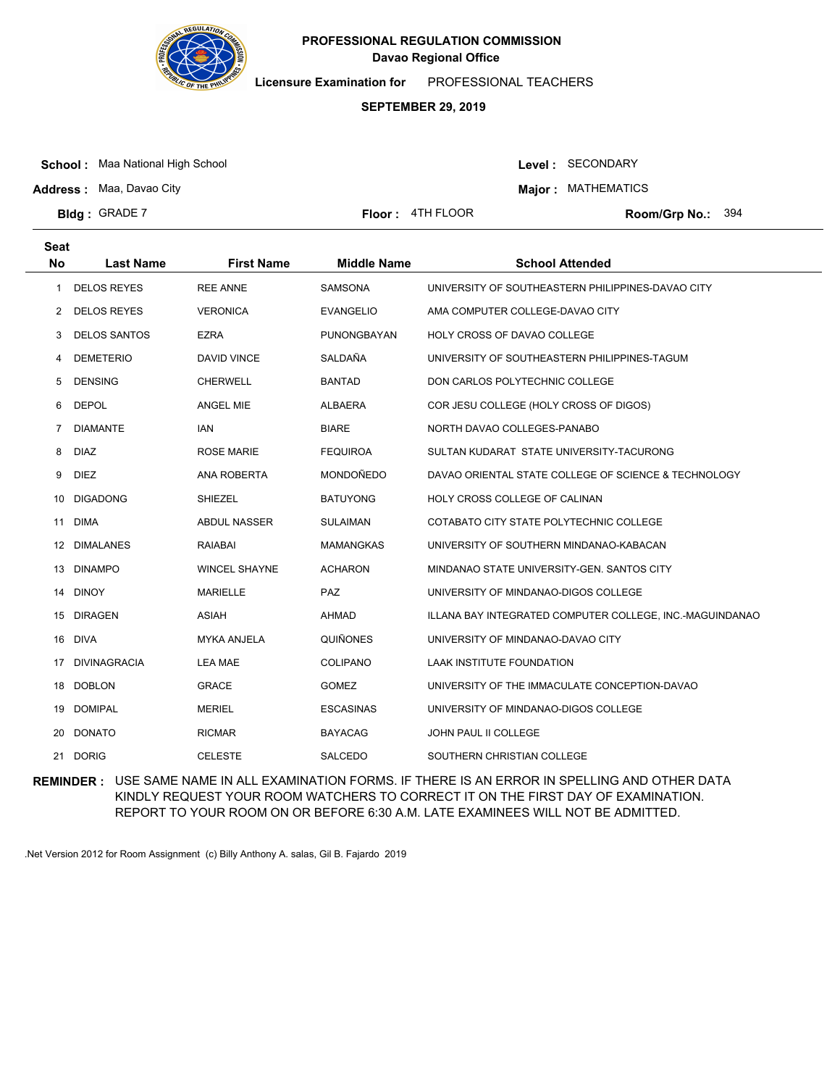

**Licensure Examination for**  PROFESSIONAL TEACHERS

### **SEPTEMBER 29, 2019**

**School :** Maa National High School

Level : SECONDARY

**Major : MATHEMATICS** 

**Address :** Maa, Davao City **Bldg: GRADE 7** 

**Floor :**  $4TH FLOOR$ 

Room/Grp No.: 394

| <b>Seat</b> |                     |                      |                    |                                                          |
|-------------|---------------------|----------------------|--------------------|----------------------------------------------------------|
| <b>No</b>   | <b>Last Name</b>    | <b>First Name</b>    | <b>Middle Name</b> | <b>School Attended</b>                                   |
| 1           | <b>DELOS REYES</b>  | <b>REE ANNE</b>      | <b>SAMSONA</b>     | UNIVERSITY OF SOUTHEASTERN PHILIPPINES-DAVAO CITY        |
| 2           | <b>DELOS REYES</b>  | <b>VERONICA</b>      | <b>EVANGELIO</b>   | AMA COMPUTER COLLEGE-DAVAO CITY                          |
| 3           | <b>DELOS SANTOS</b> | <b>EZRA</b>          | PUNONGBAYAN        | HOLY CROSS OF DAVAO COLLEGE                              |
| 4           | <b>DEMETERIO</b>    | <b>DAVID VINCE</b>   | SALDAÑA            | UNIVERSITY OF SOUTHEASTERN PHILIPPINES-TAGUM             |
| 5           | <b>DENSING</b>      | <b>CHERWELL</b>      | <b>BANTAD</b>      | DON CARLOS POLYTECHNIC COLLEGE                           |
| 6           | <b>DEPOL</b>        | ANGEL MIE            | <b>ALBAERA</b>     | COR JESU COLLEGE (HOLY CROSS OF DIGOS)                   |
| 7           | <b>DIAMANTE</b>     | IAN                  | <b>BIARE</b>       | NORTH DAVAO COLLEGES-PANABO                              |
| 8           | <b>DIAZ</b>         | <b>ROSE MARIE</b>    | <b>FEQUIROA</b>    | SULTAN KUDARAT STATE UNIVERSITY-TACURONG                 |
| 9           | <b>DIEZ</b>         | ANA ROBERTA          | MONDOÑEDO          | DAVAO ORIENTAL STATE COLLEGE OF SCIENCE & TECHNOLOGY     |
| 10          | <b>DIGADONG</b>     | SHIEZEL              | <b>BATUYONG</b>    | HOLY CROSS COLLEGE OF CALINAN                            |
| 11          | DIMA                | <b>ABDUL NASSER</b>  | <b>SULAIMAN</b>    | COTABATO CITY STATE POLYTECHNIC COLLEGE                  |
| 12          | <b>DIMALANES</b>    | <b>RAIABAI</b>       | <b>MAMANGKAS</b>   | UNIVERSITY OF SOUTHERN MINDANAO-KABACAN                  |
| 13          | <b>DINAMPO</b>      | <b>WINCEL SHAYNE</b> | <b>ACHARON</b>     | MINDANAO STATE UNIVERSITY-GEN. SANTOS CITY               |
| 14          | <b>DINOY</b>        | <b>MARIELLE</b>      | PAZ                | UNIVERSITY OF MINDANAO-DIGOS COLLEGE                     |
| 15          | <b>DIRAGEN</b>      | <b>ASIAH</b>         | <b>AHMAD</b>       | ILLANA BAY INTEGRATED COMPUTER COLLEGE, INC.-MAGUINDANAO |
| 16          | DIVA                | <b>MYKA ANJELA</b>   | <b>QUIÑONES</b>    | UNIVERSITY OF MINDANAO-DAVAO CITY                        |
| 17          | DIVINAGRACIA        | <b>LEA MAE</b>       | COLIPANO           | LAAK INSTITUTE FOUNDATION                                |
| 18          | DOBLON              | <b>GRACE</b>         | <b>GOMEZ</b>       | UNIVERSITY OF THE IMMACULATE CONCEPTION-DAVAO            |
| 19          | DOMIPAL             | <b>MERIEL</b>        | <b>ESCASINAS</b>   | UNIVERSITY OF MINDANAO-DIGOS COLLEGE                     |
| 20          | <b>DONATO</b>       | <b>RICMAR</b>        | <b>BAYACAG</b>     | JOHN PAUL II COLLEGE                                     |
|             | 21 DORIG            | <b>CELESTE</b>       | <b>SALCEDO</b>     | SOUTHERN CHRISTIAN COLLEGE                               |

**REMINDER :** USE SAME NAME IN ALL EXAMINATION FORMS. IF THERE IS AN ERROR IN SPELLING AND OTHER DATA KINDLY REQUEST YOUR ROOM WATCHERS TO CORRECT IT ON THE FIRST DAY OF EXAMINATION. REPORT TO YOUR ROOM ON OR BEFORE 6:30 A.M. LATE EXAMINEES WILL NOT BE ADMITTED.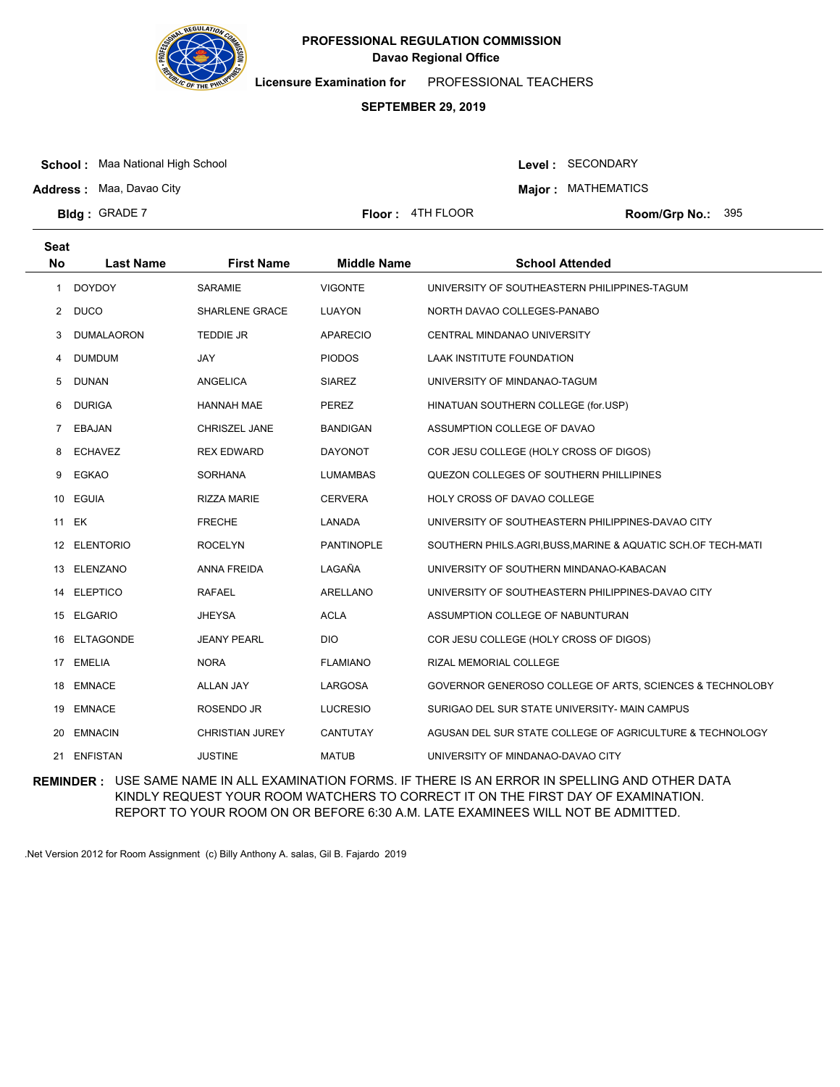

**Licensure Examination for**  PROFESSIONAL TEACHERS

### **SEPTEMBER 29, 2019**

**School :** Maa National High School

Level : SECONDARY

**Major : MATHEMATICS** 

**Address :** Maa, Davao City **Bldg: GRADE 7** 

**Seat**

**Floor :**  $4TH FLOOR$ 

Room/Grp No.: 395

| συαι         |                   |                        |                    |                                                              |
|--------------|-------------------|------------------------|--------------------|--------------------------------------------------------------|
| No           | <b>Last Name</b>  | <b>First Name</b>      | <b>Middle Name</b> | <b>School Attended</b>                                       |
| $\mathbf{1}$ | <b>DOYDOY</b>     | <b>SARAMIE</b>         | <b>VIGONTE</b>     | UNIVERSITY OF SOUTHEASTERN PHILIPPINES-TAGUM                 |
| $\mathbf{2}$ | <b>DUCO</b>       | SHARLENE GRACE         | LUAYON             | NORTH DAVAO COLLEGES-PANABO                                  |
| 3            | <b>DUMALAORON</b> | TEDDIE JR              | <b>APARECIO</b>    | CENTRAL MINDANAO UNIVERSITY                                  |
| 4            | <b>DUMDUM</b>     | JAY                    | <b>PIODOS</b>      | LAAK INSTITUTE FOUNDATION                                    |
| 5            | <b>DUNAN</b>      | <b>ANGELICA</b>        | <b>SIAREZ</b>      | UNIVERSITY OF MINDANAO-TAGUM                                 |
| 6            | <b>DURIGA</b>     | <b>HANNAH MAE</b>      | PEREZ              | HINATUAN SOUTHERN COLLEGE (for.USP)                          |
|              | 7 EBAJAN          | <b>CHRISZEL JANE</b>   | <b>BANDIGAN</b>    | ASSUMPTION COLLEGE OF DAVAO                                  |
| 8            | <b>ECHAVEZ</b>    | <b>REX EDWARD</b>      | <b>DAYONOT</b>     | COR JESU COLLEGE (HOLY CROSS OF DIGOS)                       |
| 9            | EGKAO             | <b>SORHANA</b>         | <b>LUMAMBAS</b>    | QUEZON COLLEGES OF SOUTHERN PHILLIPINES                      |
|              | 10 EGUIA          | <b>RIZZA MARIE</b>     | <b>CERVERA</b>     | HOLY CROSS OF DAVAO COLLEGE                                  |
|              | 11 EK             | <b>FRECHE</b>          | <b>LANADA</b>      | UNIVERSITY OF SOUTHEASTERN PHILIPPINES-DAVAO CITY            |
| 12           | <b>ELENTORIO</b>  | <b>ROCELYN</b>         | <b>PANTINOPLE</b>  | SOUTHERN PHILS.AGRI, BUSS, MARINE & AQUATIC SCH.OF TECH-MATI |
| 13           | ELENZANO          | <b>ANNA FREIDA</b>     | LAGAÑA             | UNIVERSITY OF SOUTHERN MINDANAO-KABACAN                      |
|              | 14 ELEPTICO       | <b>RAFAEL</b>          | ARELLANO           | UNIVERSITY OF SOUTHEASTERN PHILIPPINES-DAVAO CITY            |
|              | 15 ELGARIO        | <b>JHEYSA</b>          | <b>ACLA</b>        | ASSUMPTION COLLEGE OF NABUNTURAN                             |
| 16           | ELTAGONDE         | <b>JEANY PEARL</b>     | <b>DIO</b>         | COR JESU COLLEGE (HOLY CROSS OF DIGOS)                       |
|              | 17 EMELIA         | <b>NORA</b>            | <b>FLAMIANO</b>    | RIZAL MEMORIAL COLLEGE                                       |
|              | 18 EMNACE         | <b>ALLAN JAY</b>       | LARGOSA            | GOVERNOR GENEROSO COLLEGE OF ARTS, SCIENCES & TECHNOLOBY     |
| 19           | <b>EMNACE</b>     | ROSENDO JR             | <b>LUCRESIO</b>    | SURIGAO DEL SUR STATE UNIVERSITY- MAIN CAMPUS                |
| 20           | <b>EMNACIN</b>    | <b>CHRISTIAN JUREY</b> | CANTUTAY           | AGUSAN DEL SUR STATE COLLEGE OF AGRICULTURE & TECHNOLOGY     |
|              | 21 ENFISTAN       | <b>JUSTINE</b>         | <b>MATUB</b>       | UNIVERSITY OF MINDANAO-DAVAO CITY                            |

**REMINDER :** USE SAME NAME IN ALL EXAMINATION FORMS. IF THERE IS AN ERROR IN SPELLING AND OTHER DATA KINDLY REQUEST YOUR ROOM WATCHERS TO CORRECT IT ON THE FIRST DAY OF EXAMINATION. REPORT TO YOUR ROOM ON OR BEFORE 6:30 A.M. LATE EXAMINEES WILL NOT BE ADMITTED.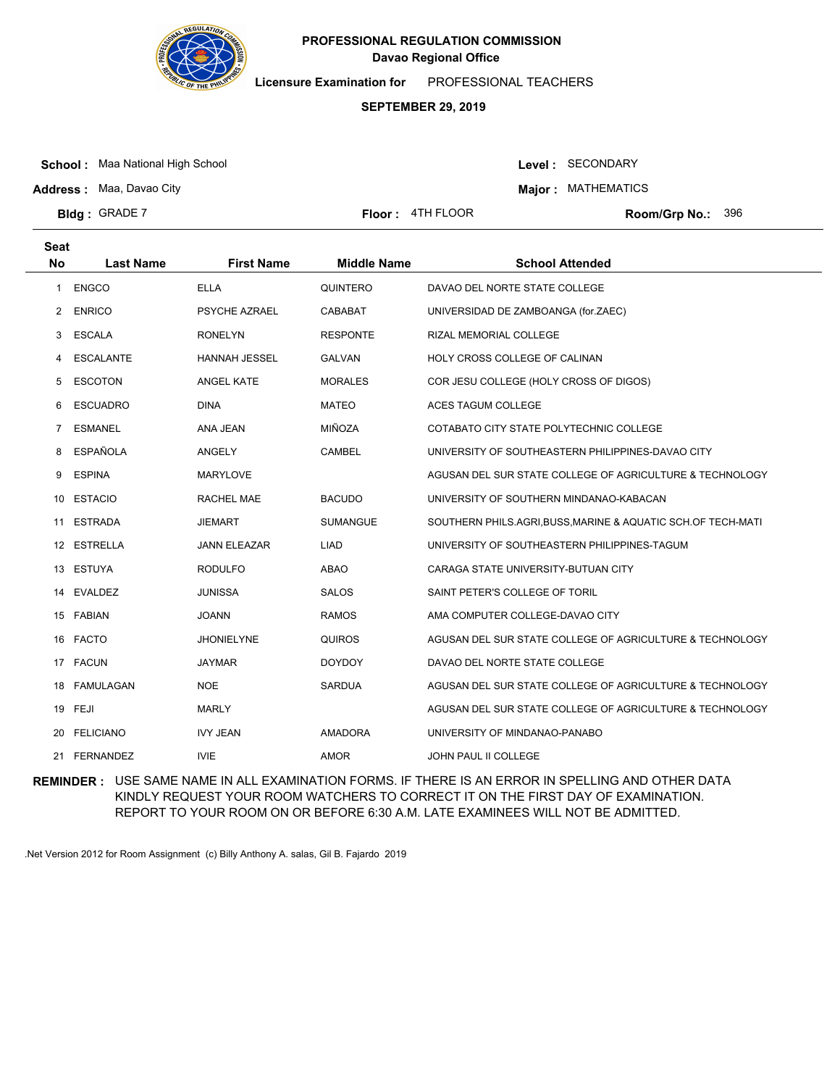

**Licensure Examination for**  PROFESSIONAL TEACHERS

### **SEPTEMBER 29, 2019**

**School :** Maa National High School

Level : SECONDARY

**Major : MATHEMATICS** 

**Address :** Maa, Davao City **Bldg: GRADE 7** 

**Seat**

**Floor :**  $4TH FLOOR$ 

Room/Grp No.: 396

| υσαι         |                  |                      |                    |                                                              |
|--------------|------------------|----------------------|--------------------|--------------------------------------------------------------|
| <b>No</b>    | <b>Last Name</b> | <b>First Name</b>    | <b>Middle Name</b> | <b>School Attended</b>                                       |
| $\mathbf{1}$ | <b>ENGCO</b>     | <b>ELLA</b>          | QUINTERO           | DAVAO DEL NORTE STATE COLLEGE                                |
| 2            | <b>ENRICO</b>    | PSYCHE AZRAEL        | CABABAT            | UNIVERSIDAD DE ZAMBOANGA (for.ZAEC)                          |
| 3            | ESCALA           | <b>RONELYN</b>       | <b>RESPONTE</b>    | RIZAL MEMORIAL COLLEGE                                       |
| 4            | ESCALANTE        | <b>HANNAH JESSEL</b> | <b>GALVAN</b>      | HOLY CROSS COLLEGE OF CALINAN                                |
| 5            | <b>ESCOTON</b>   | ANGEL KATE           | <b>MORALES</b>     | COR JESU COLLEGE (HOLY CROSS OF DIGOS)                       |
| 6            | <b>ESCUADRO</b>  | <b>DINA</b>          | <b>MATEO</b>       | ACES TAGUM COLLEGE                                           |
| 7            | <b>ESMANEL</b>   | ANA JEAN             | MIÑOZA             | COTABATO CITY STATE POLYTECHNIC COLLEGE                      |
| 8            | ESPAÑOLA         | ANGELY               | CAMBEL             | UNIVERSITY OF SOUTHEASTERN PHILIPPINES-DAVAO CITY            |
| 9            | <b>ESPINA</b>    | <b>MARYLOVE</b>      |                    | AGUSAN DEL SUR STATE COLLEGE OF AGRICULTURE & TECHNOLOGY     |
| 10           | <b>ESTACIO</b>   | RACHEL MAE           | <b>BACUDO</b>      | UNIVERSITY OF SOUTHERN MINDANAO-KABACAN                      |
| 11           | <b>ESTRADA</b>   | <b>JIEMART</b>       | <b>SUMANGUE</b>    | SOUTHERN PHILS.AGRI, BUSS, MARINE & AQUATIC SCH.OF TECH-MATI |
|              | 12 ESTRELLA      | <b>JANN ELEAZAR</b>  | <b>LIAD</b>        | UNIVERSITY OF SOUTHEASTERN PHILIPPINES-TAGUM                 |
|              | 13 ESTUYA        | <b>RODULFO</b>       | ABAO               | CARAGA STATE UNIVERSITY-BUTUAN CITY                          |
|              | 14 EVALDEZ       | <b>JUNISSA</b>       | <b>SALOS</b>       | SAINT PETER'S COLLEGE OF TORIL                               |
|              | 15 FABIAN        | <b>JOANN</b>         | <b>RAMOS</b>       | AMA COMPUTER COLLEGE-DAVAO CITY                              |
|              | 16 FACTO         | <b>JHONIELYNE</b>    | <b>QUIROS</b>      | AGUSAN DEL SUR STATE COLLEGE OF AGRICULTURE & TECHNOLOGY     |
|              | 17 FACUN         | <b>JAYMAR</b>        | <b>DOYDOY</b>      | DAVAO DEL NORTE STATE COLLEGE                                |
|              | 18 FAMULAGAN     | <b>NOE</b>           | SARDUA             | AGUSAN DEL SUR STATE COLLEGE OF AGRICULTURE & TECHNOLOGY     |
|              | 19 FEJI          | <b>MARLY</b>         |                    | AGUSAN DEL SUR STATE COLLEGE OF AGRICULTURE & TECHNOLOGY     |
| 20           | <b>FELICIANO</b> | <b>IVY JEAN</b>      | <b>AMADORA</b>     | UNIVERSITY OF MINDANAO-PANABO                                |
|              | 21 FERNANDEZ     | <b>IVIE</b>          | <b>AMOR</b>        | JOHN PAUL II COLLEGE                                         |

**REMINDER :** USE SAME NAME IN ALL EXAMINATION FORMS. IF THERE IS AN ERROR IN SPELLING AND OTHER DATA KINDLY REQUEST YOUR ROOM WATCHERS TO CORRECT IT ON THE FIRST DAY OF EXAMINATION. REPORT TO YOUR ROOM ON OR BEFORE 6:30 A.M. LATE EXAMINEES WILL NOT BE ADMITTED.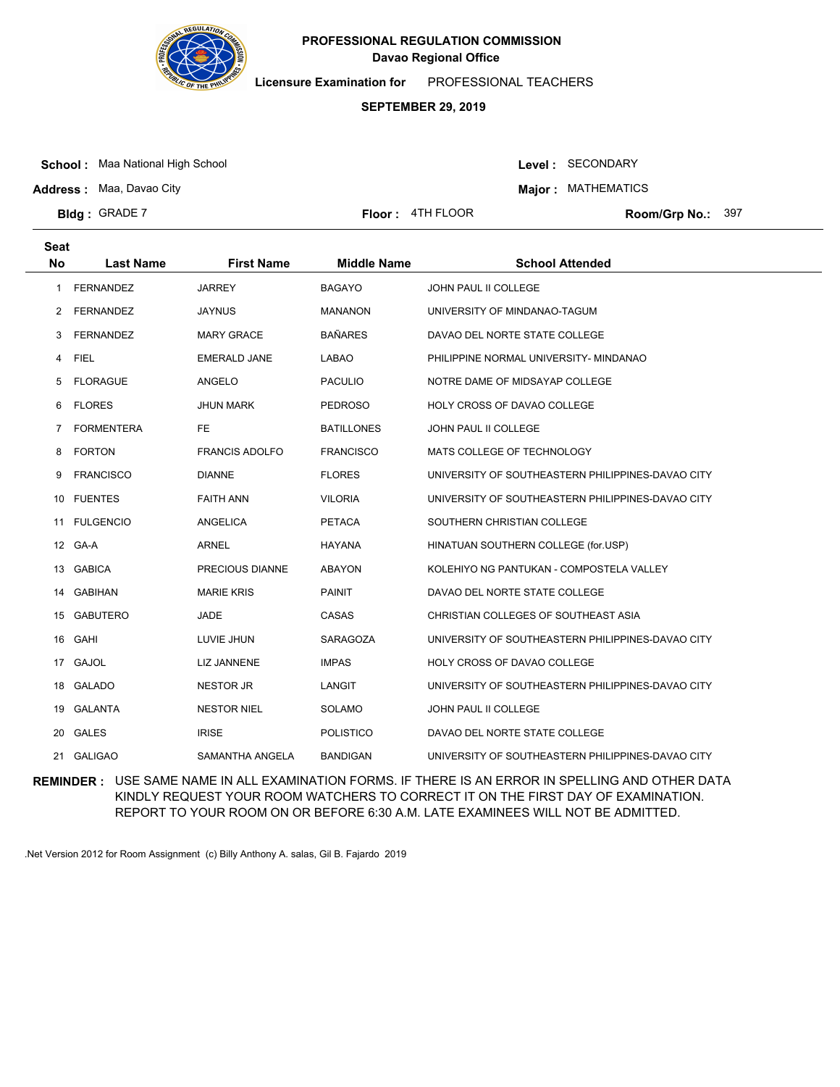

**Licensure Examination for**  PROFESSIONAL TEACHERS

### **SEPTEMBER 29, 2019**

**School :** Maa National High School

Level : SECONDARY

**Major : MATHEMATICS** 

**Bldg: GRADE 7** 

**Address :** Maa, Davao City

**Floor :**  $4TH FLOOR$ 

Room/Grp No.: 397

| <b>Seat</b><br>No | <b>Last Name</b>  | <b>First Name</b>     | <b>Middle Name</b> | <b>School Attended</b>                            |
|-------------------|-------------------|-----------------------|--------------------|---------------------------------------------------|
|                   |                   |                       |                    |                                                   |
| 1                 | <b>FERNANDEZ</b>  | <b>JARREY</b>         | <b>BAGAYO</b>      | <b>JOHN PAUL II COLLEGE</b>                       |
| $\overline{2}$    | <b>FERNANDEZ</b>  | <b>JAYNUS</b>         | <b>MANANON</b>     | UNIVERSITY OF MINDANAO-TAGUM                      |
| 3                 | <b>FERNANDEZ</b>  | <b>MARY GRACE</b>     | <b>BAÑARES</b>     | DAVAO DEL NORTE STATE COLLEGE                     |
| 4                 | <b>FIEL</b>       | <b>EMERALD JANE</b>   | <b>LABAO</b>       | PHILIPPINE NORMAL UNIVERSITY- MINDANAO            |
| 5                 | <b>FLORAGUE</b>   | ANGELO                | <b>PACULIO</b>     | NOTRE DAME OF MIDSAYAP COLLEGE                    |
| 6                 | <b>FLORES</b>     | <b>JHUN MARK</b>      | <b>PEDROSO</b>     | HOLY CROSS OF DAVAO COLLEGE                       |
| 7                 | <b>FORMENTERA</b> | FE                    | BATILLONES         | JOHN PAUL II COLLEGE                              |
| 8                 | <b>FORTON</b>     | <b>FRANCIS ADOLFO</b> | <b>FRANCISCO</b>   | MATS COLLEGE OF TECHNOLOGY                        |
| 9                 | <b>FRANCISCO</b>  | <b>DIANNE</b>         | <b>FLORES</b>      | UNIVERSITY OF SOUTHEASTERN PHILIPPINES-DAVAO CITY |
| 10                | <b>FUENTES</b>    | <b>FAITH ANN</b>      | <b>VILORIA</b>     | UNIVERSITY OF SOUTHEASTERN PHILIPPINES-DAVAO CITY |
| 11                | <b>FULGENCIO</b>  | <b>ANGELICA</b>       | <b>PETACA</b>      | SOUTHERN CHRISTIAN COLLEGE                        |
| 12                | GA-A              | <b>ARNEL</b>          | <b>HAYANA</b>      | HINATUAN SOUTHERN COLLEGE (for.USP)               |
| 13                | <b>GABICA</b>     | PRECIOUS DIANNE       | <b>ABAYON</b>      | KOLEHIYO NG PANTUKAN - COMPOSTELA VALLEY          |
| 14                | <b>GABIHAN</b>    | <b>MARIE KRIS</b>     | PAINIT             | DAVAO DEL NORTE STATE COLLEGE                     |
| 15                | <b>GABUTERO</b>   | <b>JADE</b>           | CASAS              | CHRISTIAN COLLEGES OF SOUTHEAST ASIA              |
| 16                | GAHI              | LUVIE JHUN            | SARAGOZA           | UNIVERSITY OF SOUTHEASTERN PHILIPPINES-DAVAO CITY |
| 17                | <b>GAJOL</b>      | <b>LIZ JANNENE</b>    | <b>IMPAS</b>       | HOLY CROSS OF DAVAO COLLEGE                       |
| 18                | <b>GALADO</b>     | <b>NESTOR JR</b>      | LANGIT             | UNIVERSITY OF SOUTHEASTERN PHILIPPINES-DAVAO CITY |
| 19.               | GALANTA           | <b>NESTOR NIEL</b>    | <b>SOLAMO</b>      | JOHN PAUL II COLLEGE                              |
| 20                | GALES             | <b>IRISE</b>          | <b>POLISTICO</b>   | DAVAO DEL NORTE STATE COLLEGE                     |
| 21                | <b>GALIGAO</b>    | SAMANTHA ANGELA       | BANDIGAN           | UNIVERSITY OF SOUTHEASTERN PHILIPPINES-DAVAO CITY |

**REMINDER :** USE SAME NAME IN ALL EXAMINATION FORMS. IF THERE IS AN ERROR IN SPELLING AND OTHER DATA KINDLY REQUEST YOUR ROOM WATCHERS TO CORRECT IT ON THE FIRST DAY OF EXAMINATION. REPORT TO YOUR ROOM ON OR BEFORE 6:30 A.M. LATE EXAMINEES WILL NOT BE ADMITTED.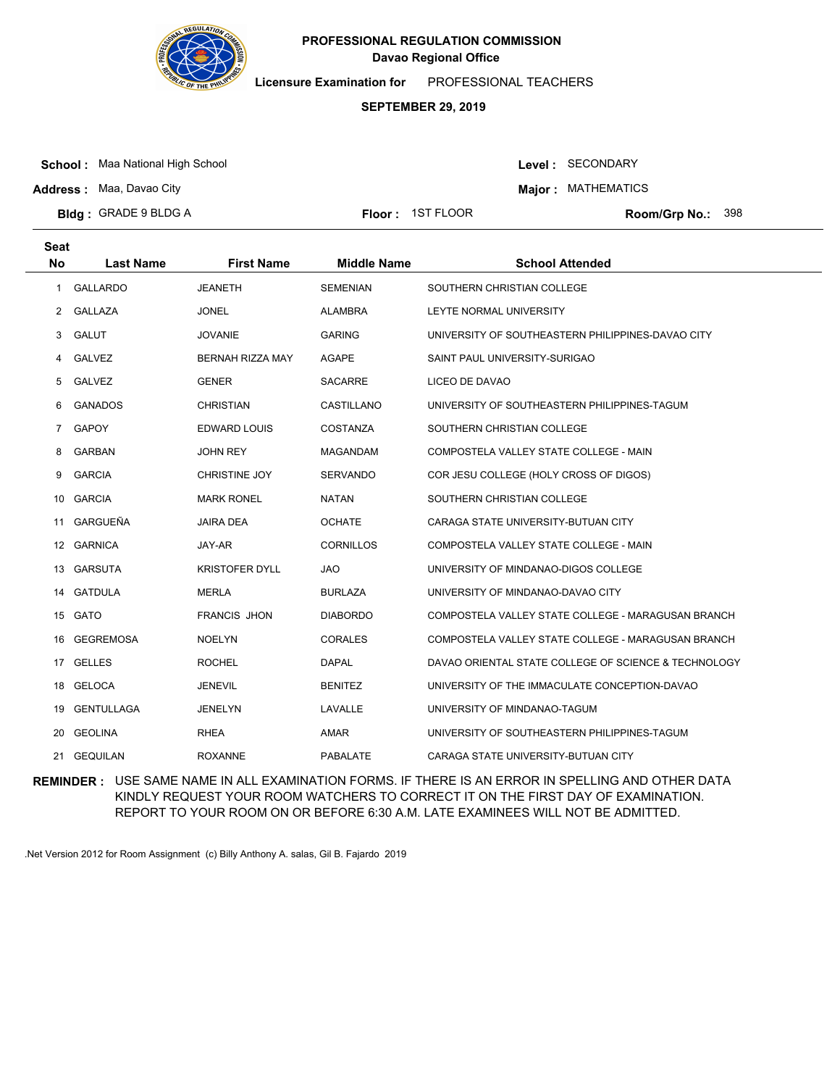

**Licensure Examination for**  PROFESSIONAL TEACHERS

# **SEPTEMBER 29, 2019**

**School :** Maa National High School

Level : SECONDARY

**Major : MATHEMATICS** 

**Bldg : Floor : Room/Grp No.:** GRADE 9 BLDG A

**Address :** Maa, Davao City

**Seat**

Floor: 1ST FLOOR Room/Grp No.: 398

| υσαι           |                   |                       |                    |                                                      |
|----------------|-------------------|-----------------------|--------------------|------------------------------------------------------|
| <b>No</b>      | <b>Last Name</b>  | <b>First Name</b>     | <b>Middle Name</b> | <b>School Attended</b>                               |
| 1              | <b>GALLARDO</b>   | <b>JEANETH</b>        | <b>SEMENIAN</b>    | SOUTHERN CHRISTIAN COLLEGE                           |
| 2              | <b>GALLAZA</b>    | JONEL                 | ALAMBRA            | LEYTE NORMAL UNIVERSITY                              |
| 3              | <b>GALUT</b>      | <b>JOVANIE</b>        | <b>GARING</b>      | UNIVERSITY OF SOUTHEASTERN PHILIPPINES-DAVAO CITY    |
| 4              | GALVEZ            | BERNAH RIZZA MAY      | AGAPE              | SAINT PAUL UNIVERSITY-SURIGAO                        |
| 5              | <b>GALVEZ</b>     | <b>GENER</b>          | SACARRE            | LICEO DE DAVAO                                       |
| 6              | <b>GANADOS</b>    | <b>CHRISTIAN</b>      | CASTILLANO         | UNIVERSITY OF SOUTHEASTERN PHILIPPINES-TAGUM         |
| $\overline{7}$ | <b>GAPOY</b>      | <b>EDWARD LOUIS</b>   | <b>COSTANZA</b>    | SOUTHERN CHRISTIAN COLLEGE                           |
| 8              | <b>GARBAN</b>     | <b>JOHN REY</b>       | MAGANDAM           | COMPOSTELA VALLEY STATE COLLEGE - MAIN               |
| 9              | <b>GARCIA</b>     | CHRISTINE JOY         | <b>SERVANDO</b>    | COR JESU COLLEGE (HOLY CROSS OF DIGOS)               |
| 10             | <b>GARCIA</b>     | <b>MARK RONEL</b>     | <b>NATAN</b>       | SOUTHERN CHRISTIAN COLLEGE                           |
| 11             | GARGUEÑA          | <b>JAIRA DEA</b>      | <b>OCHATE</b>      | CARAGA STATE UNIVERSITY-BUTUAN CITY                  |
|                | 12 GARNICA        | JAY-AR                | <b>CORNILLOS</b>   | COMPOSTELA VALLEY STATE COLLEGE - MAIN               |
|                | 13 GARSUTA        | <b>KRISTOFER DYLL</b> | <b>JAO</b>         | UNIVERSITY OF MINDANAO-DIGOS COLLEGE                 |
| 14             | <b>GATDULA</b>    | <b>MERLA</b>          | <b>BURLAZA</b>     | UNIVERSITY OF MINDANAO-DAVAO CITY                    |
|                | 15 GATO           | <b>FRANCIS JHON</b>   | <b>DIABORDO</b>    | COMPOSTELA VALLEY STATE COLLEGE - MARAGUSAN BRANCH   |
|                | 16 GEGREMOSA      | <b>NOELYN</b>         | <b>CORALES</b>     | COMPOSTELA VALLEY STATE COLLEGE - MARAGUSAN BRANCH   |
| 17             | <b>GELLES</b>     | <b>ROCHEL</b>         | <b>DAPAL</b>       | DAVAO ORIENTAL STATE COLLEGE OF SCIENCE & TECHNOLOGY |
|                | 18 GELOCA         | <b>JENEVIL</b>        | <b>BENITEZ</b>     | UNIVERSITY OF THE IMMACULATE CONCEPTION-DAVAO        |
| 19             | <b>GENTULLAGA</b> | <b>JENELYN</b>        | LAVALLE            | UNIVERSITY OF MINDANAO-TAGUM                         |
| 20             | <b>GEOLINA</b>    | RHEA                  | AMAR               | UNIVERSITY OF SOUTHEASTERN PHILIPPINES-TAGUM         |
|                | 21 GEQUILAN       | <b>ROXANNE</b>        | PABALATE           | CARAGA STATE UNIVERSITY-BUTUAN CITY                  |

**REMINDER :** USE SAME NAME IN ALL EXAMINATION FORMS. IF THERE IS AN ERROR IN SPELLING AND OTHER DATA KINDLY REQUEST YOUR ROOM WATCHERS TO CORRECT IT ON THE FIRST DAY OF EXAMINATION. REPORT TO YOUR ROOM ON OR BEFORE 6:30 A.M. LATE EXAMINEES WILL NOT BE ADMITTED.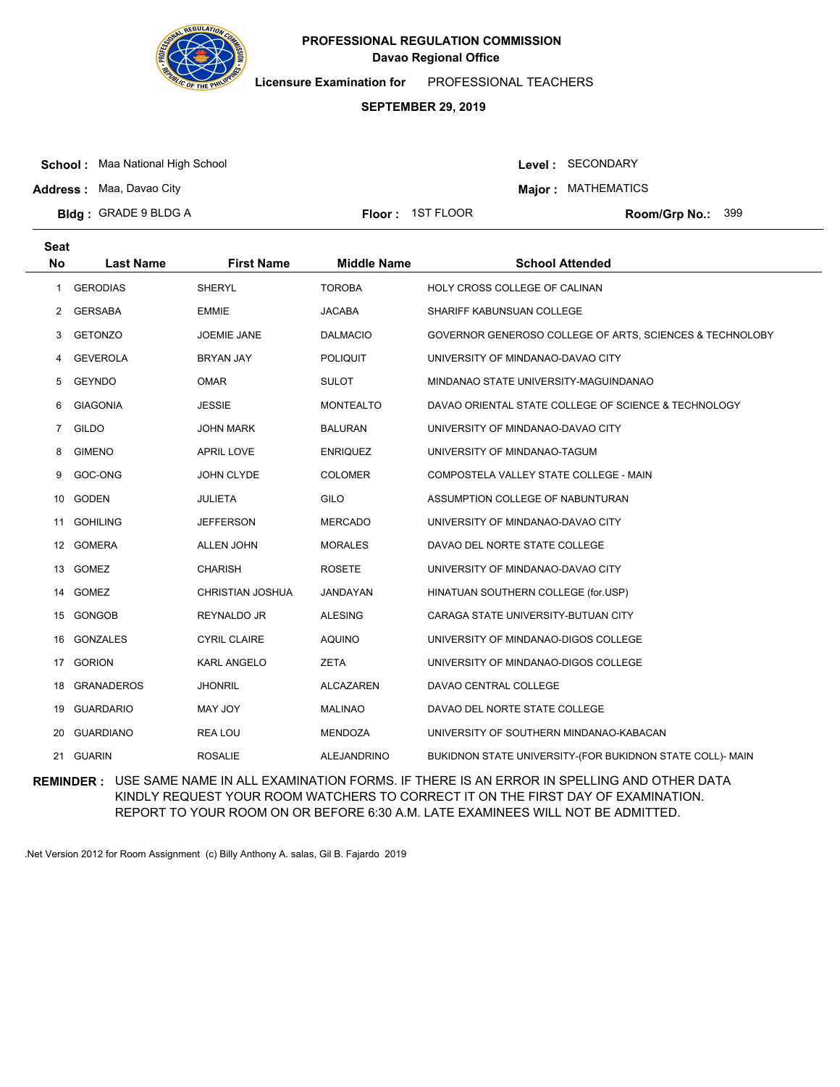

**Licensure Examination for**  PROFESSIONAL TEACHERS

# **SEPTEMBER 29, 2019**

**School :** Maa National High School

**Address :** Maa, Davao City

Level : SECONDARY

**Major : MATHEMATICS** 

**Bldg : Floor : Room/Grp No.:** GRADE 9 BLDG A

Floor: 1ST FLOOR Room/Grp No.: 399

| <b>Seat</b>    |                   |                     |                    |                                                           |
|----------------|-------------------|---------------------|--------------------|-----------------------------------------------------------|
| <b>No</b>      | <b>Last Name</b>  | <b>First Name</b>   | <b>Middle Name</b> | <b>School Attended</b>                                    |
| 1              | <b>GERODIAS</b>   | <b>SHERYL</b>       | <b>TOROBA</b>      | HOLY CROSS COLLEGE OF CALINAN                             |
| 2              | <b>GERSABA</b>    | <b>EMMIE</b>        | <b>JACABA</b>      | SHARIFF KABUNSUAN COLLEGE                                 |
| 3              | <b>GETONZO</b>    | <b>JOEMIE JANE</b>  | <b>DALMACIO</b>    | GOVERNOR GENEROSO COLLEGE OF ARTS, SCIENCES & TECHNOLOBY  |
| 4              | <b>GEVEROLA</b>   | BRYAN JAY           | <b>POLIQUIT</b>    | UNIVERSITY OF MINDANAO-DAVAO CITY                         |
| 5              | <b>GEYNDO</b>     | <b>OMAR</b>         | <b>SULOT</b>       | MINDANAO STATE UNIVERSITY-MAGUINDANAO                     |
| 6              | <b>GIAGONIA</b>   | <b>JESSIE</b>       | MONTEALTO          | DAVAO ORIENTAL STATE COLLEGE OF SCIENCE & TECHNOLOGY      |
| $\overline{7}$ | <b>GILDO</b>      | <b>JOHN MARK</b>    | <b>BALURAN</b>     | UNIVERSITY OF MINDANAO-DAVAO CITY                         |
| 8              | <b>GIMENO</b>     | <b>APRIL LOVE</b>   | <b>ENRIQUEZ</b>    | UNIVERSITY OF MINDANAO-TAGUM                              |
| 9              | GOC-ONG           | JOHN CLYDE          | <b>COLOMER</b>     | COMPOSTELA VALLEY STATE COLLEGE - MAIN                    |
| 10             | <b>GODEN</b>      | <b>JULIETA</b>      | GILO               | ASSUMPTION COLLEGE OF NABUNTURAN                          |
| 11             | <b>GOHILING</b>   | <b>JEFFERSON</b>    | <b>MERCADO</b>     | UNIVERSITY OF MINDANAO-DAVAO CITY                         |
| 12             | <b>GOMERA</b>     | <b>ALLEN JOHN</b>   | <b>MORALES</b>     | DAVAO DEL NORTE STATE COLLEGE                             |
| 13             | <b>GOMEZ</b>      | <b>CHARISH</b>      | <b>ROSETE</b>      | UNIVERSITY OF MINDANAO-DAVAO CITY                         |
|                | 14 GOMEZ          | CHRISTIAN JOSHUA    | JANDAYAN           | HINATUAN SOUTHERN COLLEGE (for.USP)                       |
| 15             | <b>GONGOB</b>     | <b>REYNALDO JR</b>  | <b>ALESING</b>     | CARAGA STATE UNIVERSITY-BUTUAN CITY                       |
| 16             | <b>GONZALES</b>   | <b>CYRIL CLAIRE</b> | <b>AQUINO</b>      | UNIVERSITY OF MINDANAO-DIGOS COLLEGE                      |
| 17             | <b>GORION</b>     | <b>KARL ANGELO</b>  | <b>ZETA</b>        | UNIVERSITY OF MINDANAO-DIGOS COLLEGE                      |
| 18             | <b>GRANADEROS</b> | <b>JHONRIL</b>      | <b>ALCAZAREN</b>   | DAVAO CENTRAL COLLEGE                                     |
| 19             | <b>GUARDARIO</b>  | <b>MAY JOY</b>      | <b>MALINAO</b>     | DAVAO DEL NORTE STATE COLLEGE                             |
| 20             | <b>GUARDIANO</b>  | <b>REA LOU</b>      | MENDOZA            | UNIVERSITY OF SOUTHERN MINDANAO-KABACAN                   |
|                | 21 GUARIN         | <b>ROSALIE</b>      | ALEJANDRINO        | BUKIDNON STATE UNIVERSITY-(FOR BUKIDNON STATE COLL)- MAIN |

**REMINDER :** USE SAME NAME IN ALL EXAMINATION FORMS. IF THERE IS AN ERROR IN SPELLING AND OTHER DATA KINDLY REQUEST YOUR ROOM WATCHERS TO CORRECT IT ON THE FIRST DAY OF EXAMINATION. REPORT TO YOUR ROOM ON OR BEFORE 6:30 A.M. LATE EXAMINEES WILL NOT BE ADMITTED.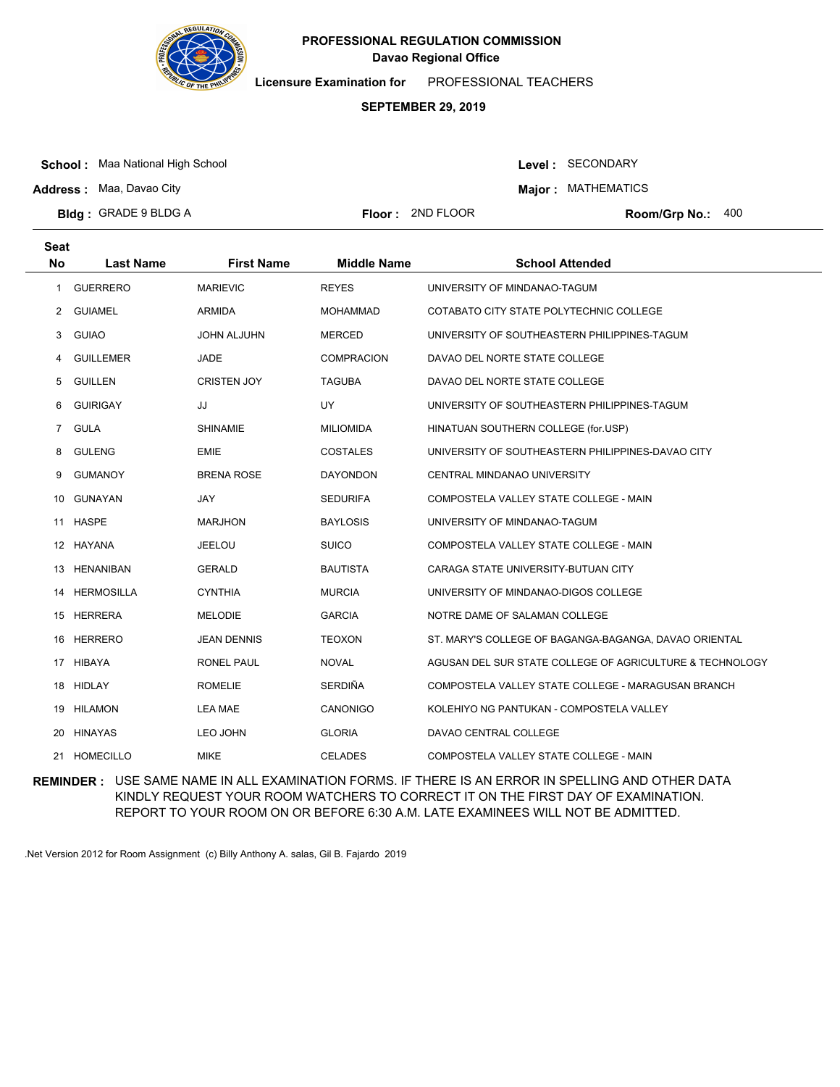

**Licensure Examination for**  PROFESSIONAL TEACHERS

#### **SEPTEMBER 29, 2019**

**School :** Maa National High School

Level : SECONDARY **Major : MATHEMATICS** 

**Address :** Maa, Davao City

**Bldg : Floor : Room/Grp No.:** GRADE 9 BLDG A Floor: 2ND FLOOR Room/Gro No.: 400

**Last Name First Name Middle Name School Attended Seat No** 1 GUERRERO MARIEVIC REYES UNIVERSITY OF MINDANAO-TAGUM 2 GUIAMEL ARMIDA ARMIDA MOHAMMAD COTABATO CITY STATE POLYTECHNIC COLLEGE 3 GUIAO JOHN ALJUHN MERCED UNIVERSITY OF SOUTHEASTERN PHILIPPINES-TAGUM 4 GUILLEMER JADE COMPRACION DAVAO DEL NORTE STATE COLLEGE 5 GUILLEN CRISTEN JOY TAGUBA DAVAO DEL NORTE STATE COLLEGE 6 GUIRIGAY JJ UY UNIVERSITY OF SOUTHEASTERN PHILIPPINES-TAGUM 7 GULA SHINAMIE MILIOMIDA HINATUAN SOUTHERN COLLEGE (for.USP) 8 GULENG EMIE EMIE COSTALES UNIVERSITY OF SOUTHEASTERN PHILIPPINES-DAVAO CITY 9 GUMANOY BRENA ROSE DAYONDON CENTRAL MINDANAO UNIVERSITY 10 GUNAYAN JAY SEDURIFA COMPOSTELA VALLEY STATE COLLEGE - MAIN 11 HASPE MARJHON BAYLOSIS UNIVERSITY OF MINDANAO-TAGUM 12 HAYANA JEELOU SUICO COMPOSTELA VALLEY STATE COLLEGE - MAIN 13 HENANIBAN GERALD BAUTISTA CARAGA STATE UNIVERSITY-BUTUAN CITY 14 HERMOSILLA CYNTHIA MURCIA UNIVERSITY OF MINDANAO-DIGOS COLLEGE 15 HERRERA MELODIE GARCIA NOTRE DAME OF SALAMAN COLLEGE 16 HERRERO JEAN DENNIS TEOXON ST. MARY'S COLLEGE OF BAGANGA-BAGANGA, DAVAO ORIENTAL 17 HIBAYA RONEL PAUL NOVAL AGUSAN DEL SUR STATE COLLEGE OF AGRICULTURE & TECHNOLOGY 18 HIDLAY **ROMELIE SERDIÑA COMPOSTELA VALLEY STATE COLLEGE - MARAGUSAN BRANCH** 19 HILAMON LEA MAE CANONIGO KOLEHIYO NG PANTUKAN - COMPOSTELA VALLEY 20 HINAYAS LEO JOHN GLORIA DAVAO CENTRAL COLLEGE 21 HOMECILLO MIKE MIKE CELADES COMPOSTELA VALLEY STATE COLLEGE - MAIN

**REMINDER :** USE SAME NAME IN ALL EXAMINATION FORMS. IF THERE IS AN ERROR IN SPELLING AND OTHER DATA KINDLY REQUEST YOUR ROOM WATCHERS TO CORRECT IT ON THE FIRST DAY OF EXAMINATION. REPORT TO YOUR ROOM ON OR BEFORE 6:30 A.M. LATE EXAMINEES WILL NOT BE ADMITTED.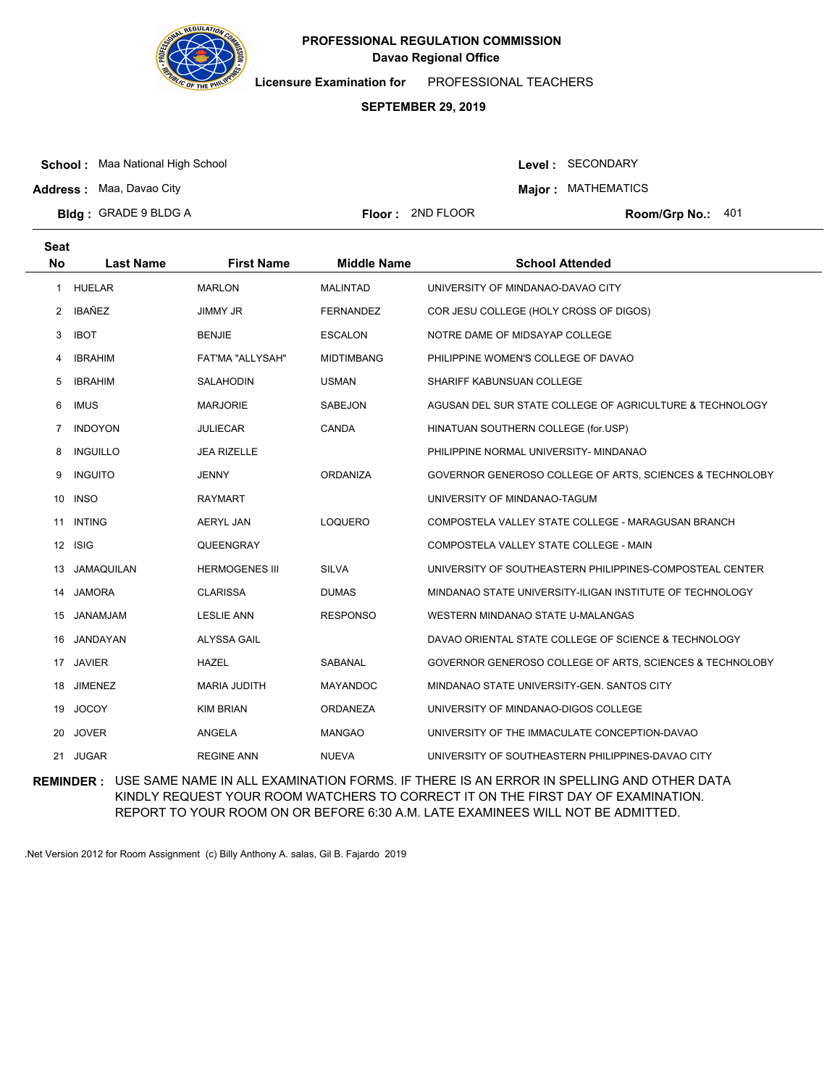

**Licensure Examination for**  PROFESSIONAL TEACHERS

### **SEPTEMBER 29, 2019**

**School :** Maa National High School

Level : SECONDARY **Major : MATHEMATICS** 

**Address :** Maa, Davao City

**Seat**

**Bldg : Floor : Room/Grp No.:** GRADE 9 BLDG A Floor: 2ND FLOOR Room/Grp No.: 401

| υσαι         |                   |                         |                    |                                                          |
|--------------|-------------------|-------------------------|--------------------|----------------------------------------------------------|
| No           | <b>Last Name</b>  | <b>First Name</b>       | <b>Middle Name</b> | <b>School Attended</b>                                   |
|              | 1 HUELAR          | <b>MARLON</b>           | <b>MALINTAD</b>    | UNIVERSITY OF MINDANAO-DAVAO CITY                        |
| $\mathbf{2}$ | IBAÑEZ            | JIMMY JR                | <b>FERNANDEZ</b>   | COR JESU COLLEGE (HOLY CROSS OF DIGOS)                   |
| 3            | <b>IBOT</b>       | <b>BENJIE</b>           | <b>ESCALON</b>     | NOTRE DAME OF MIDSAYAP COLLEGE                           |
| 4            | <b>IBRAHIM</b>    | <b>FAT'MA "ALLYSAH"</b> | <b>MIDTIMBANG</b>  | PHILIPPINE WOMEN'S COLLEGE OF DAVAO                      |
| 5            | <b>IBRAHIM</b>    | SALAHODIN               | <b>USMAN</b>       | SHARIFF KABUNSUAN COLLEGE                                |
| 6            | <b>IMUS</b>       | <b>MARJORIE</b>         | SABEJON            | AGUSAN DEL SUR STATE COLLEGE OF AGRICULTURE & TECHNOLOGY |
| 7            | <b>INDOYON</b>    | JULIECAR                | <b>CANDA</b>       | HINATUAN SOUTHERN COLLEGE (for.USP)                      |
| 8            | <b>INGUILLO</b>   | <b>JEA RIZELLE</b>      |                    | PHILIPPINE NORMAL UNIVERSITY- MINDANAO                   |
| 9            | <b>INGUITO</b>    | <b>JENNY</b>            | <b>ORDANIZA</b>    | GOVERNOR GENEROSO COLLEGE OF ARTS, SCIENCES & TECHNOLOBY |
|              | 10 INSO           | <b>RAYMART</b>          |                    | UNIVERSITY OF MINDANAO-TAGUM                             |
| 11           | <b>INTING</b>     | <b>AERYL JAN</b>        | <b>LOQUERO</b>     | COMPOSTELA VALLEY STATE COLLEGE - MARAGUSAN BRANCH       |
|              | 12 ISIG           | QUEENGRAY               |                    | COMPOSTELA VALLEY STATE COLLEGE - MAIN                   |
| 13           | <b>JAMAQUILAN</b> | <b>HERMOGENES III</b>   | <b>SILVA</b>       | UNIVERSITY OF SOUTHEASTERN PHILIPPINES-COMPOSTEAL CENTER |
| 14           | JAMORA            | <b>CLARISSA</b>         | <b>DUMAS</b>       | MINDANAO STATE UNIVERSITY-ILIGAN INSTITUTE OF TECHNOLOGY |
| 15           | JANAMJAM          | <b>LESLIE ANN</b>       | <b>RESPONSO</b>    | WESTERN MINDANAO STATE U-MALANGAS                        |
| 16           | JANDAYAN          | <b>ALYSSA GAIL</b>      |                    | DAVAO ORIENTAL STATE COLLEGE OF SCIENCE & TECHNOLOGY     |
|              | 17 JAVIER         | <b>HAZEL</b>            | SABANAL            | GOVERNOR GENEROSO COLLEGE OF ARTS, SCIENCES & TECHNOLOBY |
| 18           | <b>JIMENEZ</b>    | <b>MARIA JUDITH</b>     | <b>MAYANDOC</b>    | MINDANAO STATE UNIVERSITY-GEN. SANTOS CITY               |
| 19           | <b>JOCOY</b>      | <b>KIM BRIAN</b>        | ORDANEZA           | UNIVERSITY OF MINDANAO-DIGOS COLLEGE                     |
| 20           | <b>JOVER</b>      | ANGELA                  | <b>MANGAO</b>      | UNIVERSITY OF THE IMMACULATE CONCEPTION-DAVAO            |
| 21           | <b>JUGAR</b>      | <b>REGINE ANN</b>       | <b>NUEVA</b>       | UNIVERSITY OF SOUTHEASTERN PHILIPPINES-DAVAO CITY        |

**REMINDER :** USE SAME NAME IN ALL EXAMINATION FORMS. IF THERE IS AN ERROR IN SPELLING AND OTHER DATA KINDLY REQUEST YOUR ROOM WATCHERS TO CORRECT IT ON THE FIRST DAY OF EXAMINATION. REPORT TO YOUR ROOM ON OR BEFORE 6:30 A.M. LATE EXAMINEES WILL NOT BE ADMITTED.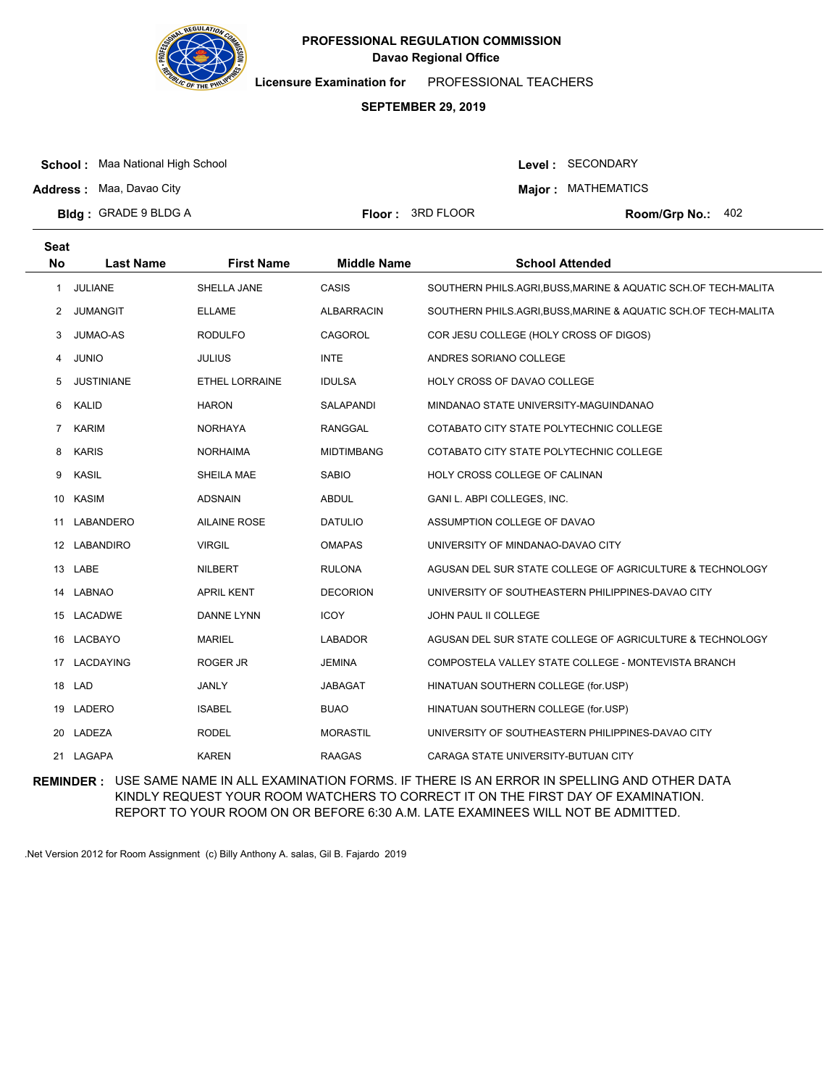

**Licensure Examination for**  PROFESSIONAL TEACHERS

#### **SEPTEMBER 29, 2019**

**School :** Maa National High School

Level : SECONDARY **Major : MATHEMATICS** 

**Address :** Maa, Davao City

**Bldg : Floor : Room/Grp No.:** GRADE 9 BLDG A Floor: 3RD FLOOR Room/Grp No.: 402

**Last Name First Name Middle Name School Attended Seat No** 1 JULIANE SHELLA JANE CASIS SOUTHERN PHILS.AGRI,BUSS,MARINE & AQUATIC SCH.OF TECH-MALITA 2 JUMANGIT ELLAME ALBARRACIN SOUTHERN PHILS.AGRI,BUSS,MARINE & AQUATIC SCH.OF TECH-MALITA 3 JUMAO-AS RODULFO CAGOROL COR JESU COLLEGE (HOLY CROSS OF DIGOS) 4 JUNIO JULIUS INTE ANDRES SORIANO COLLEGE 5 JUSTINIANE ETHEL LORRAINE IDULSA HOLY CROSS OF DAVAO COLLEGE 6 KALID HARON SALAPANDI MINDANAO STATE UNIVERSITY-MAGUINDANAO 7 KARIM NORHAYA RANGGAL COTABATO CITY STATE POLYTECHNIC COLLEGE 8 KARIS NORHAIMA MIDTIMBANG COTABATO CITY STATE POLYTECHNIC COLLEGE 9 KASIL SHEILA MAE SABIO HOLY CROSS COLLEGE OF CALINAN 10 KASIM ADSNAIN ABDUL GANI L. ABPI COLLEGES, INC. 11 LABANDERO AILAINE ROSE DATULIO ASSUMPTION COLLEGE OF DAVAO 12 LABANDIRO VIRGIL OMAPAS UNIVERSITY OF MINDANAO-DAVAO CITY 13 LABE NILBERT RULONA AGUSAN DEL SUR STATE COLLEGE OF AGRICULTURE & TECHNOLOGY 14 LABNAO APRIL KENT DECORION UNIVERSITY OF SOUTHEASTERN PHILIPPINES-DAVAO CITY 15 LACADWE DANNE LYNN ICOY JOHN PAUL II COLLEGE 16 LACBAYO MARIEL LABADOR AGUSAN DEL SUR STATE COLLEGE OF AGRICULTURE & TECHNOLOGY 17 LACDAYING ROGER JR JEMINA COMPOSTELA VALLEY STATE COLLEGE - MONTEVISTA BRANCH 18 LAD JANLY JABAGAT HINATUAN SOUTHERN COLLEGE (for.USP) 19 LADERO ISABEL BUAO HINATUAN SOUTHERN COLLEGE (for.USP) 20 LADEZA RODEL RODEL MORASTIL UNIVERSITY OF SOUTHEASTERN PHILIPPINES-DAVAO CITY 21 LAGAPA KAREN RAAGAS CARAGA STATE UNIVERSITY-BUTUAN CITY

**REMINDER :** USE SAME NAME IN ALL EXAMINATION FORMS. IF THERE IS AN ERROR IN SPELLING AND OTHER DATA KINDLY REQUEST YOUR ROOM WATCHERS TO CORRECT IT ON THE FIRST DAY OF EXAMINATION. REPORT TO YOUR ROOM ON OR BEFORE 6:30 A.M. LATE EXAMINEES WILL NOT BE ADMITTED.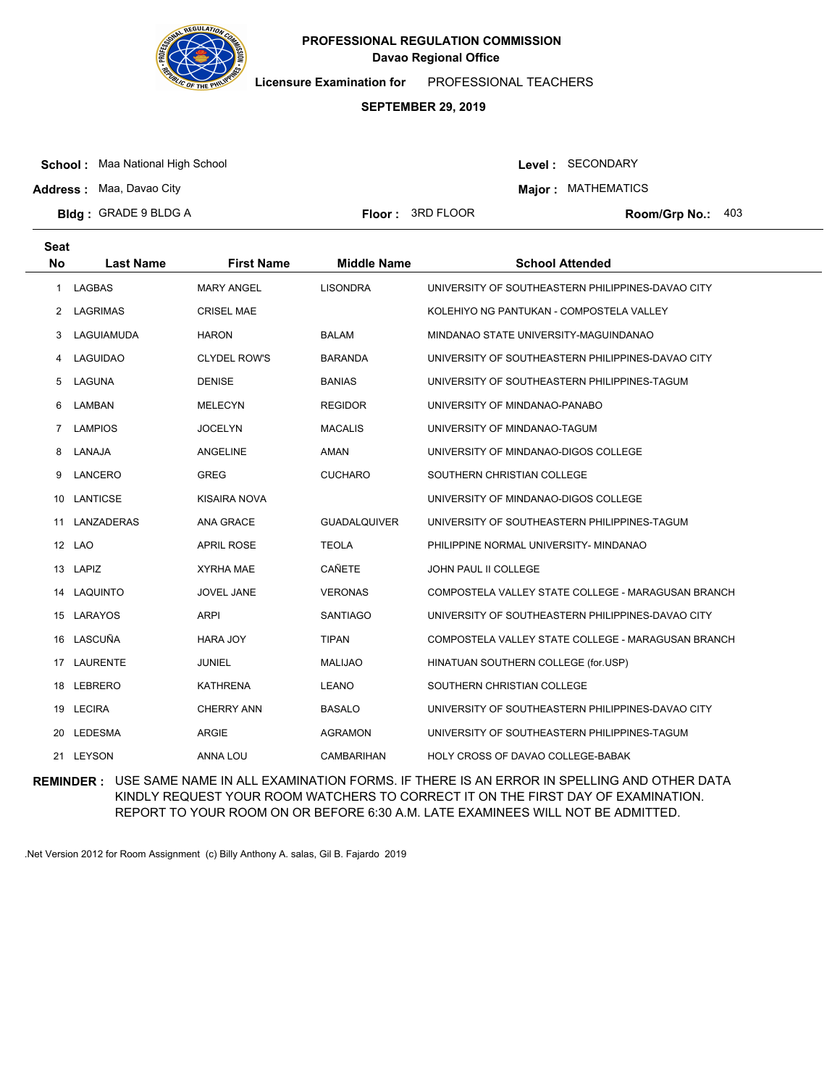

**Licensure Examination for**  PROFESSIONAL TEACHERS

### **SEPTEMBER 29, 2019**

**School :** Maa National High School

**Address :** Maa, Davao City

Level : SECONDARY

**Major : MATHEMATICS** 

**Bldg : Floor : Room/Grp No.:** GRADE 9 BLDG A

Floor: 3RD FLOOR Room/Grp No.: 403

| <b>Seat</b>           |                  |                     |                     |                                                    |
|-----------------------|------------------|---------------------|---------------------|----------------------------------------------------|
| <b>No</b>             | <b>Last Name</b> | <b>First Name</b>   | <b>Middle Name</b>  | <b>School Attended</b>                             |
| 1.                    | <b>LAGBAS</b>    | <b>MARY ANGEL</b>   | <b>LISONDRA</b>     | UNIVERSITY OF SOUTHEASTERN PHILIPPINES-DAVAO CITY  |
| $\mathbf{2}^{\prime}$ | LAGRIMAS         | <b>CRISEL MAE</b>   |                     | KOLEHIYO NG PANTUKAN - COMPOSTELA VALLEY           |
| 3                     | LAGUIAMUDA       | <b>HARON</b>        | <b>BALAM</b>        | MINDANAO STATE UNIVERSITY-MAGUINDANAO              |
| 4                     | <b>LAGUIDAO</b>  | <b>CLYDEL ROW'S</b> | <b>BARANDA</b>      | UNIVERSITY OF SOUTHEASTERN PHILIPPINES-DAVAO CITY  |
| 5                     | LAGUNA           | <b>DENISE</b>       | <b>BANIAS</b>       | UNIVERSITY OF SOUTHEASTERN PHILIPPINES-TAGUM       |
| 6                     | LAMBAN           | <b>MELECYN</b>      | <b>REGIDOR</b>      | UNIVERSITY OF MINDANAO-PANABO                      |
| $7^{\circ}$           | <b>LAMPIOS</b>   | <b>JOCELYN</b>      | <b>MACALIS</b>      | UNIVERSITY OF MINDANAO-TAGUM                       |
| 8                     | LANAJA           | ANGELINE            | AMAN                | UNIVERSITY OF MINDANAO-DIGOS COLLEGE               |
| 9                     | LANCERO          | <b>GREG</b>         | <b>CUCHARO</b>      | SOUTHERN CHRISTIAN COLLEGE                         |
| 10                    | LANTICSE         | KISAIRA NOVA        |                     | UNIVERSITY OF MINDANAO-DIGOS COLLEGE               |
| 11                    | LANZADERAS       | ANA GRACE           | <b>GUADALQUIVER</b> | UNIVERSITY OF SOUTHEASTERN PHILIPPINES-TAGUM       |
| 12                    | <b>LAO</b>       | <b>APRIL ROSE</b>   | <b>TEOLA</b>        | PHILIPPINE NORMAL UNIVERSITY- MINDANAO             |
|                       | 13 LAPIZ         | XYRHA MAE           | <b>CAÑETE</b>       | JOHN PAUL II COLLEGE                               |
|                       | 14 LAQUINTO      | JOVEL JANE          | <b>VERONAS</b>      | COMPOSTELA VALLEY STATE COLLEGE - MARAGUSAN BRANCH |
| 15                    | LARAYOS          | <b>ARPI</b>         | <b>SANTIAGO</b>     | UNIVERSITY OF SOUTHEASTERN PHILIPPINES-DAVAO CITY  |
|                       | 16 LASCUÑA       | <b>HARA JOY</b>     | <b>TIPAN</b>        | COMPOSTELA VALLEY STATE COLLEGE - MARAGUSAN BRANCH |
| 17                    | <b>LAURENTE</b>  | <b>JUNIEL</b>       | <b>MALIJAO</b>      | HINATUAN SOUTHERN COLLEGE (for.USP)                |
| 18                    | LEBRERO          | <b>KATHRENA</b>     | <b>LEANO</b>        | SOUTHERN CHRISTIAN COLLEGE                         |
|                       | 19 LECIRA        | <b>CHERRY ANN</b>   | <b>BASALO</b>       | UNIVERSITY OF SOUTHEASTERN PHILIPPINES-DAVAO CITY  |
| 20                    | LEDESMA          | <b>ARGIE</b>        | <b>AGRAMON</b>      | UNIVERSITY OF SOUTHEASTERN PHILIPPINES-TAGUM       |
|                       | 21 LEYSON        | ANNA LOU            | <b>CAMBARIHAN</b>   | HOLY CROSS OF DAVAO COLLEGE-BABAK                  |

**REMINDER :** USE SAME NAME IN ALL EXAMINATION FORMS. IF THERE IS AN ERROR IN SPELLING AND OTHER DATA KINDLY REQUEST YOUR ROOM WATCHERS TO CORRECT IT ON THE FIRST DAY OF EXAMINATION. REPORT TO YOUR ROOM ON OR BEFORE 6:30 A.M. LATE EXAMINEES WILL NOT BE ADMITTED.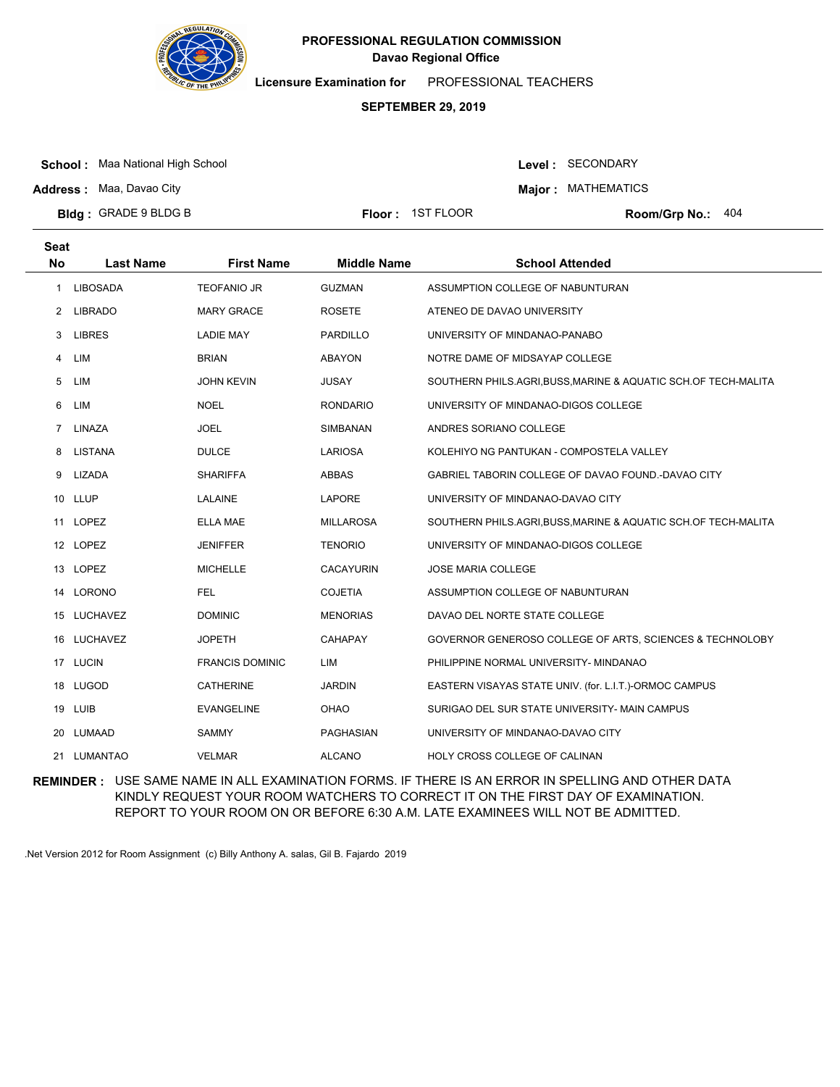

**Licensure Examination for**  PROFESSIONAL TEACHERS

### **SEPTEMBER 29, 2019**

**School :** Maa National High School

**Address :** Maa, Davao City

Level : SECONDARY

**Major : MATHEMATICS** 

**Bldg : Floor : Room/Grp No.:** GRADE 9 BLDG B

Floor: 1ST FLOOR Room/Grp No.: 404

| Seat        |                  |                        |                    |                                                                |
|-------------|------------------|------------------------|--------------------|----------------------------------------------------------------|
| <b>No</b>   | <b>Last Name</b> | <b>First Name</b>      | <b>Middle Name</b> | <b>School Attended</b>                                         |
| 1           | <b>LIBOSADA</b>  | <b>TEOFANIO JR</b>     | <b>GUZMAN</b>      | ASSUMPTION COLLEGE OF NABUNTURAN                               |
|             | 2 LIBRADO        | <b>MARY GRACE</b>      | <b>ROSETE</b>      | ATENEO DE DAVAO UNIVERSITY                                     |
| 3           | <b>LIBRES</b>    | <b>LADIE MAY</b>       | <b>PARDILLO</b>    | UNIVERSITY OF MINDANAO-PANABO                                  |
| 4           | LIM              | <b>BRIAN</b>           | ABAYON             | NOTRE DAME OF MIDSAYAP COLLEGE                                 |
| 5           | LIM              | <b>JOHN KEVIN</b>      | <b>JUSAY</b>       | SOUTHERN PHILS.AGRI, BUSS, MARINE & AQUATIC SCH.OF TECH-MALITA |
| 6           | LIM              | <b>NOEL</b>            | <b>RONDARIO</b>    | UNIVERSITY OF MINDANAO-DIGOS COLLEGE                           |
| $7^{\circ}$ | LINAZA           | <b>JOEL</b>            | <b>SIMBANAN</b>    | ANDRES SORIANO COLLEGE                                         |
| 8           | LISTANA          | <b>DULCE</b>           | <b>LARIOSA</b>     | KOLEHIYO NG PANTUKAN - COMPOSTELA VALLEY                       |
| 9           | LIZADA           | <b>SHARIFFA</b>        | ABBAS              | GABRIEL TABORIN COLLEGE OF DAVAO FOUND.-DAVAO CITY             |
|             | 10 LLUP          | LALAINE                | LAPORE             | UNIVERSITY OF MINDANAO-DAVAO CITY                              |
|             | 11 LOPEZ         | <b>ELLA MAE</b>        | <b>MILLAROSA</b>   | SOUTHERN PHILS.AGRI, BUSS, MARINE & AQUATIC SCH.OF TECH-MALITA |
| 12          | LOPEZ            | <b>JENIFFER</b>        | <b>TENORIO</b>     | UNIVERSITY OF MINDANAO-DIGOS COLLEGE                           |
|             | 13 LOPEZ         | <b>MICHELLE</b>        | <b>CACAYURIN</b>   | <b>JOSE MARIA COLLEGE</b>                                      |
| 14          | LORONO           | <b>FEL</b>             | <b>COJETIA</b>     | ASSUMPTION COLLEGE OF NABUNTURAN                               |
| 15          | LUCHAVEZ         | <b>DOMINIC</b>         | <b>MENORIAS</b>    | DAVAO DEL NORTE STATE COLLEGE                                  |
| 16          | LUCHAVEZ         | <b>JOPETH</b>          | CAHAPAY            | GOVERNOR GENEROSO COLLEGE OF ARTS, SCIENCES & TECHNOLOBY       |
|             | 17 LUCIN         | <b>FRANCIS DOMINIC</b> | LIM                | PHILIPPINE NORMAL UNIVERSITY- MINDANAO                         |
| 18          | LUGOD            | <b>CATHERINE</b>       | <b>JARDIN</b>      | EASTERN VISAYAS STATE UNIV. (for. L.I.T.)-ORMOC CAMPUS         |
|             | 19 LUIB          | <b>EVANGELINE</b>      | <b>OHAO</b>        | SURIGAO DEL SUR STATE UNIVERSITY- MAIN CAMPUS                  |
| 20          | LUMAAD           | <b>SAMMY</b>           | PAGHASIAN          | UNIVERSITY OF MINDANAO-DAVAO CITY                              |
|             | 21 LUMANTAO      | <b>VELMAR</b>          | <b>ALCANO</b>      | <b>HOLY CROSS COLLEGE OF CALINAN</b>                           |

**REMINDER :** USE SAME NAME IN ALL EXAMINATION FORMS. IF THERE IS AN ERROR IN SPELLING AND OTHER DATA KINDLY REQUEST YOUR ROOM WATCHERS TO CORRECT IT ON THE FIRST DAY OF EXAMINATION. REPORT TO YOUR ROOM ON OR BEFORE 6:30 A.M. LATE EXAMINEES WILL NOT BE ADMITTED.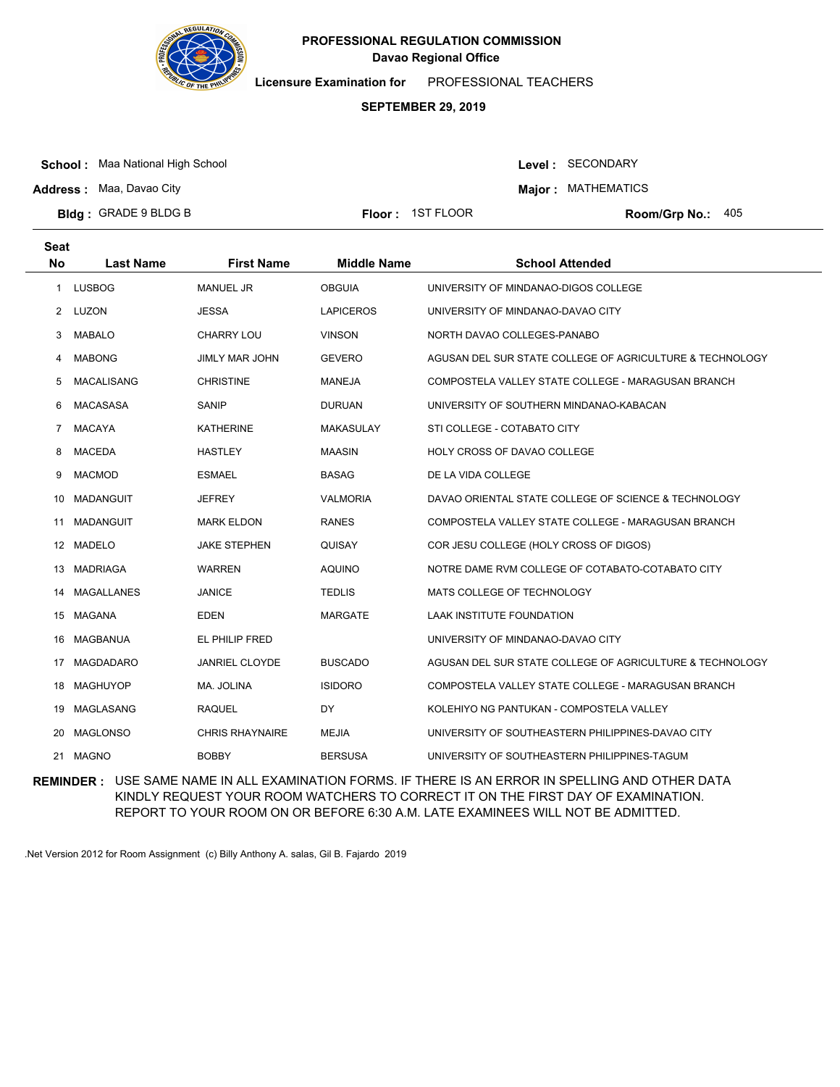

**Licensure Examination for**  PROFESSIONAL TEACHERS

### **SEPTEMBER 29, 2019**

**School :** Maa National High School

Level : SECONDARY **Major : MATHEMATICS** 

**Address :** Maa, Davao City

**Bldg : Floor : Room/Grp No.:** GRADE 9 BLDG B Floor: 1ST FLOOR Room/Grp No.: 405

| <b>Seat</b> |                   |                        |                    |                                                          |
|-------------|-------------------|------------------------|--------------------|----------------------------------------------------------|
| <b>No</b>   | <b>Last Name</b>  | <b>First Name</b>      | <b>Middle Name</b> | <b>School Attended</b>                                   |
| 1           | <b>LUSBOG</b>     | <b>MANUEL JR</b>       | <b>OBGUIA</b>      | UNIVERSITY OF MINDANAO-DIGOS COLLEGE                     |
| 2           | LUZON             | <b>JESSA</b>           | <b>LAPICEROS</b>   | UNIVERSITY OF MINDANAO-DAVAO CITY                        |
| 3           | <b>MABALO</b>     | <b>CHARRY LOU</b>      | <b>VINSON</b>      | NORTH DAVAO COLLEGES-PANABO                              |
| 4           | <b>MABONG</b>     | <b>JIMLY MAR JOHN</b>  | <b>GEVERO</b>      | AGUSAN DEL SUR STATE COLLEGE OF AGRICULTURE & TECHNOLOGY |
| 5           | <b>MACALISANG</b> | <b>CHRISTINE</b>       | <b>MANEJA</b>      | COMPOSTELA VALLEY STATE COLLEGE - MARAGUSAN BRANCH       |
| 6           | <b>MACASASA</b>   | SANIP                  | <b>DURUAN</b>      | UNIVERSITY OF SOUTHERN MINDANAO-KABACAN                  |
| 7           | <b>MACAYA</b>     | <b>KATHERINE</b>       | <b>MAKASULAY</b>   | STI COLLEGE - COTABATO CITY                              |
| 8           | <b>MACEDA</b>     | <b>HASTLEY</b>         | <b>MAASIN</b>      | <b>HOLY CROSS OF DAVAO COLLEGE</b>                       |
| 9           | <b>MACMOD</b>     | <b>ESMAEL</b>          | <b>BASAG</b>       | DE LA VIDA COLLEGE                                       |
| 10          | MADANGUIT         | <b>JEFREY</b>          | <b>VALMORIA</b>    | DAVAO ORIENTAL STATE COLLEGE OF SCIENCE & TECHNOLOGY     |
| 11          | <b>MADANGUIT</b>  | <b>MARK ELDON</b>      | <b>RANES</b>       | COMPOSTELA VALLEY STATE COLLEGE - MARAGUSAN BRANCH       |
|             | 12 MADELO         | <b>JAKE STEPHEN</b>    | <b>QUISAY</b>      | COR JESU COLLEGE (HOLY CROSS OF DIGOS)                   |
| 13          | <b>MADRIAGA</b>   | <b>WARREN</b>          | <b>AQUINO</b>      | NOTRE DAME RVM COLLEGE OF COTABATO-COTABATO CITY         |
| 14          | <b>MAGALLANES</b> | <b>JANICE</b>          | <b>TEDLIS</b>      | MATS COLLEGE OF TECHNOLOGY                               |
|             | 15 MAGANA         | EDEN                   | <b>MARGATE</b>     | <b>LAAK INSTITUTE FOUNDATION</b>                         |
| 16          | MAGBANUA          | EL PHILIP FRED         |                    | UNIVERSITY OF MINDANAO-DAVAO CITY                        |
| 17          | <b>MAGDADARO</b>  | <b>JANRIEL CLOYDE</b>  | <b>BUSCADO</b>     | AGUSAN DEL SUR STATE COLLEGE OF AGRICULTURE & TECHNOLOGY |
| 18          | <b>MAGHUYOP</b>   | MA. JOLINA             | <b>ISIDORO</b>     | COMPOSTELA VALLEY STATE COLLEGE - MARAGUSAN BRANCH       |
| 19          | MAGLASANG         | <b>RAQUEL</b>          | <b>DY</b>          | KOLEHIYO NG PANTUKAN - COMPOSTELA VALLEY                 |
| 20          | <b>MAGLONSO</b>   | <b>CHRIS RHAYNAIRE</b> | <b>MEJIA</b>       | UNIVERSITY OF SOUTHEASTERN PHILIPPINES-DAVAO CITY        |
| 21          | <b>MAGNO</b>      | <b>BOBBY</b>           | <b>BERSUSA</b>     | UNIVERSITY OF SOUTHEASTERN PHILIPPINES-TAGUM             |

**REMINDER :** USE SAME NAME IN ALL EXAMINATION FORMS. IF THERE IS AN ERROR IN SPELLING AND OTHER DATA KINDLY REQUEST YOUR ROOM WATCHERS TO CORRECT IT ON THE FIRST DAY OF EXAMINATION. REPORT TO YOUR ROOM ON OR BEFORE 6:30 A.M. LATE EXAMINEES WILL NOT BE ADMITTED.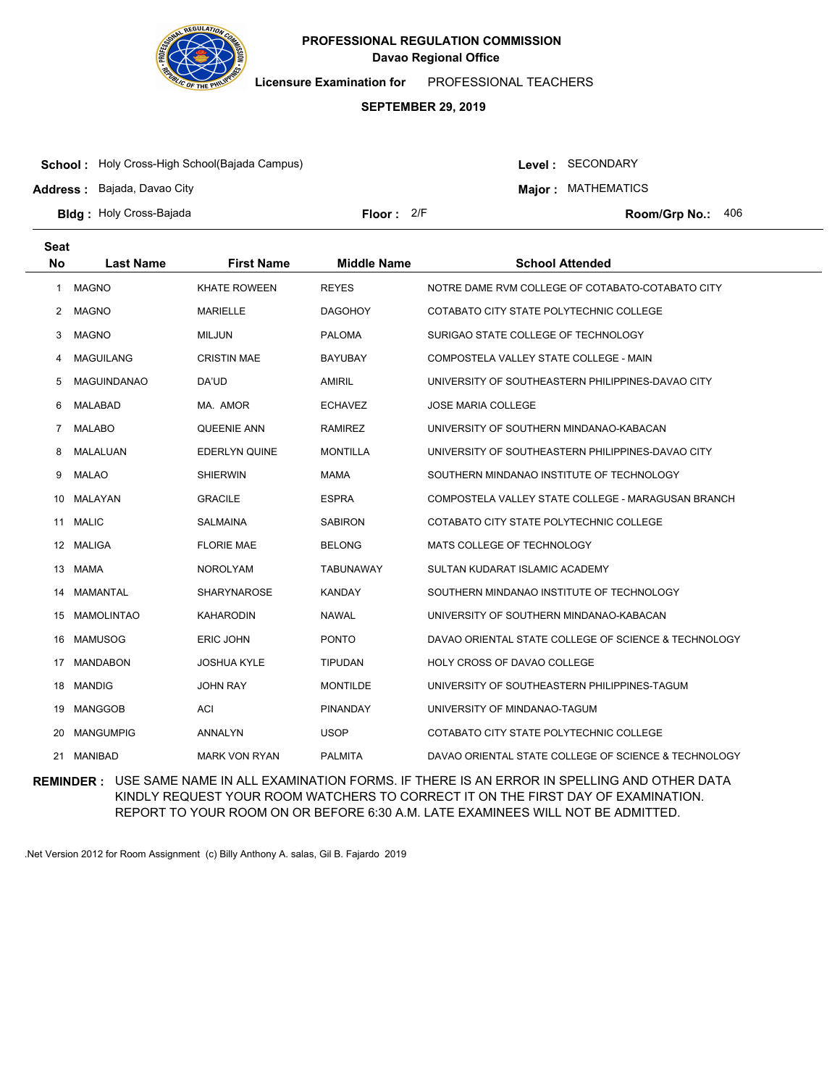

**Licensure Examination for**  PROFESSIONAL TEACHERS

### **SEPTEMBER 29, 2019**

**School :** Holy Cross-High School(Bajada Campus)

**Address :** Bajada, Davao City

Level : SECONDARY

**Major : MATHEMATICS** 

**Bldg : Floor : Room/Grp No.:** Holy Cross-Bajada

Floor: 2/F Room/Grp No.: 406

| <b>Seat</b><br><b>No</b> | <b>Last Name</b>   | <b>First Name</b>    | <b>Middle Name</b> | <b>School Attended</b>                               |
|--------------------------|--------------------|----------------------|--------------------|------------------------------------------------------|
|                          |                    |                      |                    |                                                      |
| 1                        | <b>MAGNO</b>       | <b>KHATE ROWEEN</b>  | <b>REYES</b>       | NOTRE DAME RVM COLLEGE OF COTABATO-COTABATO CITY     |
| 2                        | <b>MAGNO</b>       | <b>MARIELLE</b>      | <b>DAGOHOY</b>     | COTABATO CITY STATE POLYTECHNIC COLLEGE              |
| 3                        | <b>MAGNO</b>       | <b>MILJUN</b>        | <b>PALOMA</b>      | SURIGAO STATE COLLEGE OF TECHNOLOGY                  |
| 4                        | <b>MAGUILANG</b>   | <b>CRISTIN MAE</b>   | <b>BAYUBAY</b>     | COMPOSTELA VALLEY STATE COLLEGE - MAIN               |
| 5                        | <b>MAGUINDANAO</b> | DA'UD                | <b>AMIRIL</b>      | UNIVERSITY OF SOUTHEASTERN PHILIPPINES-DAVAO CITY    |
| 6                        | <b>MALABAD</b>     | MA. AMOR             | <b>ECHAVEZ</b>     | <b>JOSE MARIA COLLEGE</b>                            |
| 7                        | <b>MALABO</b>      | <b>QUEENIE ANN</b>   | <b>RAMIREZ</b>     | UNIVERSITY OF SOUTHERN MINDANAO-KABACAN              |
| 8                        | <b>MALALUAN</b>    | <b>EDERLYN QUINE</b> | <b>MONTILLA</b>    | UNIVERSITY OF SOUTHEASTERN PHILIPPINES-DAVAO CITY    |
| 9                        | <b>MALAO</b>       | <b>SHIERWIN</b>      | <b>MAMA</b>        | SOUTHERN MINDANAO INSTITUTE OF TECHNOLOGY            |
| 10                       | MALAYAN            | <b>GRACILE</b>       | <b>ESPRA</b>       | COMPOSTELA VALLEY STATE COLLEGE - MARAGUSAN BRANCH   |
| 11                       | <b>MALIC</b>       | <b>SALMAINA</b>      | <b>SABIRON</b>     | COTABATO CITY STATE POLYTECHNIC COLLEGE              |
| 12                       | <b>MALIGA</b>      | <b>FLORIE MAE</b>    | <b>BELONG</b>      | MATS COLLEGE OF TECHNOLOGY                           |
| 13                       | <b>MAMA</b>        | <b>NOROLYAM</b>      | <b>TABUNAWAY</b>   | SULTAN KUDARAT ISLAMIC ACADEMY                       |
| 14                       | <b>MAMANTAL</b>    | SHARYNAROSE          | <b>KANDAY</b>      | SOUTHERN MINDANAO INSTITUTE OF TECHNOLOGY            |
| 15                       | <b>MAMOLINTAO</b>  | <b>KAHARODIN</b>     | <b>NAWAL</b>       | UNIVERSITY OF SOUTHERN MINDANAO-KABACAN              |
| 16                       | <b>MAMUSOG</b>     | <b>ERIC JOHN</b>     | <b>PONTO</b>       | DAVAO ORIENTAL STATE COLLEGE OF SCIENCE & TECHNOLOGY |
| 17                       | <b>MANDABON</b>    | <b>JOSHUA KYLE</b>   | <b>TIPUDAN</b>     | HOLY CROSS OF DAVAO COLLEGE                          |
| 18                       | <b>MANDIG</b>      | <b>JOHN RAY</b>      | <b>MONTILDE</b>    | UNIVERSITY OF SOUTHEASTERN PHILIPPINES-TAGUM         |
| 19                       | <b>MANGGOB</b>     | ACI                  | <b>PINANDAY</b>    | UNIVERSITY OF MINDANAO-TAGUM                         |
| 20                       | <b>MANGUMPIG</b>   | <b>ANNALYN</b>       | <b>USOP</b>        | COTABATO CITY STATE POLYTECHNIC COLLEGE              |
| 21                       | <b>MANIBAD</b>     | <b>MARK VON RYAN</b> | <b>PALMITA</b>     | DAVAO ORIENTAL STATE COLLEGE OF SCIENCE & TECHNOLOGY |

**REMINDER :** USE SAME NAME IN ALL EXAMINATION FORMS. IF THERE IS AN ERROR IN SPELLING AND OTHER DATA KINDLY REQUEST YOUR ROOM WATCHERS TO CORRECT IT ON THE FIRST DAY OF EXAMINATION. REPORT TO YOUR ROOM ON OR BEFORE 6:30 A.M. LATE EXAMINEES WILL NOT BE ADMITTED.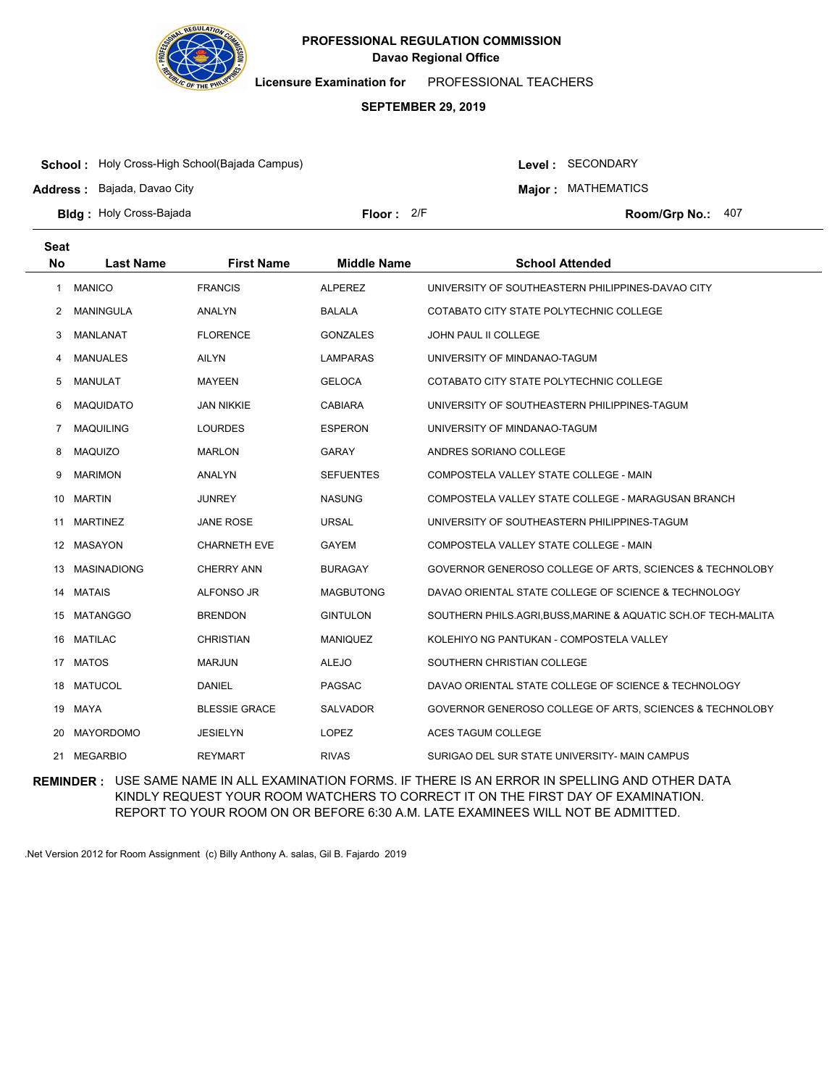

**Licensure Examination for**  PROFESSIONAL TEACHERS

### **SEPTEMBER 29, 2019**

**School :** Holy Cross-High School(Bajada Campus)

**Address :** Bajada, Davao City

Level : SECONDARY

**Major : MATHEMATICS** 

**Bldg : Floor : Room/Grp No.:** Holy Cross-Bajada

Floor:  $2/F$  Room/Grp No.: 407

| <b>Seat</b> |                    |                      |                    |                                                                |
|-------------|--------------------|----------------------|--------------------|----------------------------------------------------------------|
| <b>No</b>   | <b>Last Name</b>   | <b>First Name</b>    | <b>Middle Name</b> | <b>School Attended</b>                                         |
| 1           | <b>MANICO</b>      | <b>FRANCIS</b>       | <b>ALPEREZ</b>     | UNIVERSITY OF SOUTHEASTERN PHILIPPINES-DAVAO CITY              |
| 2           | <b>MANINGULA</b>   | ANALYN               | BALALA             | COTABATO CITY STATE POLYTECHNIC COLLEGE                        |
| 3           | MANLANAT           | <b>FLORENCE</b>      | GONZALES           | JOHN PAUL II COLLEGE                                           |
| 4           | <b>MANUALES</b>    | <b>AILYN</b>         | <b>LAMPARAS</b>    | UNIVERSITY OF MINDANAO-TAGUM                                   |
| 5           | <b>MANULAT</b>     | <b>MAYEEN</b>        | <b>GELOCA</b>      | COTABATO CITY STATE POLYTECHNIC COLLEGE                        |
| 6           | <b>MAQUIDATO</b>   | <b>JAN NIKKIE</b>    | <b>CABIARA</b>     | UNIVERSITY OF SOUTHEASTERN PHILIPPINES-TAGUM                   |
| 7           | <b>MAQUILING</b>   | <b>LOURDES</b>       | <b>ESPERON</b>     | UNIVERSITY OF MINDANAO-TAGUM                                   |
| 8           | <b>MAQUIZO</b>     | <b>MARLON</b>        | <b>GARAY</b>       | ANDRES SORIANO COLLEGE                                         |
| 9           | <b>MARIMON</b>     | ANALYN               | <b>SEFUENTES</b>   | COMPOSTELA VALLEY STATE COLLEGE - MAIN                         |
| 10          | <b>MARTIN</b>      | <b>JUNREY</b>        | <b>NASUNG</b>      | COMPOSTELA VALLEY STATE COLLEGE - MARAGUSAN BRANCH             |
| 11          | <b>MARTINEZ</b>    | <b>JANE ROSE</b>     | <b>URSAL</b>       | UNIVERSITY OF SOUTHEASTERN PHILIPPINES-TAGUM                   |
|             | 12 MASAYON         | <b>CHARNETH EVE</b>  | <b>GAYEM</b>       | COMPOSTELA VALLEY STATE COLLEGE - MAIN                         |
| 13          | <b>MASINADIONG</b> | <b>CHERRY ANN</b>    | BURAGAY            | GOVERNOR GENEROSO COLLEGE OF ARTS, SCIENCES & TECHNOLOBY       |
| 14          | <b>MATAIS</b>      | <b>ALFONSO JR</b>    | <b>MAGBUTONG</b>   | DAVAO ORIENTAL STATE COLLEGE OF SCIENCE & TECHNOLOGY           |
| 15          | <b>MATANGGO</b>    | <b>BRENDON</b>       | <b>GINTULON</b>    | SOUTHERN PHILS.AGRI, BUSS, MARINE & AQUATIC SCH.OF TECH-MALITA |
| 16          | <b>MATILAC</b>     | <b>CHRISTIAN</b>     | <b>MANIQUEZ</b>    | KOLEHIYO NG PANTUKAN - COMPOSTELA VALLEY                       |
|             | 17 MATOS           | <b>MARJUN</b>        | <b>ALEJO</b>       | SOUTHERN CHRISTIAN COLLEGE                                     |
| 18          | <b>MATUCOL</b>     | <b>DANIEL</b>        | PAGSAC             | DAVAO ORIENTAL STATE COLLEGE OF SCIENCE & TECHNOLOGY           |
| 19          | MAYA               | <b>BLESSIE GRACE</b> | <b>SALVADOR</b>    | GOVERNOR GENEROSO COLLEGE OF ARTS, SCIENCES & TECHNOLOBY       |
| 20          | <b>MAYORDOMO</b>   | <b>JESIELYN</b>      | <b>LOPEZ</b>       | <b>ACES TAGUM COLLEGE</b>                                      |
| 21          | MEGARBIO           | <b>REYMART</b>       | <b>RIVAS</b>       | SURIGAO DEL SUR STATE UNIVERSITY- MAIN CAMPUS                  |

**REMINDER :** USE SAME NAME IN ALL EXAMINATION FORMS. IF THERE IS AN ERROR IN SPELLING AND OTHER DATA KINDLY REQUEST YOUR ROOM WATCHERS TO CORRECT IT ON THE FIRST DAY OF EXAMINATION. REPORT TO YOUR ROOM ON OR BEFORE 6:30 A.M. LATE EXAMINEES WILL NOT BE ADMITTED.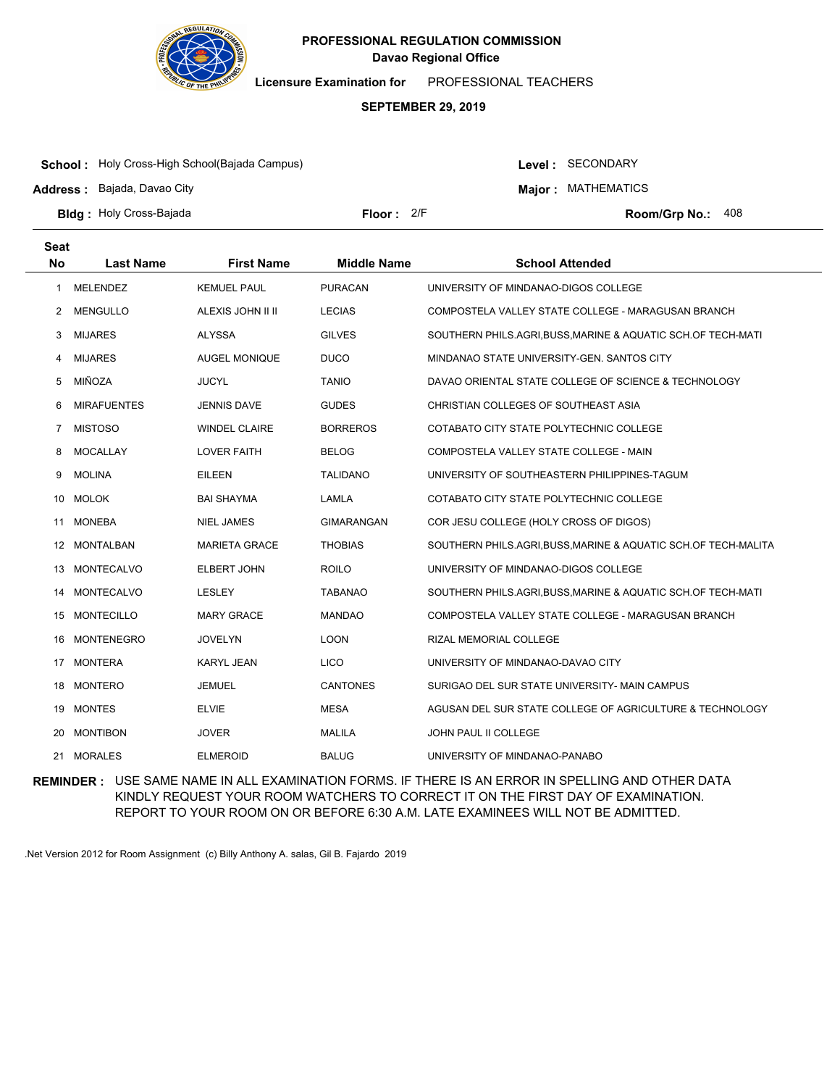

**Licensure Examination for**  PROFESSIONAL TEACHERS

### **SEPTEMBER 29, 2019**

**School :** Holy Cross-High School(Bajada Campus)

**Address :** Bajada, Davao City

Level : SECONDARY

**Major : MATHEMATICS** 

**Bldg : Floor : Room/Grp No.:** Holy Cross-Bajada

Floor:  $2/F$  Room/Grp No.: 408

| <b>Seat</b>    |                    |                      |                    |                                                              |
|----------------|--------------------|----------------------|--------------------|--------------------------------------------------------------|
| <b>No</b>      | <b>Last Name</b>   | <b>First Name</b>    | <b>Middle Name</b> | <b>School Attended</b>                                       |
| 1              | <b>MELENDEZ</b>    | <b>KEMUEL PAUL</b>   | <b>PURACAN</b>     | UNIVERSITY OF MINDANAO-DIGOS COLLEGE                         |
| 2              | <b>MENGULLO</b>    | ALEXIS JOHN II II    | <b>LECIAS</b>      | COMPOSTELA VALLEY STATE COLLEGE - MARAGUSAN BRANCH           |
| 3              | <b>MIJARES</b>     | <b>ALYSSA</b>        | <b>GILVES</b>      | SOUTHERN PHILS.AGRI,BUSS,MARINE & AQUATIC SCH.OF TECH-MATI   |
| 4              | <b>MIJARES</b>     | <b>AUGEL MONIQUE</b> | <b>DUCO</b>        | MINDANAO STATE UNIVERSITY-GEN, SANTOS CITY                   |
| 5              | MIÑOZA             | <b>JUCYL</b>         | <b>TANIO</b>       | DAVAO ORIENTAL STATE COLLEGE OF SCIENCE & TECHNOLOGY         |
| 6              | <b>MIRAFUENTES</b> | <b>JENNIS DAVE</b>   | <b>GUDES</b>       | CHRISTIAN COLLEGES OF SOUTHEAST ASIA                         |
| $\overline{7}$ | <b>MISTOSO</b>     | <b>WINDEL CLAIRE</b> | <b>BORREROS</b>    | COTABATO CITY STATE POLYTECHNIC COLLEGE                      |
| 8              | <b>MOCALLAY</b>    | <b>LOVER FAITH</b>   | <b>BELOG</b>       | COMPOSTELA VALLEY STATE COLLEGE - MAIN                       |
| 9              | <b>MOLINA</b>      | <b>EILEEN</b>        | <b>TALIDANO</b>    | UNIVERSITY OF SOUTHEASTERN PHILIPPINES-TAGUM                 |
| 10             | <b>MOLOK</b>       | BAI SHAYMA           | <b>LAMLA</b>       | COTABATO CITY STATE POLYTECHNIC COLLEGE                      |
| 11             | <b>MONEBA</b>      | <b>NIEL JAMES</b>    | <b>GIMARANGAN</b>  | COR JESU COLLEGE (HOLY CROSS OF DIGOS)                       |
|                | 12 MONTALBAN       | <b>MARIETA GRACE</b> | <b>THOBIAS</b>     | SOUTHERN PHILS.AGRI,BUSS,MARINE & AQUATIC SCH.OF TECH-MALITA |
| 13             | <b>MONTECALVO</b>  | <b>ELBERT JOHN</b>   | <b>ROILO</b>       | UNIVERSITY OF MINDANAO-DIGOS COLLEGE                         |
| 14             | <b>MONTECALVO</b>  | LESLEY               | <b>TABANAO</b>     | SOUTHERN PHILS.AGRI, BUSS, MARINE & AQUATIC SCH.OF TECH-MATI |
|                | 15 MONTECILLO      | <b>MARY GRACE</b>    | <b>MANDAO</b>      | COMPOSTELA VALLEY STATE COLLEGE - MARAGUSAN BRANCH           |
| 16             | <b>MONTENEGRO</b>  | <b>JOVELYN</b>       | <b>LOON</b>        | RIZAL MEMORIAL COLLEGE                                       |
| 17             | <b>MONTERA</b>     | <b>KARYL JEAN</b>    | <b>LICO</b>        | UNIVERSITY OF MINDANAO-DAVAO CITY                            |
| 18             | <b>MONTERO</b>     | <b>JEMUEL</b>        | <b>CANTONES</b>    | SURIGAO DEL SUR STATE UNIVERSITY- MAIN CAMPUS                |
| 19             | <b>MONTES</b>      | <b>ELVIE</b>         | <b>MESA</b>        | AGUSAN DEL SUR STATE COLLEGE OF AGRICULTURE & TECHNOLOGY     |
| 20             | <b>MONTIBON</b>    | <b>JOVER</b>         | <b>MALILA</b>      | <b>JOHN PAUL II COLLEGE</b>                                  |
| 21             | <b>MORALES</b>     | <b>ELMEROID</b>      | <b>BALUG</b>       | UNIVERSITY OF MINDANAO-PANABO                                |

**REMINDER :** USE SAME NAME IN ALL EXAMINATION FORMS. IF THERE IS AN ERROR IN SPELLING AND OTHER DATA KINDLY REQUEST YOUR ROOM WATCHERS TO CORRECT IT ON THE FIRST DAY OF EXAMINATION. REPORT TO YOUR ROOM ON OR BEFORE 6:30 A.M. LATE EXAMINEES WILL NOT BE ADMITTED.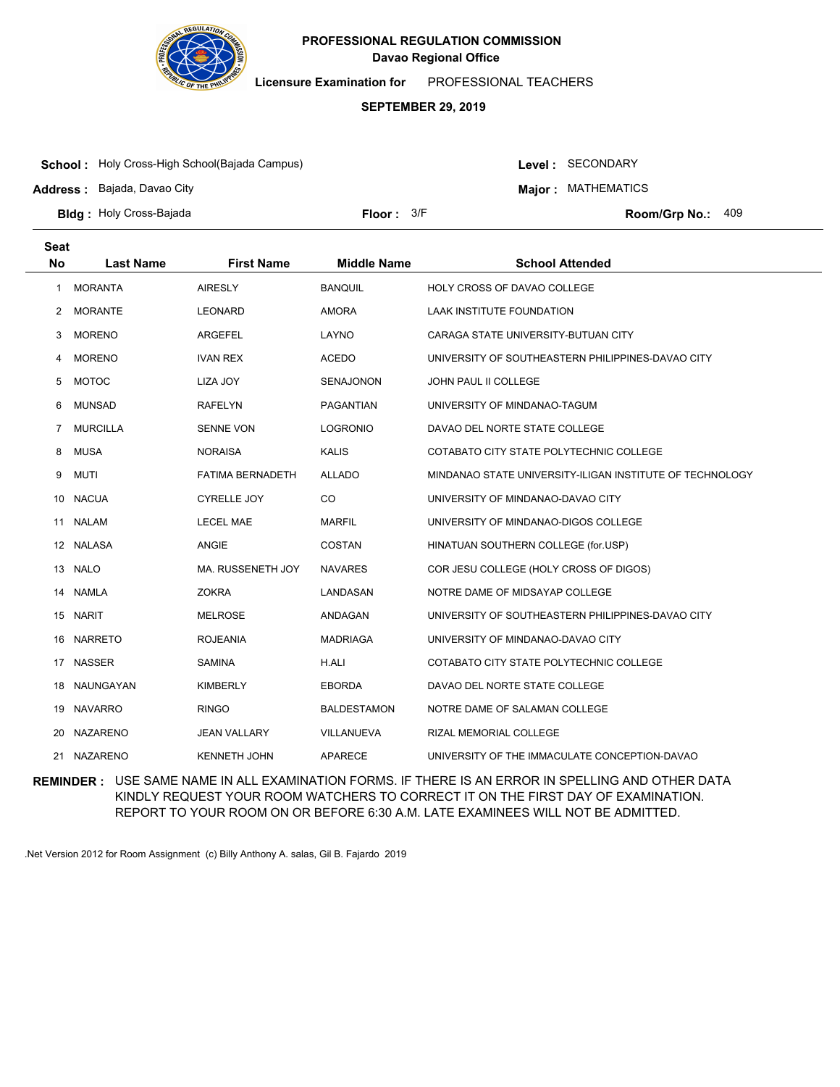

**Licensure Examination for**  PROFESSIONAL TEACHERS

### **SEPTEMBER 29, 2019**

**School :** Holy Cross-High School(Bajada Campus)

**Address :** Bajada, Davao City

Level : SECONDARY

**Major : MATHEMATICS** 

**Bldg : Floor : Room/Grp No.:** Holy Cross-Bajada

Floor:  $3/F$  Room/Grp No.: 409

| <b>Seat</b><br><b>No</b> | <b>Last Name</b> | <b>First Name</b>       | <b>Middle Name</b> | <b>School Attended</b>                                   |
|--------------------------|------------------|-------------------------|--------------------|----------------------------------------------------------|
|                          |                  |                         |                    |                                                          |
| 1                        | <b>MORANTA</b>   | <b>AIRESLY</b>          | <b>BANQUIL</b>     | HOLY CROSS OF DAVAO COLLEGE                              |
| $^{2}$                   | <b>MORANTE</b>   | <b>LEONARD</b>          | <b>AMORA</b>       | LAAK INSTITUTE FOUNDATION                                |
| 3                        | <b>MORENO</b>    | ARGEFEL                 | LAYNO              | CARAGA STATE UNIVERSITY-BUTUAN CITY                      |
| 4                        | <b>MORENO</b>    | <b>IVAN REX</b>         | <b>ACEDO</b>       | UNIVERSITY OF SOUTHEASTERN PHILIPPINES-DAVAO CITY        |
| 5                        | <b>MOTOC</b>     | LIZA JOY                | <b>SENAJONON</b>   | JOHN PAUL II COLLEGE                                     |
| 6                        | <b>MUNSAD</b>    | <b>RAFELYN</b>          | <b>PAGANTIAN</b>   | UNIVERSITY OF MINDANAO-TAGUM                             |
| 7                        | <b>MURCILLA</b>  | <b>SENNE VON</b>        | <b>LOGRONIO</b>    | DAVAO DEL NORTE STATE COLLEGE                            |
| 8                        | <b>MUSA</b>      | <b>NORAISA</b>          | <b>KALIS</b>       | COTABATO CITY STATE POLYTECHNIC COLLEGE                  |
| 9                        | <b>MUTI</b>      | <b>FATIMA BERNADETH</b> | <b>ALLADO</b>      | MINDANAO STATE UNIVERSITY-ILIGAN INSTITUTE OF TECHNOLOGY |
|                          | 10 NACUA         | <b>CYRELLE JOY</b>      | CO                 | UNIVERSITY OF MINDANAO-DAVAO CITY                        |
|                          | 11 NALAM         | <b>LECEL MAE</b>        | <b>MARFIL</b>      | UNIVERSITY OF MINDANAO-DIGOS COLLEGE                     |
|                          | 12 NALASA        | ANGIE                   | <b>COSTAN</b>      | HINATUAN SOUTHERN COLLEGE (for.USP)                      |
|                          | 13 NALO          | MA. RUSSENETH JOY       | <b>NAVARES</b>     | COR JESU COLLEGE (HOLY CROSS OF DIGOS)                   |
| 14                       | <b>NAMLA</b>     | <b>ZOKRA</b>            | LANDASAN           | NOTRE DAME OF MIDSAYAP COLLEGE                           |
|                          | 15 NARIT         | <b>MELROSE</b>          | ANDAGAN            | UNIVERSITY OF SOUTHEASTERN PHILIPPINES-DAVAO CITY        |
| 16                       | <b>NARRETO</b>   | <b>ROJEANIA</b>         | <b>MADRIAGA</b>    | UNIVERSITY OF MINDANAO-DAVAO CITY                        |
| 17                       | <b>NASSER</b>    | <b>SAMINA</b>           | H.ALI              | COTABATO CITY STATE POLYTECHNIC COLLEGE                  |
| 18                       | NAUNGAYAN        | <b>KIMBERLY</b>         | <b>EBORDA</b>      | DAVAO DEL NORTE STATE COLLEGE                            |
| 19                       | <b>NAVARRO</b>   | <b>RINGO</b>            | <b>BALDESTAMON</b> | NOTRE DAME OF SALAMAN COLLEGE                            |
| 20                       | <b>NAZARENO</b>  | <b>JEAN VALLARY</b>     | VILLANUEVA         | RIZAL MEMORIAL COLLEGE                                   |
|                          | 21 NAZARENO      | <b>KENNETH JOHN</b>     | <b>APARECE</b>     | UNIVERSITY OF THE IMMACULATE CONCEPTION-DAVAO            |

**REMINDER :** USE SAME NAME IN ALL EXAMINATION FORMS. IF THERE IS AN ERROR IN SPELLING AND OTHER DATA KINDLY REQUEST YOUR ROOM WATCHERS TO CORRECT IT ON THE FIRST DAY OF EXAMINATION. REPORT TO YOUR ROOM ON OR BEFORE 6:30 A.M. LATE EXAMINEES WILL NOT BE ADMITTED.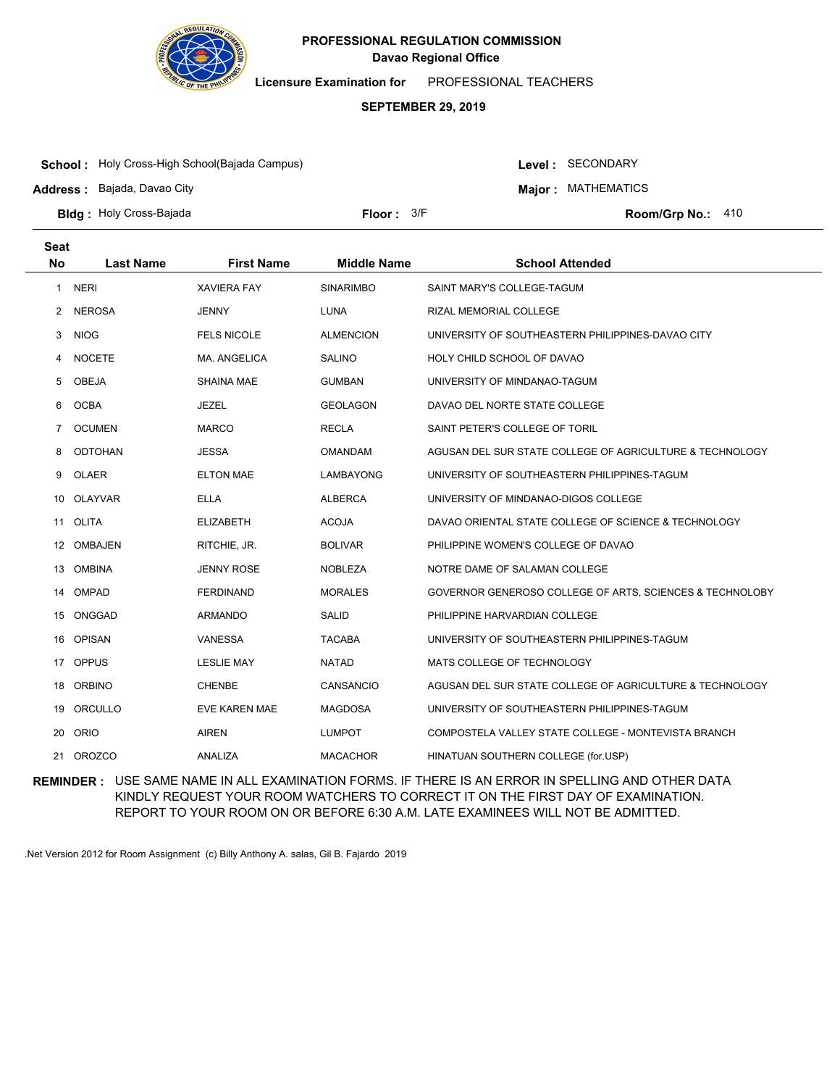

**Licensure Examination for**  PROFESSIONAL TEACHERS

### **SEPTEMBER 29, 2019**

**School :** Holy Cross-High School(Bajada Campus)

**Address :** Bajada, Davao City

Level : SECONDARY

**Major : MATHEMATICS** 

**Bldg : Floor : Room/Grp No.:** Holy Cross-Bajada

Floor: 3/F Room/Grp No.: 410

| <b>Seat</b>    |                  |                    |                    |                                                          |
|----------------|------------------|--------------------|--------------------|----------------------------------------------------------|
| <b>No</b>      | <b>Last Name</b> | <b>First Name</b>  | <b>Middle Name</b> | <b>School Attended</b>                                   |
| 1              | <b>NERI</b>      | <b>XAVIERA FAY</b> | <b>SINARIMBO</b>   | SAINT MARY'S COLLEGE-TAGUM                               |
| 2              | <b>NEROSA</b>    | <b>JENNY</b>       | LUNA               | RIZAL MEMORIAL COLLEGE                                   |
| 3              | <b>NIOG</b>      | <b>FELS NICOLE</b> | <b>ALMENCION</b>   | UNIVERSITY OF SOUTHEASTERN PHILIPPINES-DAVAO CITY        |
| 4              | <b>NOCETE</b>    | MA, ANGELICA       | <b>SALINO</b>      | HOLY CHILD SCHOOL OF DAVAO                               |
| 5              | <b>OBEJA</b>     | <b>SHAINA MAE</b>  | <b>GUMBAN</b>      | UNIVERSITY OF MINDANAO-TAGUM                             |
| 6              | <b>OCBA</b>      | <b>JEZEL</b>       | <b>GEOLAGON</b>    | DAVAO DEL NORTE STATE COLLEGE                            |
| $\overline{7}$ | <b>OCUMEN</b>    | <b>MARCO</b>       | <b>RECLA</b>       | SAINT PETER'S COLLEGE OF TORIL                           |
| 8              | <b>ODTOHAN</b>   | <b>JESSA</b>       | <b>OMANDAM</b>     | AGUSAN DEL SUR STATE COLLEGE OF AGRICULTURE & TECHNOLOGY |
| 9              | <b>OLAER</b>     | <b>ELTON MAE</b>   | LAMBAYONG          | UNIVERSITY OF SOUTHEASTERN PHILIPPINES-TAGUM             |
| 10             | <b>OLAYVAR</b>   | <b>ELLA</b>        | <b>ALBERCA</b>     | UNIVERSITY OF MINDANAO-DIGOS COLLEGE                     |
| 11             | <b>OLITA</b>     | <b>ELIZABETH</b>   | <b>ACOJA</b>       | DAVAO ORIENTAL STATE COLLEGE OF SCIENCE & TECHNOLOGY     |
|                | 12 OMBAJEN       | RITCHIE, JR.       | <b>BOLIVAR</b>     | PHILIPPINE WOMEN'S COLLEGE OF DAVAO                      |
| 13             | <b>OMBINA</b>    | <b>JENNY ROSE</b>  | <b>NOBLEZA</b>     | NOTRE DAME OF SALAMAN COLLEGE                            |
| 14             | OMPAD            | <b>FERDINAND</b>   | <b>MORALES</b>     | GOVERNOR GENEROSO COLLEGE OF ARTS, SCIENCES & TECHNOLOBY |
| 15             | ONGGAD           | <b>ARMANDO</b>     | <b>SALID</b>       | PHILIPPINE HARVARDIAN COLLEGE                            |
| 16             | <b>OPISAN</b>    | <b>VANESSA</b>     | <b>TACABA</b>      | UNIVERSITY OF SOUTHEASTERN PHILIPPINES-TAGUM             |
| 17             | <b>OPPUS</b>     | <b>LESLIE MAY</b>  | <b>NATAD</b>       | MATS COLLEGE OF TECHNOLOGY                               |
| 18             | <b>ORBINO</b>    | <b>CHENBE</b>      | CANSANCIO          | AGUSAN DEL SUR STATE COLLEGE OF AGRICULTURE & TECHNOLOGY |
| 19             | ORCULLO          | EVE KAREN MAE      | <b>MAGDOSA</b>     | UNIVERSITY OF SOUTHEASTERN PHILIPPINES-TAGUM             |
| 20             | ORIO             | <b>AIREN</b>       | <b>LUMPOT</b>      | COMPOSTELA VALLEY STATE COLLEGE - MONTEVISTA BRANCH      |
| 21             | <b>OROZCO</b>    | ANALIZA            | <b>MACACHOR</b>    | HINATUAN SOUTHERN COLLEGE (for.USP)                      |

**REMINDER :** USE SAME NAME IN ALL EXAMINATION FORMS. IF THERE IS AN ERROR IN SPELLING AND OTHER DATA KINDLY REQUEST YOUR ROOM WATCHERS TO CORRECT IT ON THE FIRST DAY OF EXAMINATION. REPORT TO YOUR ROOM ON OR BEFORE 6:30 A.M. LATE EXAMINEES WILL NOT BE ADMITTED.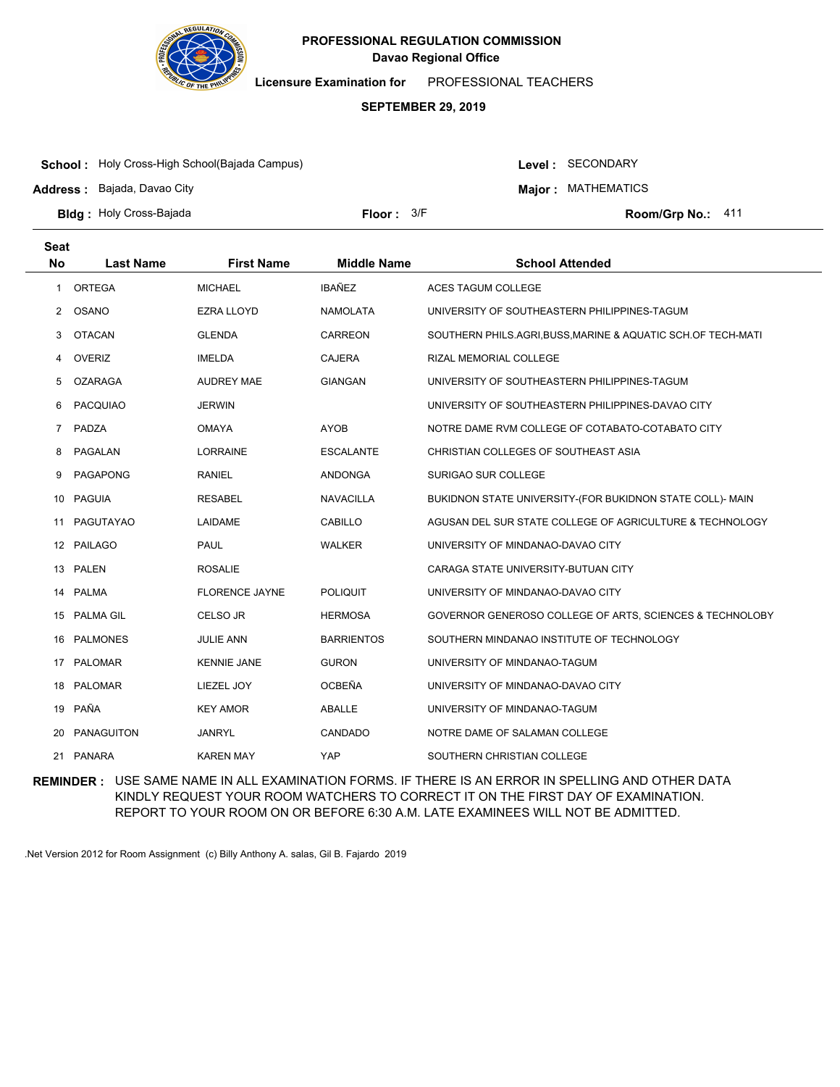

**Licensure Examination for**  PROFESSIONAL TEACHERS

### **SEPTEMBER 29, 2019**

**School :** Holy Cross-High School(Bajada Campus)

**Address :** Bajada, Davao City

Level : SECONDARY

**Major : MATHEMATICS** 

**Bldg : Floor : Room/Grp No.:** Holy Cross-Bajada

Floor:  $3/F$  Room/Grp No.: 411

| Seat<br><b>No</b> | <b>Last Name</b> | <b>First Name</b>     | <b>Middle Name</b> | <b>School Attended</b>                                       |
|-------------------|------------------|-----------------------|--------------------|--------------------------------------------------------------|
|                   |                  |                       | <b>IBAÑEZ</b>      |                                                              |
| $\mathbf{1}$      | <b>ORTEGA</b>    | <b>MICHAEL</b>        |                    | ACES TAGUM COLLEGE                                           |
| 2                 | OSANO            | <b>EZRA LLOYD</b>     | <b>NAMOLATA</b>    | UNIVERSITY OF SOUTHEASTERN PHILIPPINES-TAGUM                 |
| 3                 | <b>OTACAN</b>    | <b>GLENDA</b>         | <b>CARREON</b>     | SOUTHERN PHILS.AGRI, BUSS, MARINE & AQUATIC SCH.OF TECH-MATI |
| 4                 | <b>OVERIZ</b>    | <b>IMELDA</b>         | <b>CAJERA</b>      | RIZAL MEMORIAL COLLEGE                                       |
| 5                 | <b>OZARAGA</b>   | <b>AUDREY MAE</b>     | <b>GIANGAN</b>     | UNIVERSITY OF SOUTHEASTERN PHILIPPINES-TAGUM                 |
| 6                 | <b>PACQUIAO</b>  | <b>JERWIN</b>         |                    | UNIVERSITY OF SOUTHEASTERN PHILIPPINES-DAVAO CITY            |
| 7                 | PADZA            | <b>OMAYA</b>          | <b>AYOB</b>        | NOTRE DAME RVM COLLEGE OF COTABATO-COTABATO CITY             |
| 8                 | PAGALAN          | LORRAINE              | <b>ESCALANTE</b>   | CHRISTIAN COLLEGES OF SOUTHEAST ASIA                         |
| 9                 | <b>PAGAPONG</b>  | <b>RANIEL</b>         | <b>ANDONGA</b>     | SURIGAO SUR COLLEGE                                          |
| 10                | <b>PAGUIA</b>    | <b>RESABEL</b>        | <b>NAVACILLA</b>   | BUKIDNON STATE UNIVERSITY-(FOR BUKIDNON STATE COLL)- MAIN    |
| 11                | PAGUTAYAO        | LAIDAME               | <b>CABILLO</b>     | AGUSAN DEL SUR STATE COLLEGE OF AGRICULTURE & TECHNOLOGY     |
| 12                | PAILAGO          | PAUL                  | <b>WALKER</b>      | UNIVERSITY OF MINDANAO-DAVAO CITY                            |
| 13                | PALEN            | <b>ROSALIE</b>        |                    | CARAGA STATE UNIVERSITY-BUTUAN CITY                          |
| 14                | PALMA            | <b>FLORENCE JAYNE</b> | <b>POLIQUIT</b>    | UNIVERSITY OF MINDANAO-DAVAO CITY                            |
| 15                | <b>PALMA GIL</b> | CELSO JR              | <b>HERMOSA</b>     | GOVERNOR GENEROSO COLLEGE OF ARTS, SCIENCES & TECHNOLOBY     |
| 16                | <b>PALMONES</b>  | <b>JULIE ANN</b>      | <b>BARRIENTOS</b>  | SOUTHERN MINDANAO INSTITUTE OF TECHNOLOGY                    |
| 17                | PALOMAR          | <b>KENNIE JANE</b>    | <b>GURON</b>       | UNIVERSITY OF MINDANAO-TAGUM                                 |
| 18                | PALOMAR          | LIEZEL JOY            | <b>OCBEÑA</b>      | UNIVERSITY OF MINDANAO-DAVAO CITY                            |
| 19                | PAÑA             | <b>KEY AMOR</b>       | ABALLE             | UNIVERSITY OF MINDANAO-TAGUM                                 |
| 20                | PANAGUITON       | <b>JANRYL</b>         | CANDADO            | NOTRE DAME OF SALAMAN COLLEGE                                |
|                   | 21 PANARA        | <b>KAREN MAY</b>      | YAP                | SOUTHERN CHRISTIAN COLLEGE                                   |

**REMINDER :** USE SAME NAME IN ALL EXAMINATION FORMS. IF THERE IS AN ERROR IN SPELLING AND OTHER DATA KINDLY REQUEST YOUR ROOM WATCHERS TO CORRECT IT ON THE FIRST DAY OF EXAMINATION. REPORT TO YOUR ROOM ON OR BEFORE 6:30 A.M. LATE EXAMINEES WILL NOT BE ADMITTED.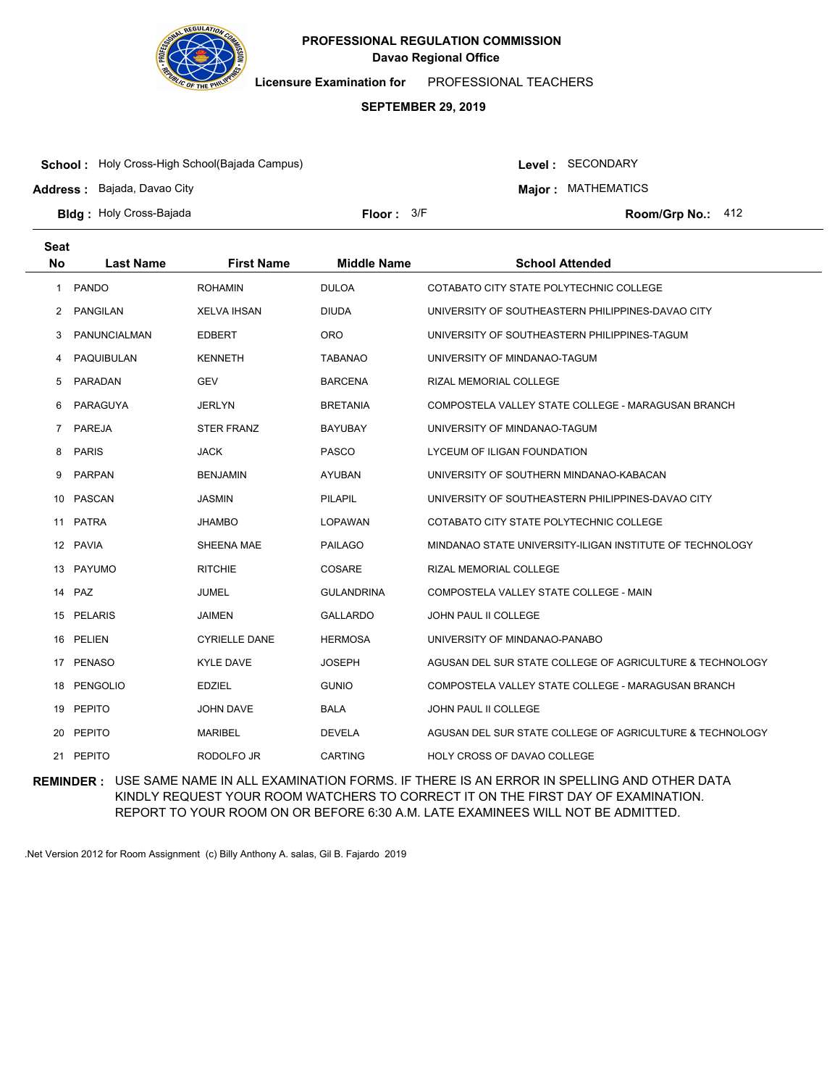

**Licensure Examination for**  PROFESSIONAL TEACHERS

### **SEPTEMBER 29, 2019**

**School :** Holy Cross-High School(Bajada Campus)

**Address :** Bajada, Davao City

Level : SECONDARY

**Major : MATHEMATICS** 

**Bldg : Floor : Room/Grp No.:** Holy Cross-Bajada

Floor: 3/F Room/Grp No.: 412

| <b>Seat</b><br><b>No</b> | <b>Last Name</b> | <b>First Name</b>    | <b>Middle Name</b> | <b>School Attended</b>                                   |
|--------------------------|------------------|----------------------|--------------------|----------------------------------------------------------|
|                          |                  |                      |                    |                                                          |
| 1                        | <b>PANDO</b>     | <b>ROHAMIN</b>       | <b>DULOA</b>       | COTABATO CITY STATE POLYTECHNIC COLLEGE                  |
| 2                        | <b>PANGILAN</b>  | <b>XELVA IHSAN</b>   | <b>DIUDA</b>       | UNIVERSITY OF SOUTHEASTERN PHILIPPINES-DAVAO CITY        |
| 3                        | PANUNCIALMAN     | <b>EDBERT</b>        | <b>ORO</b>         | UNIVERSITY OF SOUTHEASTERN PHILIPPINES-TAGUM             |
| 4                        | PAQUIBULAN       | <b>KENNETH</b>       | <b>TABANAO</b>     | UNIVERSITY OF MINDANAO-TAGUM                             |
| 5                        | PARADAN          | <b>GEV</b>           | <b>BARCENA</b>     | RIZAL MEMORIAL COLLEGE                                   |
| 6                        | PARAGUYA         | <b>JERLYN</b>        | <b>BRETANIA</b>    | COMPOSTELA VALLEY STATE COLLEGE - MARAGUSAN BRANCH       |
| 7                        | PAREJA           | <b>STER FRANZ</b>    | <b>BAYUBAY</b>     | UNIVERSITY OF MINDANAO-TAGUM                             |
| 8                        | <b>PARIS</b>     | <b>JACK</b>          | <b>PASCO</b>       | LYCEUM OF ILIGAN FOUNDATION                              |
| 9                        | <b>PARPAN</b>    | <b>BENJAMIN</b>      | <b>AYUBAN</b>      | UNIVERSITY OF SOUTHERN MINDANAO-KABACAN                  |
| 10                       | PASCAN           | <b>JASMIN</b>        | <b>PILAPIL</b>     | UNIVERSITY OF SOUTHEASTERN PHILIPPINES-DAVAO CITY        |
| 11                       | <b>PATRA</b>     | <b>JHAMBO</b>        | <b>LOPAWAN</b>     | COTABATO CITY STATE POLYTECHNIC COLLEGE                  |
| 12                       | <b>PAVIA</b>     | SHEENA MAE           | <b>PAILAGO</b>     | MINDANAO STATE UNIVERSITY-ILIGAN INSTITUTE OF TECHNOLOGY |
| 13                       | PAYUMO           | <b>RITCHIE</b>       | COSARE             | RIZAL MEMORIAL COLLEGE                                   |
|                          | 14 PAZ           | <b>JUMEL</b>         | <b>GULANDRINA</b>  | COMPOSTELA VALLEY STATE COLLEGE - MAIN                   |
| 15                       | <b>PELARIS</b>   | <b>JAIMEN</b>        | <b>GALLARDO</b>    | <b>JOHN PAUL II COLLEGE</b>                              |
| 16                       | PELIEN           | <b>CYRIELLE DANE</b> | <b>HERMOSA</b>     | UNIVERSITY OF MINDANAO-PANABO                            |
|                          | 17 PENASO        | <b>KYLE DAVE</b>     | <b>JOSEPH</b>      | AGUSAN DEL SUR STATE COLLEGE OF AGRICULTURE & TECHNOLOGY |
| 18                       | PENGOLIO         | <b>EDZIEL</b>        | <b>GUNIO</b>       | COMPOSTELA VALLEY STATE COLLEGE - MARAGUSAN BRANCH       |
| 19                       | <b>PEPITO</b>    | <b>JOHN DAVE</b>     | <b>BALA</b>        | JOHN PAUL II COLLEGE                                     |
| 20                       | <b>PEPITO</b>    | <b>MARIBEL</b>       | <b>DEVELA</b>      | AGUSAN DEL SUR STATE COLLEGE OF AGRICULTURE & TECHNOLOGY |
|                          | 21 PEPITO        | RODOLFO JR           | <b>CARTING</b>     | <b>HOLY CROSS OF DAVAO COLLEGE</b>                       |

**REMINDER :** USE SAME NAME IN ALL EXAMINATION FORMS. IF THERE IS AN ERROR IN SPELLING AND OTHER DATA KINDLY REQUEST YOUR ROOM WATCHERS TO CORRECT IT ON THE FIRST DAY OF EXAMINATION. REPORT TO YOUR ROOM ON OR BEFORE 6:30 A.M. LATE EXAMINEES WILL NOT BE ADMITTED.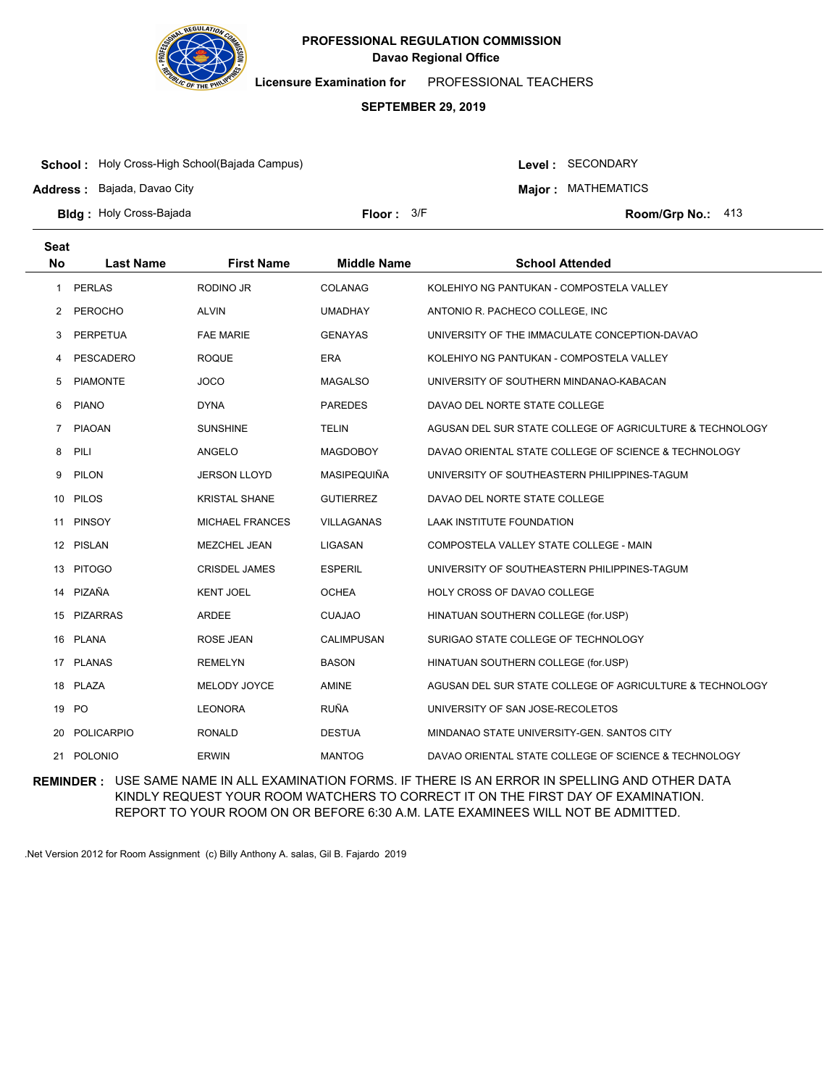

**Licensure Examination for**  PROFESSIONAL TEACHERS

### **SEPTEMBER 29, 2019**

**School :** Holy Cross-High School(Bajada Campus)

**Address :** Bajada, Davao City

Level : SECONDARY

**Major : MATHEMATICS** 

**Bldg : Floor : Room/Grp No.:** Holy Cross-Bajada

Floor: 3/F Room/Grp No.: 413

| <b>Seat</b><br><b>No</b> | <b>Last Name</b> | <b>First Name</b>    | <b>Middle Name</b> | <b>School Attended</b>                                   |
|--------------------------|------------------|----------------------|--------------------|----------------------------------------------------------|
|                          |                  |                      |                    |                                                          |
| $\mathbf{1}$             | <b>PERLAS</b>    | RODINO JR            | <b>COLANAG</b>     | KOLEHIYO NG PANTUKAN - COMPOSTELA VALLEY                 |
| 2                        | <b>PEROCHO</b>   | <b>ALVIN</b>         | <b>UMADHAY</b>     | ANTONIO R. PACHECO COLLEGE, INC                          |
| 3                        | <b>PERPETUA</b>  | <b>FAE MARIE</b>     | <b>GENAYAS</b>     | UNIVERSITY OF THE IMMACULATE CONCEPTION-DAVAO            |
| 4                        | PESCADERO        | <b>ROQUE</b>         | <b>ERA</b>         | KOLEHIYO NG PANTUKAN - COMPOSTELA VALLEY                 |
| 5                        | <b>PIAMONTE</b>  | <b>JOCO</b>          | <b>MAGALSO</b>     | UNIVERSITY OF SOUTHERN MINDANAO-KABACAN                  |
| 6                        | <b>PIANO</b>     | <b>DYNA</b>          | <b>PAREDES</b>     | DAVAO DEL NORTE STATE COLLEGE                            |
| 7                        | PIAOAN           | <b>SUNSHINE</b>      | <b>TELIN</b>       | AGUSAN DEL SUR STATE COLLEGE OF AGRICULTURE & TECHNOLOGY |
| 8                        | PILI             | ANGELO               | <b>MAGDOBOY</b>    | DAVAO ORIENTAL STATE COLLEGE OF SCIENCE & TECHNOLOGY     |
| 9                        | PILON            | <b>JERSON LLOYD</b>  | MASIPEQUIÑA        | UNIVERSITY OF SOUTHEASTERN PHILIPPINES-TAGUM             |
| 10                       | PILOS            | <b>KRISTAL SHANE</b> | <b>GUTIERREZ</b>   | DAVAO DEL NORTE STATE COLLEGE                            |
| 11                       | <b>PINSOY</b>    | MICHAEL FRANCES      | <b>VILLAGANAS</b>  | LAAK INSTITUTE FOUNDATION                                |
|                          | 12 PISLAN        | <b>MEZCHEL JEAN</b>  | LIGASAN            | COMPOSTELA VALLEY STATE COLLEGE - MAIN                   |
| 13                       | <b>PITOGO</b>    | <b>CRISDEL JAMES</b> | <b>ESPERIL</b>     | UNIVERSITY OF SOUTHEASTERN PHILIPPINES-TAGUM             |
| 14                       | PIZAÑA           | <b>KENT JOEL</b>     | <b>OCHEA</b>       | HOLY CROSS OF DAVAO COLLEGE                              |
| 15                       | <b>PIZARRAS</b>  | <b>ARDEE</b>         | <b>CUAJAO</b>      | HINATUAN SOUTHERN COLLEGE (for.USP)                      |
| 16                       | PLANA            | ROSE JEAN            | <b>CALIMPUSAN</b>  | SURIGAO STATE COLLEGE OF TECHNOLOGY                      |
|                          | 17 PLANAS        | <b>REMELYN</b>       | <b>BASON</b>       | HINATUAN SOUTHERN COLLEGE (for.USP)                      |
|                          | 18 PLAZA         | MELODY JOYCE         | <b>AMINE</b>       | AGUSAN DEL SUR STATE COLLEGE OF AGRICULTURE & TECHNOLOGY |
|                          | 19 PO            | <b>LEONORA</b>       | <b>RUÑA</b>        | UNIVERSITY OF SAN JOSE-RECOLETOS                         |
| 20                       | POLICARPIO       | RONALD               | <b>DESTUA</b>      | MINDANAO STATE UNIVERSITY-GEN. SANTOS CITY               |
|                          | 21 POLONIO       | <b>ERWIN</b>         | <b>MANTOG</b>      | DAVAO ORIENTAL STATE COLLEGE OF SCIENCE & TECHNOLOGY     |

**REMINDER :** USE SAME NAME IN ALL EXAMINATION FORMS. IF THERE IS AN ERROR IN SPELLING AND OTHER DATA KINDLY REQUEST YOUR ROOM WATCHERS TO CORRECT IT ON THE FIRST DAY OF EXAMINATION. REPORT TO YOUR ROOM ON OR BEFORE 6:30 A.M. LATE EXAMINEES WILL NOT BE ADMITTED.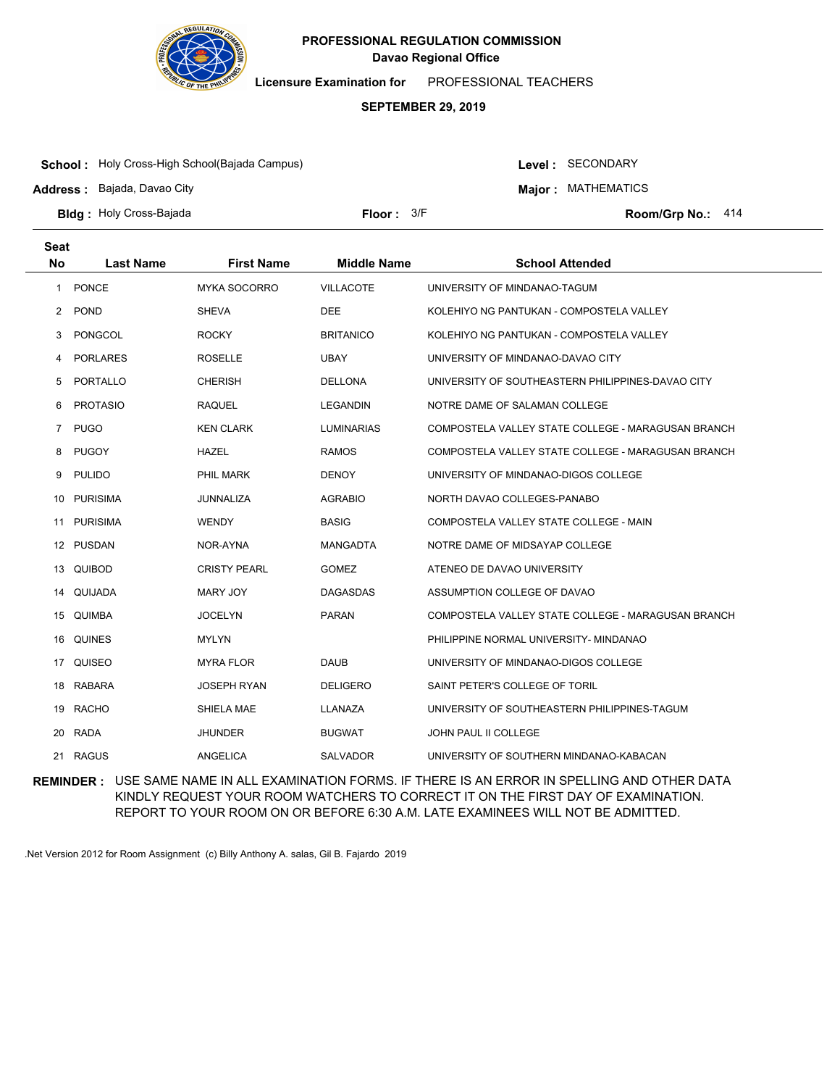

**Licensure Examination for**  PROFESSIONAL TEACHERS

### **SEPTEMBER 29, 2019**

**School :** Holy Cross-High School(Bajada Campus)

**Address :** Bajada, Davao City

Level : SECONDARY

**Major : MATHEMATICS** 

**Bldg : Floor : Room/Grp No.:** Holy Cross-Bajada

Floor: 3/F Room/Grp No.: 414

| <b>Seat</b><br><b>No</b> | <b>Last Name</b> | <b>First Name</b>   | <b>Middle Name</b> | <b>School Attended</b>                             |
|--------------------------|------------------|---------------------|--------------------|----------------------------------------------------|
| 1                        | <b>PONCE</b>     | <b>MYKA SOCORRO</b> | <b>VILLACOTE</b>   | UNIVERSITY OF MINDANAO-TAGUM                       |
| 2                        | <b>POND</b>      | <b>SHEVA</b>        | <b>DEE</b>         | KOLEHIYO NG PANTUKAN - COMPOSTELA VALLEY           |
| 3                        | PONGCOL          | <b>ROCKY</b>        | <b>BRITANICO</b>   | KOLEHIYO NG PANTUKAN - COMPOSTELA VALLEY           |
| 4                        | <b>PORLARES</b>  | <b>ROSELLE</b>      | <b>UBAY</b>        | UNIVERSITY OF MINDANAO-DAVAO CITY                  |
| 5                        | PORTALLO         | <b>CHERISH</b>      | <b>DELLONA</b>     | UNIVERSITY OF SOUTHEASTERN PHILIPPINES-DAVAO CITY  |
| 6                        | <b>PROTASIO</b>  | <b>RAQUEL</b>       | <b>LEGANDIN</b>    | NOTRE DAME OF SALAMAN COLLEGE                      |
| $\overline{7}$           | <b>PUGO</b>      | <b>KEN CLARK</b>    | LUMINARIAS         | COMPOSTELA VALLEY STATE COLLEGE - MARAGUSAN BRANCH |
| 8                        | <b>PUGOY</b>     | <b>HAZEL</b>        | <b>RAMOS</b>       | COMPOSTELA VALLEY STATE COLLEGE - MARAGUSAN BRANCH |
| 9                        | <b>PULIDO</b>    | PHIL MARK           | <b>DENOY</b>       | UNIVERSITY OF MINDANAO-DIGOS COLLEGE               |
| 10                       | <b>PURISIMA</b>  | JUNNALIZA           | <b>AGRABIO</b>     | NORTH DAVAO COLLEGES-PANABO                        |
| 11                       | <b>PURISIMA</b>  | <b>WENDY</b>        | <b>BASIG</b>       | COMPOSTELA VALLEY STATE COLLEGE - MAIN             |
|                          | 12 PUSDAN        | NOR-AYNA            | <b>MANGADTA</b>    | NOTRE DAME OF MIDSAYAP COLLEGE                     |
| 13                       | QUIBOD           | <b>CRISTY PEARL</b> | <b>GOMEZ</b>       | ATENEO DE DAVAO UNIVERSITY                         |
| 14                       | QUIJADA          | <b>MARY JOY</b>     | <b>DAGASDAS</b>    | ASSUMPTION COLLEGE OF DAVAO                        |
|                          | 15 QUIMBA        | <b>JOCELYN</b>      | <b>PARAN</b>       | COMPOSTELA VALLEY STATE COLLEGE - MARAGUSAN BRANCH |
| 16                       | QUINES           | <b>MYLYN</b>        |                    | PHILIPPINE NORMAL UNIVERSITY- MINDANAO             |
| 17                       | QUISEO           | <b>MYRA FLOR</b>    | <b>DAUB</b>        | UNIVERSITY OF MINDANAO-DIGOS COLLEGE               |
|                          | 18 RABARA        | <b>JOSEPH RYAN</b>  | <b>DELIGERO</b>    | SAINT PETER'S COLLEGE OF TORIL                     |
| 19                       | <b>RACHO</b>     | SHIELA MAE          | LLANAZA            | UNIVERSITY OF SOUTHEASTERN PHILIPPINES-TAGUM       |
| 20                       | RADA             | <b>JHUNDER</b>      | <b>BUGWAT</b>      | JOHN PAUL II COLLEGE                               |
|                          | 21 RAGUS         | ANGELICA            | <b>SALVADOR</b>    | UNIVERSITY OF SOUTHERN MINDANAO-KABACAN            |

**REMINDER :** USE SAME NAME IN ALL EXAMINATION FORMS. IF THERE IS AN ERROR IN SPELLING AND OTHER DATA KINDLY REQUEST YOUR ROOM WATCHERS TO CORRECT IT ON THE FIRST DAY OF EXAMINATION. REPORT TO YOUR ROOM ON OR BEFORE 6:30 A.M. LATE EXAMINEES WILL NOT BE ADMITTED.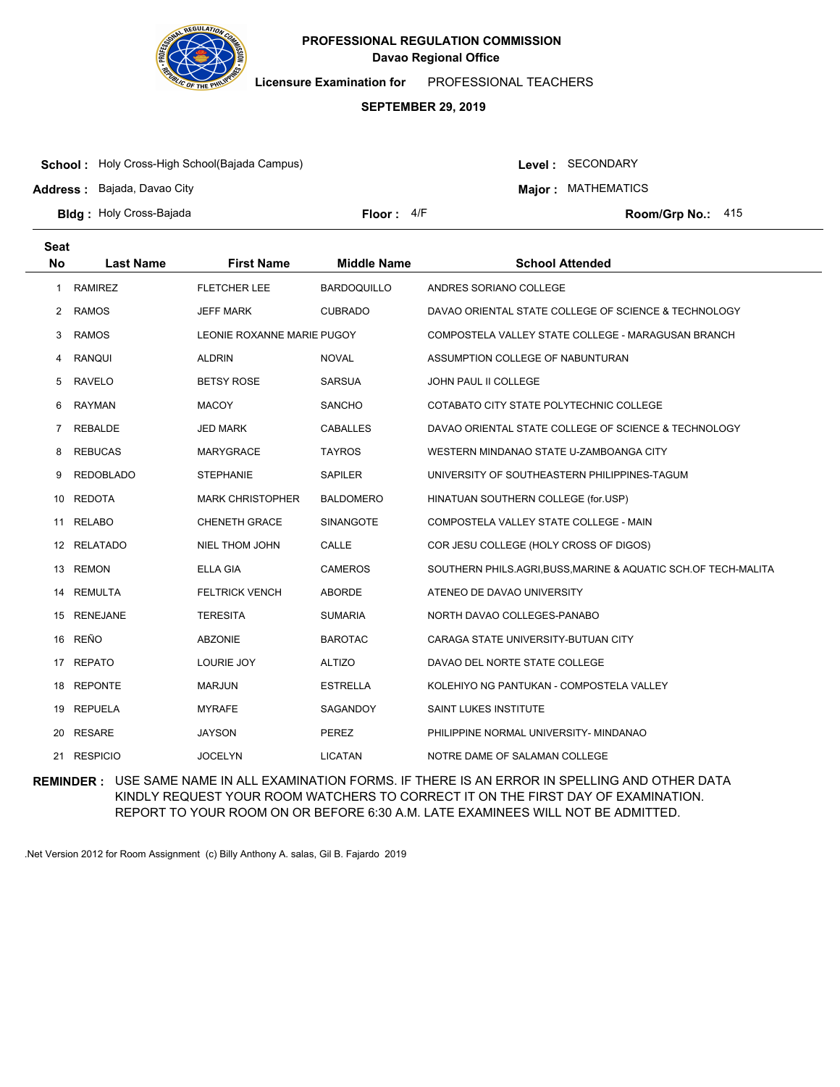

**Licensure Examination for**  PROFESSIONAL TEACHERS

### **SEPTEMBER 29, 2019**

**School :** Holy Cross-High School(Bajada Campus)

**Address :** Bajada, Davao City

Level : SECONDARY

**Major : MATHEMATICS** 

**Bldg : Floor : Room/Grp No.:** Holy Cross-Bajada

Floor: 4/F Room/Grp No.: 415

| <b>Seat</b><br><b>No</b> |                  |                            | <b>Middle Name</b> |                                                                |
|--------------------------|------------------|----------------------------|--------------------|----------------------------------------------------------------|
|                          | <b>Last Name</b> | <b>First Name</b>          |                    | <b>School Attended</b>                                         |
| 1                        | <b>RAMIREZ</b>   | <b>FLETCHER LEE</b>        | <b>BARDOQUILLO</b> | ANDRES SORIANO COLLEGE                                         |
| 2                        | <b>RAMOS</b>     | JEFF MARK                  | <b>CUBRADO</b>     | DAVAO ORIENTAL STATE COLLEGE OF SCIENCE & TECHNOLOGY           |
| 3                        | <b>RAMOS</b>     | LEONIE ROXANNE MARIE PUGOY |                    | COMPOSTELA VALLEY STATE COLLEGE - MARAGUSAN BRANCH             |
| 4                        | <b>RANQUI</b>    | <b>ALDRIN</b>              | <b>NOVAL</b>       | ASSUMPTION COLLEGE OF NABUNTURAN                               |
| 5                        | <b>RAVELO</b>    | <b>BETSY ROSE</b>          | <b>SARSUA</b>      | JOHN PAUL II COLLEGE                                           |
| 6                        | <b>RAYMAN</b>    | <b>MACOY</b>               | <b>SANCHO</b>      | COTABATO CITY STATE POLYTECHNIC COLLEGE                        |
| 7                        | <b>REBALDE</b>   | <b>JED MARK</b>            | <b>CABALLES</b>    | DAVAO ORIENTAL STATE COLLEGE OF SCIENCE & TECHNOLOGY           |
| 8                        | <b>REBUCAS</b>   | <b>MARYGRACE</b>           | <b>TAYROS</b>      | WESTERN MINDANAO STATE U-ZAMBOANGA CITY                        |
| 9                        | <b>REDOBLADO</b> | <b>STEPHANIE</b>           | SAPILER            | UNIVERSITY OF SOUTHEASTERN PHILIPPINES-TAGUM                   |
| 10                       | <b>REDOTA</b>    | <b>MARK CHRISTOPHER</b>    | <b>BALDOMERO</b>   | HINATUAN SOUTHERN COLLEGE (for.USP)                            |
| 11                       | <b>RELABO</b>    | <b>CHENETH GRACE</b>       | SINANGOTE          | COMPOSTELA VALLEY STATE COLLEGE - MAIN                         |
| 12                       | RELATADO         | <b>NIEL THOM JOHN</b>      | CALLE              | COR JESU COLLEGE (HOLY CROSS OF DIGOS)                         |
| 13                       | <b>REMON</b>     | <b>ELLA GIA</b>            | <b>CAMEROS</b>     | SOUTHERN PHILS.AGRI, BUSS, MARINE & AQUATIC SCH.OF TECH-MALITA |
| 14                       | <b>REMULTA</b>   | <b>FELTRICK VENCH</b>      | ABORDE             | ATENEO DE DAVAO UNIVERSITY                                     |
| 15                       | <b>RENEJANE</b>  | <b>TERESITA</b>            | <b>SUMARIA</b>     | NORTH DAVAO COLLEGES-PANABO                                    |
| 16                       | REÑO             | <b>ABZONIE</b>             | <b>BAROTAC</b>     | CARAGA STATE UNIVERSITY-BUTUAN CITY                            |
| 17                       | <b>REPATO</b>    | LOURIE JOY                 | <b>ALTIZO</b>      | DAVAO DEL NORTE STATE COLLEGE                                  |
| 18                       | <b>REPONTE</b>   | <b>MARJUN</b>              | <b>ESTRELLA</b>    | KOLEHIYO NG PANTUKAN - COMPOSTELA VALLEY                       |
| 19                       | REPUELA          | <b>MYRAFE</b>              | SAGANDOY           | SAINT LUKES INSTITUTE                                          |
| 20                       | <b>RESARE</b>    | <b>JAYSON</b>              | <b>PEREZ</b>       | PHILIPPINE NORMAL UNIVERSITY- MINDANAO                         |
| 21                       | <b>RESPICIO</b>  | <b>JOCELYN</b>             | <b>LICATAN</b>     | NOTRE DAME OF SALAMAN COLLEGE                                  |

**REMINDER :** USE SAME NAME IN ALL EXAMINATION FORMS. IF THERE IS AN ERROR IN SPELLING AND OTHER DATA KINDLY REQUEST YOUR ROOM WATCHERS TO CORRECT IT ON THE FIRST DAY OF EXAMINATION. REPORT TO YOUR ROOM ON OR BEFORE 6:30 A.M. LATE EXAMINEES WILL NOT BE ADMITTED.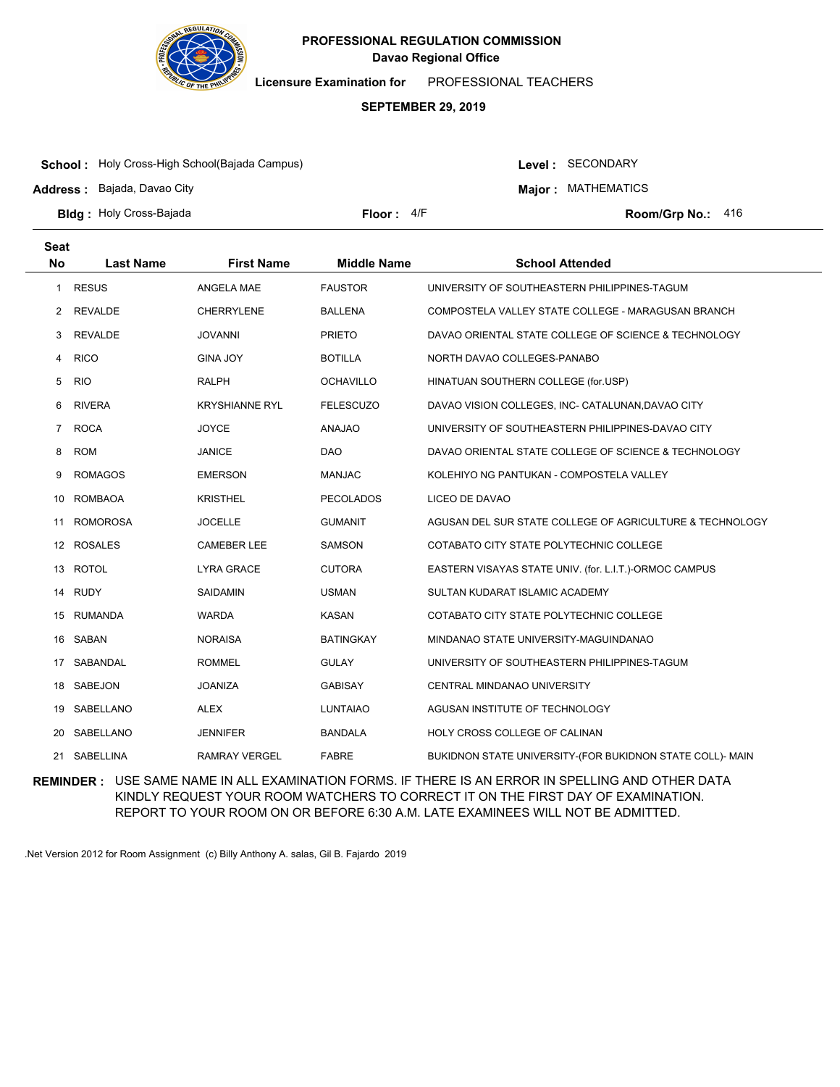

**Licensure Examination for**  PROFESSIONAL TEACHERS

### **SEPTEMBER 29, 2019**

**School :** Holy Cross-High School(Bajada Campus)

**Address :** Bajada, Davao City

Level : SECONDARY

**Major : MATHEMATICS** 

**Bldg : Floor : Room/Grp No.:** Holy Cross-Bajada

Floor: 4/F Room/Grp No.: 416

| <b>Seat</b>    |                  |                       |                    |                                                           |
|----------------|------------------|-----------------------|--------------------|-----------------------------------------------------------|
| <b>No</b>      | <b>Last Name</b> | <b>First Name</b>     | <b>Middle Name</b> | <b>School Attended</b>                                    |
| 1              | <b>RESUS</b>     | ANGELA MAE            | <b>FAUSTOR</b>     | UNIVERSITY OF SOUTHEASTERN PHILIPPINES-TAGUM              |
| 2              | REVALDE          | <b>CHERRYLENE</b>     | <b>BALLENA</b>     | COMPOSTELA VALLEY STATE COLLEGE - MARAGUSAN BRANCH        |
| 3              | <b>REVALDE</b>   | <b>JOVANNI</b>        | <b>PRIETO</b>      | DAVAO ORIENTAL STATE COLLEGE OF SCIENCE & TECHNOLOGY      |
| 4              | <b>RICO</b>      | <b>GINA JOY</b>       | <b>BOTILLA</b>     | NORTH DAVAO COLLEGES-PANABO                               |
| 5              | <b>RIO</b>       | <b>RALPH</b>          | <b>OCHAVILLO</b>   | HINATUAN SOUTHERN COLLEGE (for.USP)                       |
| 6              | <b>RIVERA</b>    | <b>KRYSHIANNE RYL</b> | <b>FELESCUZO</b>   | DAVAO VISION COLLEGES, INC- CATALUNAN, DAVAO CITY         |
| $\overline{7}$ | <b>ROCA</b>      | <b>JOYCE</b>          | <b>ANAJAO</b>      | UNIVERSITY OF SOUTHEASTERN PHILIPPINES-DAVAO CITY         |
| 8              | <b>ROM</b>       | <b>JANICE</b>         | <b>DAO</b>         | DAVAO ORIENTAL STATE COLLEGE OF SCIENCE & TECHNOLOGY      |
| 9              | <b>ROMAGOS</b>   | <b>EMERSON</b>        | <b>MANJAC</b>      | KOLEHIYO NG PANTUKAN - COMPOSTELA VALLEY                  |
| 10             | <b>ROMBAOA</b>   | <b>KRISTHEL</b>       | <b>PECOLADOS</b>   | LICEO DE DAVAO                                            |
| 11             | <b>ROMOROSA</b>  | <b>JOCELLE</b>        | <b>GUMANIT</b>     | AGUSAN DEL SUR STATE COLLEGE OF AGRICULTURE & TECHNOLOGY  |
|                | 12 ROSALES       | <b>CAMEBER LEE</b>    | <b>SAMSON</b>      | COTABATO CITY STATE POLYTECHNIC COLLEGE                   |
| 13             | <b>ROTOL</b>     | LYRA GRACE            | <b>CUTORA</b>      | EASTERN VISAYAS STATE UNIV. (for. L.I.T.)-ORMOC CAMPUS    |
| 14             | RUDY             | SAIDAMIN              | <b>USMAN</b>       | SULTAN KUDARAT ISLAMIC ACADEMY                            |
| 15             | RUMANDA          | <b>WARDA</b>          | <b>KASAN</b>       | COTABATO CITY STATE POLYTECHNIC COLLEGE                   |
| 16             | SABAN            | <b>NORAISA</b>        | <b>BATINGKAY</b>   | MINDANAO STATE UNIVERSITY-MAGUINDANAO                     |
| 17             | SABANDAL         | <b>ROMMEL</b>         | <b>GULAY</b>       | UNIVERSITY OF SOUTHEASTERN PHILIPPINES-TAGUM              |
| 18             | <b>SABEJON</b>   | <b>JOANIZA</b>        | <b>GABISAY</b>     | CENTRAL MINDANAO UNIVERSITY                               |
| 19             | SABELLANO        | <b>ALEX</b>           | <b>LUNTAIAO</b>    | AGUSAN INSTITUTE OF TECHNOLOGY                            |
| 20             | SABELLANO        | <b>JENNIFER</b>       | <b>BANDALA</b>     | HOLY CROSS COLLEGE OF CALINAN                             |
| 21             | SABELLINA        | <b>RAMRAY VERGEL</b>  | <b>FABRE</b>       | BUKIDNON STATE UNIVERSITY-(FOR BUKIDNON STATE COLL)- MAIN |

**REMINDER :** USE SAME NAME IN ALL EXAMINATION FORMS. IF THERE IS AN ERROR IN SPELLING AND OTHER DATA KINDLY REQUEST YOUR ROOM WATCHERS TO CORRECT IT ON THE FIRST DAY OF EXAMINATION. REPORT TO YOUR ROOM ON OR BEFORE 6:30 A.M. LATE EXAMINEES WILL NOT BE ADMITTED.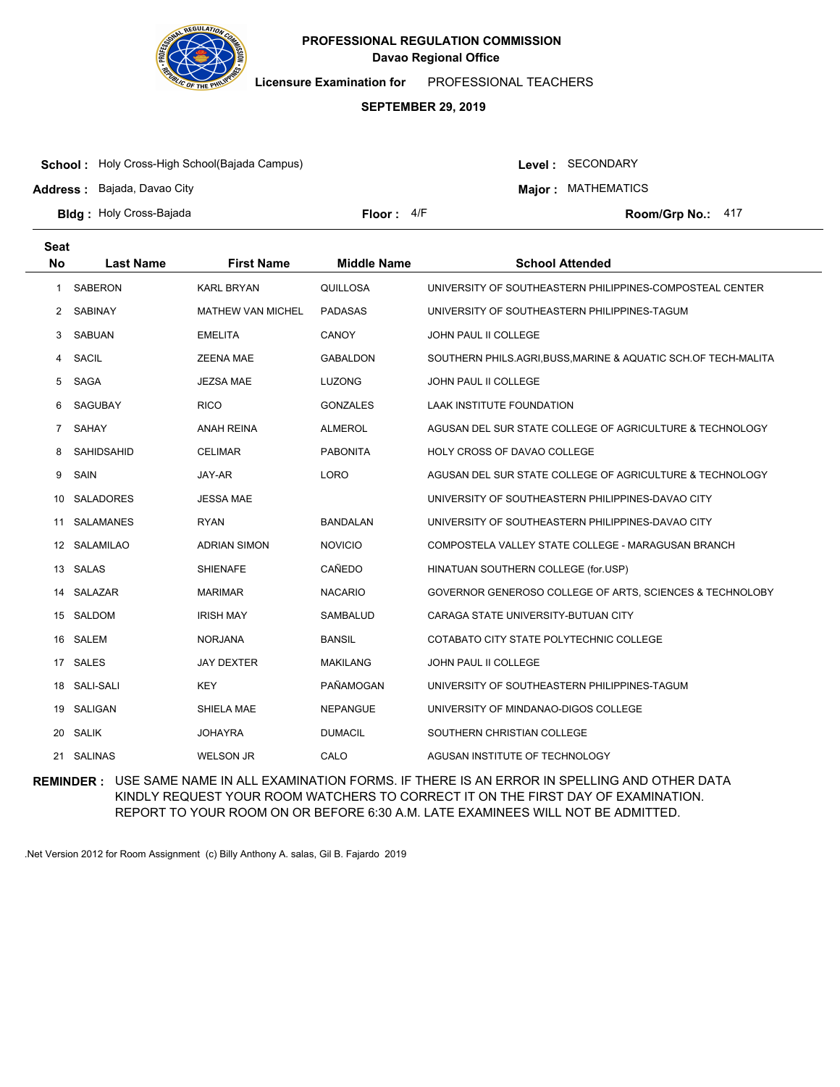

**Licensure Examination for**  PROFESSIONAL TEACHERS

### **SEPTEMBER 29, 2019**

**School :** Holy Cross-High School(Bajada Campus)

**Address :** Bajada, Davao City

Level : SECONDARY

**Major : MATHEMATICS** 

**Bldg : Floor : Room/Grp No.:** Holy Cross-Bajada

Floor: 4/F Room/Grp No.: 417

| <b>Seat</b>  |                   |                          |                    |                                                                |
|--------------|-------------------|--------------------------|--------------------|----------------------------------------------------------------|
| <b>No</b>    | <b>Last Name</b>  | <b>First Name</b>        | <b>Middle Name</b> | <b>School Attended</b>                                         |
| $\mathbf{1}$ | <b>SABERON</b>    | <b>KARL BRYAN</b>        | QUILLOSA           | UNIVERSITY OF SOUTHEASTERN PHILIPPINES-COMPOSTEAL CENTER       |
| 2            | <b>SABINAY</b>    | <b>MATHEW VAN MICHEL</b> | <b>PADASAS</b>     | UNIVERSITY OF SOUTHEASTERN PHILIPPINES-TAGUM                   |
| 3            | SABUAN            | <b>EMELITA</b>           | <b>CANOY</b>       | <b>JOHN PAUL II COLLEGE</b>                                    |
| 4            | <b>SACIL</b>      | ZEENA MAE                | <b>GABALDON</b>    | SOUTHERN PHILS.AGRI, BUSS, MARINE & AQUATIC SCH.OF TECH-MALITA |
| 5            | <b>SAGA</b>       | <b>JEZSA MAE</b>         | <b>LUZONG</b>      | JOHN PAUL II COLLEGE                                           |
| 6            | SAGUBAY           | <b>RICO</b>              | <b>GONZALES</b>    | LAAK INSTITUTE FOUNDATION                                      |
| $7^{\circ}$  | <b>SAHAY</b>      | <b>ANAH REINA</b>        | <b>ALMEROL</b>     | AGUSAN DEL SUR STATE COLLEGE OF AGRICULTURE & TECHNOLOGY       |
| 8            | <b>SAHIDSAHID</b> | <b>CELIMAR</b>           | <b>PABONITA</b>    | HOLY CROSS OF DAVAO COLLEGE                                    |
| 9            | SAIN              | JAY-AR                   | <b>LORO</b>        | AGUSAN DEL SUR STATE COLLEGE OF AGRICULTURE & TECHNOLOGY       |
| 10.          | <b>SALADORES</b>  | <b>JESSA MAE</b>         |                    | UNIVERSITY OF SOUTHEASTERN PHILIPPINES-DAVAO CITY              |
| 11           | <b>SALAMANES</b>  | <b>RYAN</b>              | <b>BANDALAN</b>    | UNIVERSITY OF SOUTHEASTERN PHILIPPINES-DAVAO CITY              |
|              | 12 SALAMILAO      | <b>ADRIAN SIMON</b>      | <b>NOVICIO</b>     | COMPOSTELA VALLEY STATE COLLEGE - MARAGUSAN BRANCH             |
| 13           | SALAS             | SHIENAFE                 | CAÑEDO             | HINATUAN SOUTHERN COLLEGE (for.USP)                            |
| 14           | SALAZAR           | <b>MARIMAR</b>           | <b>NACARIO</b>     | GOVERNOR GENEROSO COLLEGE OF ARTS, SCIENCES & TECHNOLOBY       |
|              | 15 SALDOM         | <b>IRISH MAY</b>         | SAMBALUD           | CARAGA STATE UNIVERSITY-BUTUAN CITY                            |
|              | 16 SALEM          | <b>NORJANA</b>           | <b>BANSIL</b>      | COTABATO CITY STATE POLYTECHNIC COLLEGE                        |
| 17           | <b>SALES</b>      | <b>JAY DEXTER</b>        | <b>MAKILANG</b>    | JOHN PAUL II COLLEGE                                           |
|              | 18 SALI-SALI      | <b>KEY</b>               | PAÑAMOGAN          | UNIVERSITY OF SOUTHEASTERN PHILIPPINES-TAGUM                   |
| 19           | SALIGAN           | SHIELA MAE               | <b>NEPANGUE</b>    | UNIVERSITY OF MINDANAO-DIGOS COLLEGE                           |
| 20           | <b>SALIK</b>      | JOHAYRA                  | <b>DUMACIL</b>     | SOUTHERN CHRISTIAN COLLEGE                                     |
|              | 21 SALINAS        | <b>WELSON JR</b>         | CALO               | AGUSAN INSTITUTE OF TECHNOLOGY                                 |

**REMINDER :** USE SAME NAME IN ALL EXAMINATION FORMS. IF THERE IS AN ERROR IN SPELLING AND OTHER DATA KINDLY REQUEST YOUR ROOM WATCHERS TO CORRECT IT ON THE FIRST DAY OF EXAMINATION. REPORT TO YOUR ROOM ON OR BEFORE 6:30 A.M. LATE EXAMINEES WILL NOT BE ADMITTED.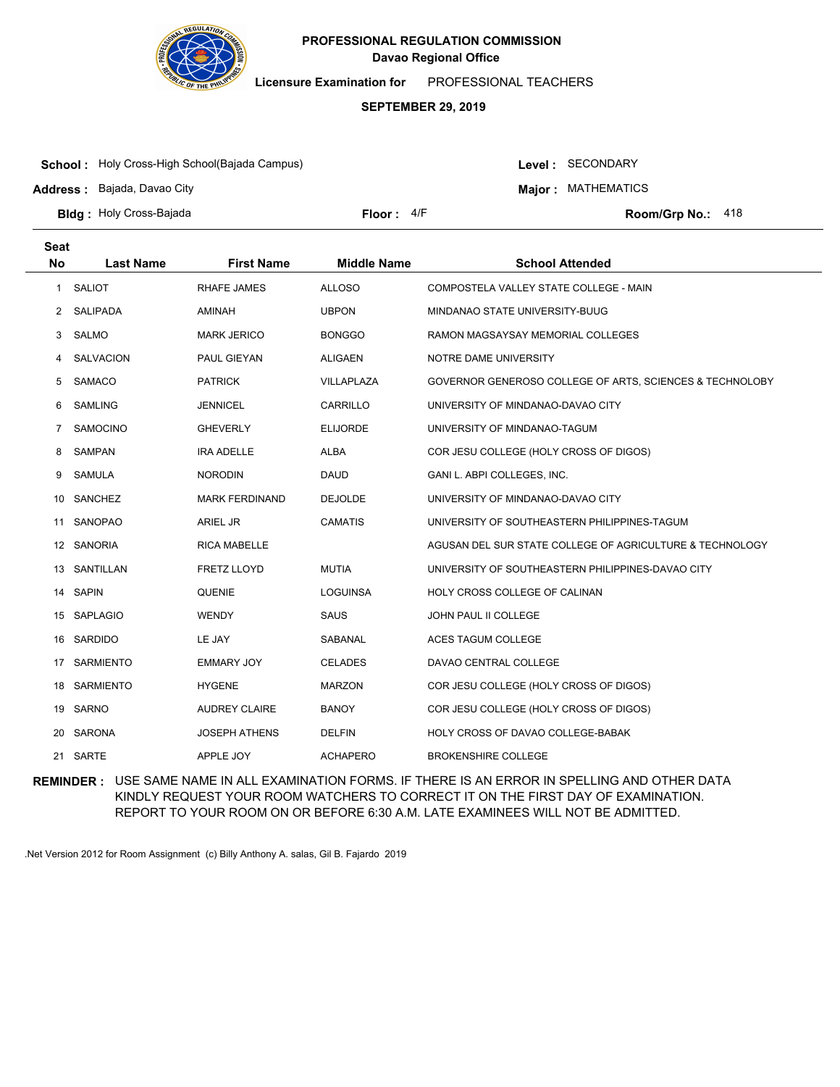

**Licensure Examination for**  PROFESSIONAL TEACHERS

### **SEPTEMBER 29, 2019**

**School :** Holy Cross-High School(Bajada Campus)

**Address :** Bajada, Davao City

Level : SECONDARY

**Major : MATHEMATICS** 

**Bldg : Floor : Room/Grp No.:** Holy Cross-Bajada

Floor: 4/F Room/Grp No.: 418

| <b>Seat</b>  |                  |                       |                    |                                                          |
|--------------|------------------|-----------------------|--------------------|----------------------------------------------------------|
| <b>No</b>    | <b>Last Name</b> | <b>First Name</b>     | <b>Middle Name</b> | <b>School Attended</b>                                   |
| $\mathbf{1}$ | SALIOT           | RHAFE JAMES           | <b>ALLOSO</b>      | COMPOSTELA VALLEY STATE COLLEGE - MAIN                   |
| 2            | SALIPADA         | AMINAH                | <b>UBPON</b>       | MINDANAO STATE UNIVERSITY-BUUG                           |
| 3            | SALMO            | <b>MARK JERICO</b>    | <b>BONGGO</b>      | RAMON MAGSAYSAY MEMORIAL COLLEGES                        |
| 4            | <b>SALVACION</b> | PAUL GIEYAN           | <b>ALIGAEN</b>     | NOTRE DAME UNIVERSITY                                    |
| 5            | SAMACO           | <b>PATRICK</b>        | VILLAPLAZA         | GOVERNOR GENEROSO COLLEGE OF ARTS, SCIENCES & TECHNOLOBY |
| 6            | <b>SAMLING</b>   | <b>JENNICEL</b>       | CARRILLO           | UNIVERSITY OF MINDANAO-DAVAO CITY                        |
| 7            | SAMOCINO         | <b>GHEVERLY</b>       | <b>ELIJORDE</b>    | UNIVERSITY OF MINDANAO-TAGUM                             |
| 8            | SAMPAN           | <b>IRA ADELLE</b>     | <b>ALBA</b>        | COR JESU COLLEGE (HOLY CROSS OF DIGOS)                   |
| 9            | SAMULA           | <b>NORODIN</b>        | <b>DAUD</b>        | GANI L. ABPI COLLEGES, INC.                              |
| 10           | SANCHEZ          | <b>MARK FERDINAND</b> | <b>DEJOLDE</b>     | UNIVERSITY OF MINDANAO-DAVAO CITY                        |
| 11           | SANOPAO          | <b>ARIEL JR</b>       | <b>CAMATIS</b>     | UNIVERSITY OF SOUTHEASTERN PHILIPPINES-TAGUM             |
|              | 12 SANORIA       | <b>RICA MABELLE</b>   |                    | AGUSAN DEL SUR STATE COLLEGE OF AGRICULTURE & TECHNOLOGY |
| 13           | SANTILLAN        | <b>FRETZ LLOYD</b>    | <b>MUTIA</b>       | UNIVERSITY OF SOUTHEASTERN PHILIPPINES-DAVAO CITY        |
|              | 14 SAPIN         | <b>QUENIE</b>         | <b>LOGUINSA</b>    | HOLY CROSS COLLEGE OF CALINAN                            |
| 15           | SAPLAGIO         | <b>WENDY</b>          | <b>SAUS</b>        | <b>JOHN PAUL II COLLEGE</b>                              |
| 16           | SARDIDO          | LE JAY                | SABANAL            | <b>ACES TAGUM COLLEGE</b>                                |
|              | 17 SARMIENTO     | <b>EMMARY JOY</b>     | <b>CELADES</b>     | DAVAO CENTRAL COLLEGE                                    |
| 18           | SARMIENTO        | <b>HYGENE</b>         | <b>MARZON</b>      | COR JESU COLLEGE (HOLY CROSS OF DIGOS)                   |
| 19           | SARNO            | <b>AUDREY CLAIRE</b>  | <b>BANOY</b>       | COR JESU COLLEGE (HOLY CROSS OF DIGOS)                   |
|              | 20 SARONA        | <b>JOSEPH ATHENS</b>  | <b>DELFIN</b>      | HOLY CROSS OF DAVAO COLLEGE-BABAK                        |
|              | 21 SARTE         | APPLE JOY             | <b>ACHAPERO</b>    | <b>BROKENSHIRE COLLEGE</b>                               |

**REMINDER :** USE SAME NAME IN ALL EXAMINATION FORMS. IF THERE IS AN ERROR IN SPELLING AND OTHER DATA KINDLY REQUEST YOUR ROOM WATCHERS TO CORRECT IT ON THE FIRST DAY OF EXAMINATION. REPORT TO YOUR ROOM ON OR BEFORE 6:30 A.M. LATE EXAMINEES WILL NOT BE ADMITTED.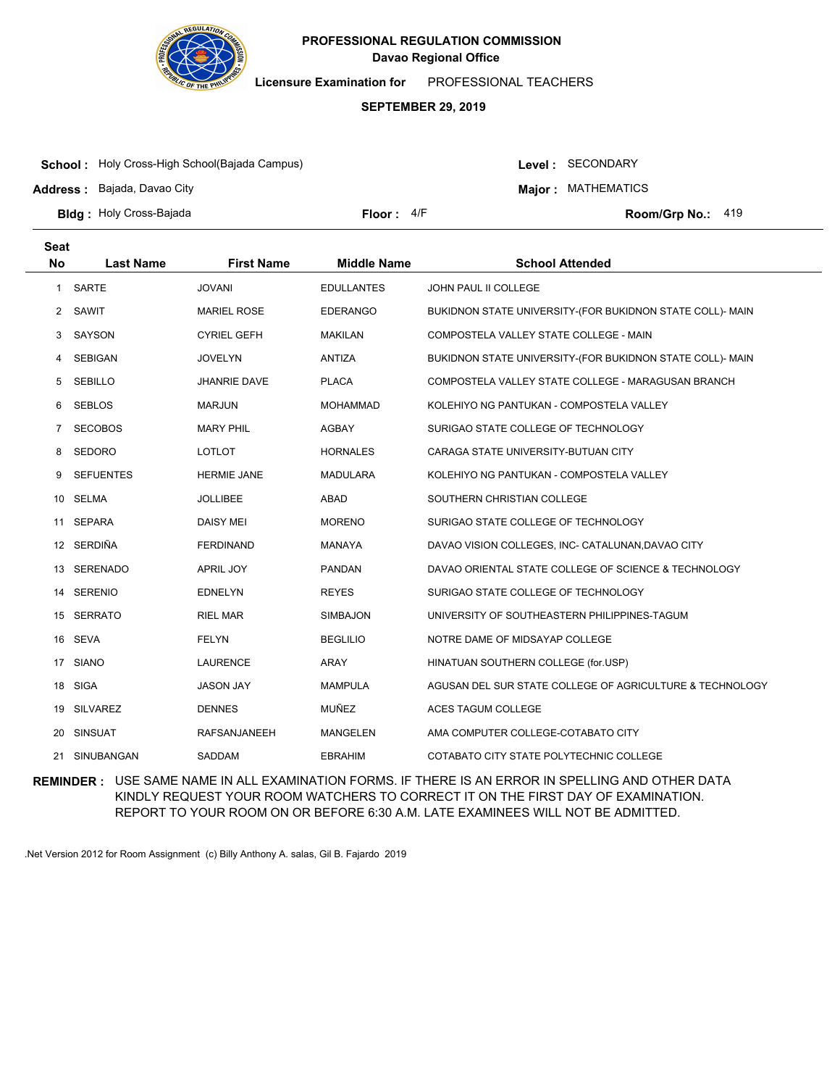

**Licensure Examination for**  PROFESSIONAL TEACHERS

### **SEPTEMBER 29, 2019**

**School :** Holy Cross-High School(Bajada Campus)

**Address :** Bajada, Davao City

Level : SECONDARY

**Major : MATHEMATICS** 

**Bldg : Floor : Room/Grp No.:** Holy Cross-Bajada

Floor: 4/F Room/Grp No.: 419

| <b>Seat</b>  |                  |                     |                    |                                                           |
|--------------|------------------|---------------------|--------------------|-----------------------------------------------------------|
| <b>No</b>    | <b>Last Name</b> | <b>First Name</b>   | <b>Middle Name</b> | <b>School Attended</b>                                    |
| $\mathbf{1}$ | <b>SARTE</b>     | <b>JOVANI</b>       | <b>EDULLANTES</b>  | <b>JOHN PAUL II COLLEGE</b>                               |
| 2            | SAWIT            | <b>MARIEL ROSE</b>  | <b>EDERANGO</b>    | BUKIDNON STATE UNIVERSITY-(FOR BUKIDNON STATE COLL)- MAIN |
| 3            | SAYSON           | <b>CYRIEL GEFH</b>  | <b>MAKILAN</b>     | COMPOSTELA VALLEY STATE COLLEGE - MAIN                    |
| 4            | SEBIGAN          | <b>JOVELYN</b>      | <b>ANTIZA</b>      | BUKIDNON STATE UNIVERSITY-(FOR BUKIDNON STATE COLL)- MAIN |
| 5            | <b>SEBILLO</b>   | <b>JHANRIE DAVE</b> | <b>PLACA</b>       | COMPOSTELA VALLEY STATE COLLEGE - MARAGUSAN BRANCH        |
| 6            | SEBLOS           | MARJUN              | MOHAMMAD           | KOLEHIYO NG PANTUKAN - COMPOSTELA VALLEY                  |
| 7            | <b>SECOBOS</b>   | <b>MARY PHIL</b>    | <b>AGBAY</b>       | SURIGAO STATE COLLEGE OF TECHNOLOGY                       |
| 8            | SEDORO           | <b>LOTLOT</b>       | <b>HORNALES</b>    | CARAGA STATE UNIVERSITY-BUTUAN CITY                       |
| 9            | <b>SEFUENTES</b> | <b>HERMIE JANE</b>  | <b>MADULARA</b>    | KOLEHIYO NG PANTUKAN - COMPOSTELA VALLEY                  |
| 10           | SELMA            | <b>JOLLIBEE</b>     | ABAD               | SOUTHERN CHRISTIAN COLLEGE                                |
| 11           | SEPARA           | <b>DAISY MEI</b>    | <b>MORENO</b>      | SURIGAO STATE COLLEGE OF TECHNOLOGY                       |
|              | 12 SERDIÑA       | <b>FERDINAND</b>    | MANAYA             | DAVAO VISION COLLEGES, INC- CATALUNAN, DAVAO CITY         |
| 13           | SERENADO         | APRIL JOY           | <b>PANDAN</b>      | DAVAO ORIENTAL STATE COLLEGE OF SCIENCE & TECHNOLOGY      |
|              | 14 SERENIO       | <b>EDNELYN</b>      | <b>REYES</b>       | SURIGAO STATE COLLEGE OF TECHNOLOGY                       |
|              | 15 SERRATO       | <b>RIEL MAR</b>     | <b>SIMBAJON</b>    | UNIVERSITY OF SOUTHEASTERN PHILIPPINES-TAGUM              |
| 16           | SEVA             | <b>FELYN</b>        | <b>BEGLILIO</b>    | NOTRE DAME OF MIDSAYAP COLLEGE                            |
| 17           | <b>SIANO</b>     | <b>LAURENCE</b>     | ARAY               | HINATUAN SOUTHERN COLLEGE (for.USP)                       |
|              | 18 SIGA          | <b>JASON JAY</b>    | <b>MAMPULA</b>     | AGUSAN DEL SUR STATE COLLEGE OF AGRICULTURE & TECHNOLOGY  |
| 19           | <b>SILVAREZ</b>  | <b>DENNES</b>       | <b>MUÑEZ</b>       | <b>ACES TAGUM COLLEGE</b>                                 |
| 20           | SINSUAT          | RAFSANJANEEH        | <b>MANGELEN</b>    | AMA COMPUTER COLLEGE-COTABATO CITY                        |
| 21           | SINUBANGAN       | <b>SADDAM</b>       | <b>EBRAHIM</b>     | COTABATO CITY STATE POLYTECHNIC COLLEGE                   |

**REMINDER :** USE SAME NAME IN ALL EXAMINATION FORMS. IF THERE IS AN ERROR IN SPELLING AND OTHER DATA KINDLY REQUEST YOUR ROOM WATCHERS TO CORRECT IT ON THE FIRST DAY OF EXAMINATION. REPORT TO YOUR ROOM ON OR BEFORE 6:30 A.M. LATE EXAMINEES WILL NOT BE ADMITTED.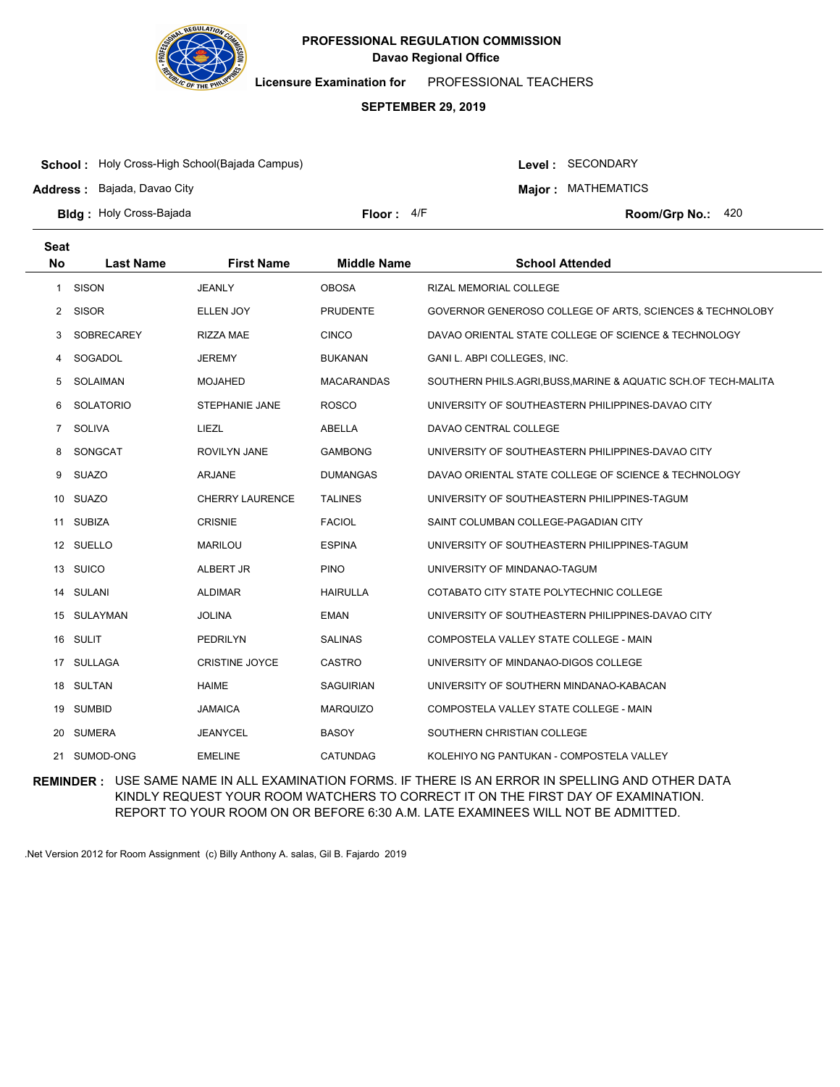

**Licensure Examination for**  PROFESSIONAL TEACHERS

### **SEPTEMBER 29, 2019**

**School :** Holy Cross-High School(Bajada Campus)

**Address :** Bajada, Davao City

Level : SECONDARY

**Major : MATHEMATICS** 

**Bldg : Floor : Room/Grp No.:** Holy Cross-Bajada

Floor:  $4/F$  Room/Grp No.: 420

| <b>Seat</b><br><b>No</b> | <b>Last Name</b> | <b>First Name</b>      | <b>Middle Name</b> | <b>School Attended</b>                                       |
|--------------------------|------------------|------------------------|--------------------|--------------------------------------------------------------|
| 1                        | <b>SISON</b>     | <b>JEANLY</b>          | <b>OBOSA</b>       | <b>RIZAL MEMORIAL COLLEGE</b>                                |
| 2                        | <b>SISOR</b>     | ELLEN JOY              | <b>PRUDENTE</b>    | GOVERNOR GENEROSO COLLEGE OF ARTS, SCIENCES & TECHNOLOBY     |
|                          |                  |                        |                    |                                                              |
| 3                        | SOBRECAREY       | <b>RIZZA MAE</b>       | <b>CINCO</b>       | DAVAO ORIENTAL STATE COLLEGE OF SCIENCE & TECHNOLOGY         |
| 4                        | SOGADOL          | JEREMY                 | <b>BUKANAN</b>     | GANI L. ABPI COLLEGES, INC.                                  |
| 5                        | SOLAIMAN         | <b>MOJAHED</b>         | <b>MACARANDAS</b>  | SOUTHERN PHILS.AGRI,BUSS,MARINE & AQUATIC SCH.OF TECH-MALITA |
| 6                        | <b>SOLATORIO</b> | STEPHANIE JANE         | <b>ROSCO</b>       | UNIVERSITY OF SOUTHEASTERN PHILIPPINES-DAVAO CITY            |
| $\overline{7}$           | <b>SOLIVA</b>    | LIEZL                  | ABELLA             | DAVAO CENTRAL COLLEGE                                        |
| 8                        | SONGCAT          | <b>ROVILYN JANE</b>    | <b>GAMBONG</b>     | UNIVERSITY OF SOUTHEASTERN PHILIPPINES-DAVAO CITY            |
| 9                        | <b>SUAZO</b>     | ARJANE                 | <b>DUMANGAS</b>    | DAVAO ORIENTAL STATE COLLEGE OF SCIENCE & TECHNOLOGY         |
|                          | 10 SUAZO         | <b>CHERRY LAURENCE</b> | <b>TALINES</b>     | UNIVERSITY OF SOUTHEASTERN PHILIPPINES-TAGUM                 |
|                          | 11 SUBIZA        | <b>CRISNIE</b>         | <b>FACIOL</b>      | SAINT COLUMBAN COLLEGE-PAGADIAN CITY                         |
|                          | 12 SUELLO        | <b>MARILOU</b>         | <b>ESPINA</b>      | UNIVERSITY OF SOUTHEASTERN PHILIPPINES-TAGUM                 |
|                          | 13 SUICO         | ALBERT JR              | <b>PINO</b>        | UNIVERSITY OF MINDANAO-TAGUM                                 |
| 14                       | SULANI           | <b>ALDIMAR</b>         | <b>HAIRULLA</b>    | COTABATO CITY STATE POLYTECHNIC COLLEGE                      |
|                          | 15 SULAYMAN      | <b>JOLINA</b>          | <b>EMAN</b>        | UNIVERSITY OF SOUTHEASTERN PHILIPPINES-DAVAO CITY            |
|                          | 16 SULIT         | <b>PEDRILYN</b>        | <b>SALINAS</b>     | COMPOSTELA VALLEY STATE COLLEGE - MAIN                       |
|                          | 17 SULLAGA       | <b>CRISTINE JOYCE</b>  | <b>CASTRO</b>      | UNIVERSITY OF MINDANAO-DIGOS COLLEGE                         |
|                          | 18 SULTAN        | <b>HAIME</b>           | <b>SAGUIRIAN</b>   | UNIVERSITY OF SOUTHERN MINDANAO-KABACAN                      |
| 19                       | <b>SUMBID</b>    | JAMAICA                | <b>MARQUIZO</b>    | COMPOSTELA VALLEY STATE COLLEGE - MAIN                       |
| 20                       | SUMERA           | <b>JEANYCEL</b>        | <b>BASOY</b>       | SOUTHERN CHRISTIAN COLLEGE                                   |
|                          | 21 SUMOD-ONG     | <b>EMELINE</b>         | <b>CATUNDAG</b>    | KOLEHIYO NG PANTUKAN - COMPOSTELA VALLEY                     |

**REMINDER :** USE SAME NAME IN ALL EXAMINATION FORMS. IF THERE IS AN ERROR IN SPELLING AND OTHER DATA KINDLY REQUEST YOUR ROOM WATCHERS TO CORRECT IT ON THE FIRST DAY OF EXAMINATION. REPORT TO YOUR ROOM ON OR BEFORE 6:30 A.M. LATE EXAMINEES WILL NOT BE ADMITTED.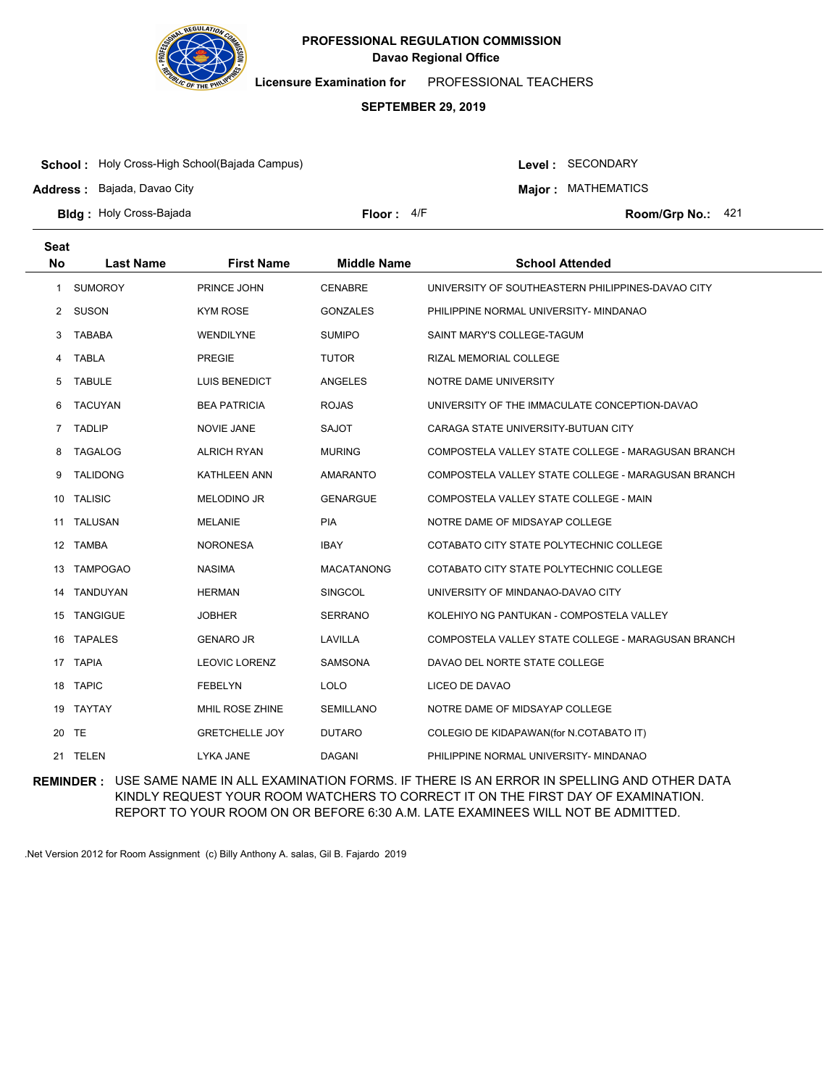

**Licensure Examination for**  PROFESSIONAL TEACHERS

### **SEPTEMBER 29, 2019**

**School :** Holy Cross-High School(Bajada Campus)

**Address :** Bajada, Davao City

Level : SECONDARY

**Major : MATHEMATICS** 

**Bldg : Floor : Room/Grp No.:** Holy Cross-Bajada

Floor: 4/F Room/Grp No.: 421

| <b>Seat</b>  |                  |                        |                    |                                                    |
|--------------|------------------|------------------------|--------------------|----------------------------------------------------|
| <b>No</b>    | <b>Last Name</b> | <b>First Name</b>      | <b>Middle Name</b> | <b>School Attended</b>                             |
| $\mathbf{1}$ | <b>SUMOROY</b>   | PRINCE JOHN            | <b>CENABRE</b>     | UNIVERSITY OF SOUTHEASTERN PHILIPPINES-DAVAO CITY  |
| $\mathbf{2}$ | <b>SUSON</b>     | <b>KYM ROSE</b>        | <b>GONZALES</b>    | PHILIPPINE NORMAL UNIVERSITY- MINDANAO             |
| 3            | <b>TABABA</b>    | WENDILYNE              | <b>SUMIPO</b>      | SAINT MARY'S COLLEGE-TAGUM                         |
| 4            | <b>TABLA</b>     | <b>PREGIE</b>          | <b>TUTOR</b>       | RIZAL MEMORIAL COLLEGE                             |
| 5            | <b>TABULE</b>    | <b>LUIS BENEDICT</b>   | ANGELES            | NOTRE DAME UNIVERSITY                              |
| 6            | <b>TACUYAN</b>   | <b>BEA PATRICIA</b>    | <b>ROJAS</b>       | UNIVERSITY OF THE IMMACULATE CONCEPTION-DAVAO      |
| $7^{\circ}$  | <b>TADLIP</b>    | <b>NOVIE JANE</b>      | <b>SAJOT</b>       | CARAGA STATE UNIVERSITY-BUTUAN CITY                |
| 8            | <b>TAGALOG</b>   | <b>ALRICH RYAN</b>     | <b>MURING</b>      | COMPOSTELA VALLEY STATE COLLEGE - MARAGUSAN BRANCH |
| 9            | <b>TALIDONG</b>  | <b>KATHLEEN ANN</b>    | <b>AMARANTO</b>    | COMPOSTELA VALLEY STATE COLLEGE - MARAGUSAN BRANCH |
| 10           | <b>TALISIC</b>   | MELODINO JR            | <b>GENARGUE</b>    | COMPOSTELA VALLEY STATE COLLEGE - MAIN             |
| 11           | TALUSAN          | <b>MELANIE</b>         | <b>PIA</b>         | NOTRE DAME OF MIDSAYAP COLLEGE                     |
| 12           | <b>TAMBA</b>     | <b>NORONESA</b>        | <b>IBAY</b>        | COTABATO CITY STATE POLYTECHNIC COLLEGE            |
| 13           | <b>TAMPOGAO</b>  | <b>NASIMA</b>          | <b>MACATANONG</b>  | COTABATO CITY STATE POLYTECHNIC COLLEGE            |
|              | 14 TANDUYAN      | <b>HERMAN</b>          | SINGCOL            | UNIVERSITY OF MINDANAO-DAVAO CITY                  |
| 15           | <b>TANGIGUE</b>  | <b>JOBHER</b>          | <b>SERRANO</b>     | KOLEHIYO NG PANTUKAN - COMPOSTELA VALLEY           |
| 16           | <b>TAPALES</b>   | <b>GENARO JR</b>       | LAVILLA            | COMPOSTELA VALLEY STATE COLLEGE - MARAGUSAN BRANCH |
|              | 17 TAPIA         | <b>LEOVIC LORENZ</b>   | <b>SAMSONA</b>     | DAVAO DEL NORTE STATE COLLEGE                      |
| 18           | <b>TAPIC</b>     | <b>FEBELYN</b>         | LOLO               | LICEO DE DAVAO                                     |
| 19           | TAYTAY           | <b>MHIL ROSE ZHINE</b> | <b>SEMILLANO</b>   | NOTRE DAME OF MIDSAYAP COLLEGE                     |
|              | 20 TE            | <b>GRETCHELLE JOY</b>  | <b>DUTARO</b>      | COLEGIO DE KIDAPAWAN(for N.COTABATO IT)            |
|              | 21 TELEN         | LYKA JANE              | <b>DAGANI</b>      | PHILIPPINE NORMAL UNIVERSITY- MINDANAO             |

**REMINDER :** USE SAME NAME IN ALL EXAMINATION FORMS. IF THERE IS AN ERROR IN SPELLING AND OTHER DATA KINDLY REQUEST YOUR ROOM WATCHERS TO CORRECT IT ON THE FIRST DAY OF EXAMINATION. REPORT TO YOUR ROOM ON OR BEFORE 6:30 A.M. LATE EXAMINEES WILL NOT BE ADMITTED.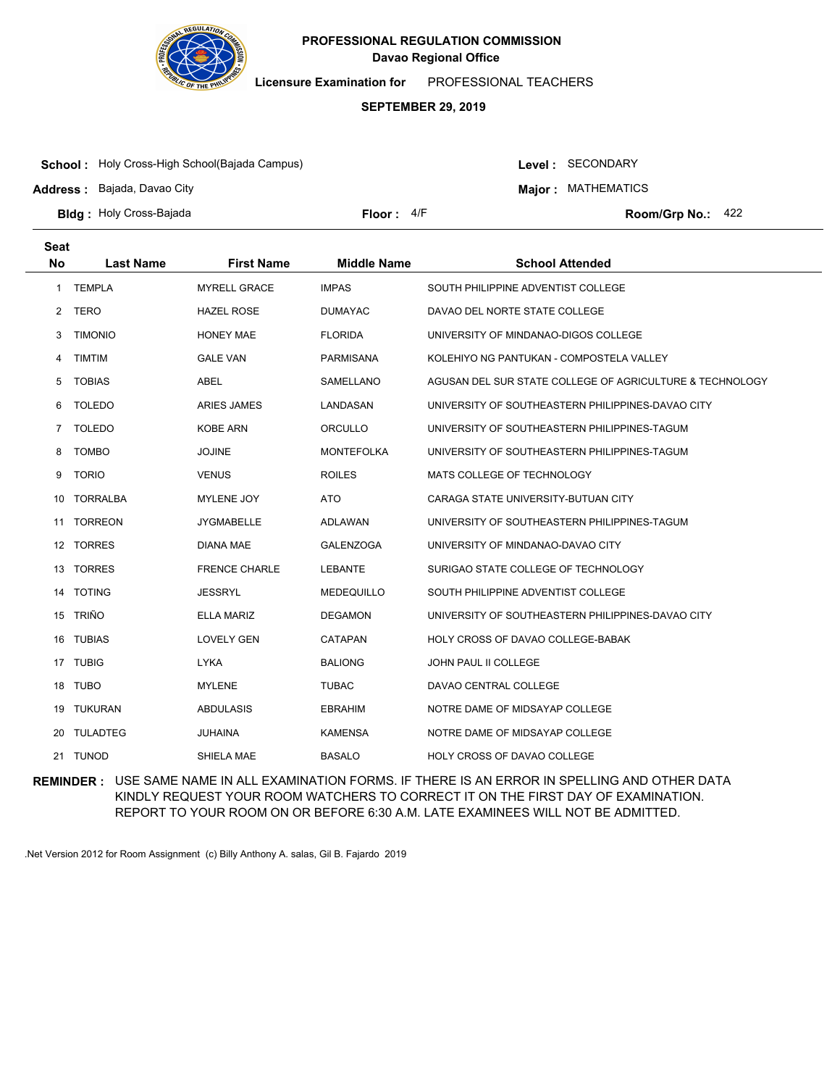

**Licensure Examination for**  PROFESSIONAL TEACHERS

### **SEPTEMBER 29, 2019**

**School :** Holy Cross-High School(Bajada Campus)

**Address :** Bajada, Davao City

Level : SECONDARY

**Major : MATHEMATICS** 

**Bldg : Floor : Room/Grp No.:** Holy Cross-Bajada

Floor:  $4/F$  Room/Grp No.: 422

| <b>Seat</b><br><b>No</b> | <b>Last Name</b> | <b>First Name</b>    | <b>Middle Name</b> | <b>School Attended</b>                                   |
|--------------------------|------------------|----------------------|--------------------|----------------------------------------------------------|
|                          |                  |                      |                    |                                                          |
| $\mathbf{1}$             | <b>TEMPLA</b>    | <b>MYRELL GRACE</b>  | <b>IMPAS</b>       | SOUTH PHILIPPINE ADVENTIST COLLEGE                       |
| 2                        | <b>TERO</b>      | <b>HAZEL ROSE</b>    | <b>DUMAYAC</b>     | DAVAO DEL NORTE STATE COLLEGE                            |
| 3                        | <b>TIMONIO</b>   | <b>HONEY MAE</b>     | <b>FLORIDA</b>     | UNIVERSITY OF MINDANAO-DIGOS COLLEGE                     |
| 4                        | <b>TIMTIM</b>    | <b>GALE VAN</b>      | PARMISANA          | KOLEHIYO NG PANTUKAN - COMPOSTELA VALLEY                 |
| 5                        | <b>TOBIAS</b>    | <b>ABEL</b>          | SAMELLANO          | AGUSAN DEL SUR STATE COLLEGE OF AGRICULTURE & TECHNOLOGY |
| 6                        | <b>TOLEDO</b>    | <b>ARIES JAMES</b>   | LANDASAN           | UNIVERSITY OF SOUTHEASTERN PHILIPPINES-DAVAO CITY        |
| $\overline{7}$           | <b>TOLEDO</b>    | <b>KOBE ARN</b>      | ORCULLO            | UNIVERSITY OF SOUTHEASTERN PHILIPPINES-TAGUM             |
| 8                        | <b>TOMBO</b>     | <b>JOJINE</b>        | <b>MONTEFOLKA</b>  | UNIVERSITY OF SOUTHEASTERN PHILIPPINES-TAGUM             |
| 9                        | <b>TORIO</b>     | <b>VENUS</b>         | <b>ROILES</b>      | MATS COLLEGE OF TECHNOLOGY                               |
| 10                       | <b>TORRALBA</b>  | <b>MYLENE JOY</b>    | <b>ATO</b>         | CARAGA STATE UNIVERSITY-BUTUAN CITY                      |
| 11                       | <b>TORREON</b>   | <b>JYGMABELLE</b>    | ADLAWAN            | UNIVERSITY OF SOUTHEASTERN PHILIPPINES-TAGUM             |
|                          | 12 TORRES        | <b>DIANA MAE</b>     | <b>GALENZOGA</b>   | UNIVERSITY OF MINDANAO-DAVAO CITY                        |
| 13                       | <b>TORRES</b>    | <b>FRENCE CHARLE</b> | <b>LEBANTE</b>     | SURIGAO STATE COLLEGE OF TECHNOLOGY                      |
| 14                       | <b>TOTING</b>    | <b>JESSRYL</b>       | <b>MEDEQUILLO</b>  | SOUTH PHILIPPINE ADVENTIST COLLEGE                       |
|                          | 15 TRIÑO         | <b>ELLA MARIZ</b>    | <b>DEGAMON</b>     | UNIVERSITY OF SOUTHEASTERN PHILIPPINES-DAVAO CITY        |
|                          | 16 TUBIAS        | <b>LOVELY GEN</b>    | <b>CATAPAN</b>     | HOLY CROSS OF DAVAO COLLEGE-BABAK                        |
|                          | 17 TUBIG         | <b>LYKA</b>          | <b>BALIONG</b>     | JOHN PAUL II COLLEGE                                     |
|                          | 18 TUBO          | <b>MYLENE</b>        | <b>TUBAC</b>       | DAVAO CENTRAL COLLEGE                                    |
| 19                       | <b>TUKURAN</b>   | <b>ABDULASIS</b>     | <b>EBRAHIM</b>     | NOTRE DAME OF MIDSAYAP COLLEGE                           |
| 20                       | <b>TULADTEG</b>  | <b>JUHAINA</b>       | <b>KAMENSA</b>     | NOTRE DAME OF MIDSAYAP COLLEGE                           |
|                          | 21 TUNOD         | SHIELA MAE           | <b>BASALO</b>      | HOLY CROSS OF DAVAO COLLEGE                              |

**REMINDER :** USE SAME NAME IN ALL EXAMINATION FORMS. IF THERE IS AN ERROR IN SPELLING AND OTHER DATA KINDLY REQUEST YOUR ROOM WATCHERS TO CORRECT IT ON THE FIRST DAY OF EXAMINATION. REPORT TO YOUR ROOM ON OR BEFORE 6:30 A.M. LATE EXAMINEES WILL NOT BE ADMITTED.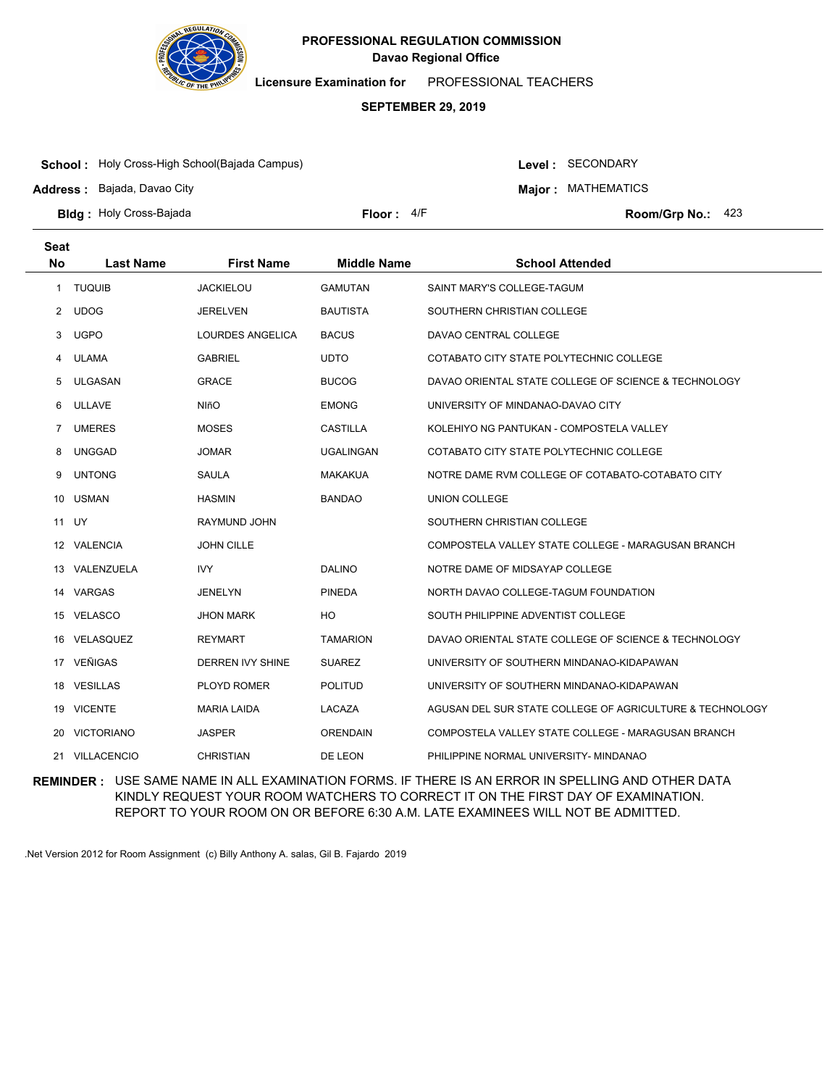

**Licensure Examination for**  PROFESSIONAL TEACHERS

### **SEPTEMBER 29, 2019**

**School :** Holy Cross-High School(Bajada Campus)

**Address :** Bajada, Davao City

Level : SECONDARY

**Major : MATHEMATICS** 

**Bldg : Floor : Room/Grp No.:** Holy Cross-Bajada

Floor:  $4/F$  Room/Grp No.: 423

| <b>Seat</b>  |                   |                         |                    |                                                          |
|--------------|-------------------|-------------------------|--------------------|----------------------------------------------------------|
| <b>No</b>    | <b>Last Name</b>  | <b>First Name</b>       | <b>Middle Name</b> | <b>School Attended</b>                                   |
| $\mathbf{1}$ | <b>TUQUIB</b>     | <b>JACKIELOU</b>        | <b>GAMUTAN</b>     | SAINT MARY'S COLLEGE-TAGUM                               |
| 2            | <b>UDOG</b>       | <b>JERELVEN</b>         | <b>BAUTISTA</b>    | SOUTHERN CHRISTIAN COLLEGE                               |
| 3            | <b>UGPO</b>       | LOURDES ANGELICA        | <b>BACUS</b>       | DAVAO CENTRAL COLLEGE                                    |
| 4            | <b>ULAMA</b>      | <b>GABRIEL</b>          | <b>UDTO</b>        | COTABATO CITY STATE POLYTECHNIC COLLEGE                  |
| 5            | <b>ULGASAN</b>    | <b>GRACE</b>            | <b>BUCOG</b>       | DAVAO ORIENTAL STATE COLLEGE OF SCIENCE & TECHNOLOGY     |
| 6            | <b>ULLAVE</b>     | <b>NIñO</b>             | <b>EMONG</b>       | UNIVERSITY OF MINDANAO-DAVAO CITY                        |
| 7            | <b>UMERES</b>     | <b>MOSES</b>            | <b>CASTILLA</b>    | KOLEHIYO NG PANTUKAN - COMPOSTELA VALLEY                 |
| 8            | <b>UNGGAD</b>     | <b>JOMAR</b>            | <b>UGALINGAN</b>   | COTABATO CITY STATE POLYTECHNIC COLLEGE                  |
| 9            | <b>UNTONG</b>     | SAULA                   | <b>MAKAKUA</b>     | NOTRE DAME RVM COLLEGE OF COTABATO-COTABATO CITY         |
| 10           | <b>USMAN</b>      | <b>HASMIN</b>           | <b>BANDAO</b>      | <b>UNION COLLEGE</b>                                     |
|              | 11 UY             | RAYMUND JOHN            |                    | SOUTHERN CHRISTIAN COLLEGE                               |
|              | 12 VALENCIA       | <b>JOHN CILLE</b>       |                    | COMPOSTELA VALLEY STATE COLLEGE - MARAGUSAN BRANCH       |
| 13           | VALENZUELA        | <b>IVY</b>              | <b>DALINO</b>      | NOTRE DAME OF MIDSAYAP COLLEGE                           |
| 14           | VARGAS            | <b>JENELYN</b>          | <b>PINEDA</b>      | NORTH DAVAO COLLEGE-TAGUM FOUNDATION                     |
| 15           | <b>VELASCO</b>    | <b>JHON MARK</b>        | HO                 | SOUTH PHILIPPINE ADVENTIST COLLEGE                       |
| 16           | VELASQUEZ         | <b>REYMART</b>          | <b>TAMARION</b>    | DAVAO ORIENTAL STATE COLLEGE OF SCIENCE & TECHNOLOGY     |
| 17           | VEÑIGAS           | <b>DERREN IVY SHINE</b> | <b>SUAREZ</b>      | UNIVERSITY OF SOUTHERN MINDANAO-KIDAPAWAN                |
| 18           | <b>VESILLAS</b>   | PLOYD ROMER             | <b>POLITUD</b>     | UNIVERSITY OF SOUTHERN MINDANAO-KIDAPAWAN                |
| 19           | <b>VICENTE</b>    | <b>MARIA LAIDA</b>      | LACAZA             | AGUSAN DEL SUR STATE COLLEGE OF AGRICULTURE & TECHNOLOGY |
| 20           | <b>VICTORIANO</b> | <b>JASPER</b>           | <b>ORENDAIN</b>    | COMPOSTELA VALLEY STATE COLLEGE - MARAGUSAN BRANCH       |
|              | 21 VILLACENCIO    | <b>CHRISTIAN</b>        | DE LEON            | PHILIPPINE NORMAL UNIVERSITY- MINDANAO                   |

**REMINDER :** USE SAME NAME IN ALL EXAMINATION FORMS. IF THERE IS AN ERROR IN SPELLING AND OTHER DATA KINDLY REQUEST YOUR ROOM WATCHERS TO CORRECT IT ON THE FIRST DAY OF EXAMINATION. REPORT TO YOUR ROOM ON OR BEFORE 6:30 A.M. LATE EXAMINEES WILL NOT BE ADMITTED.